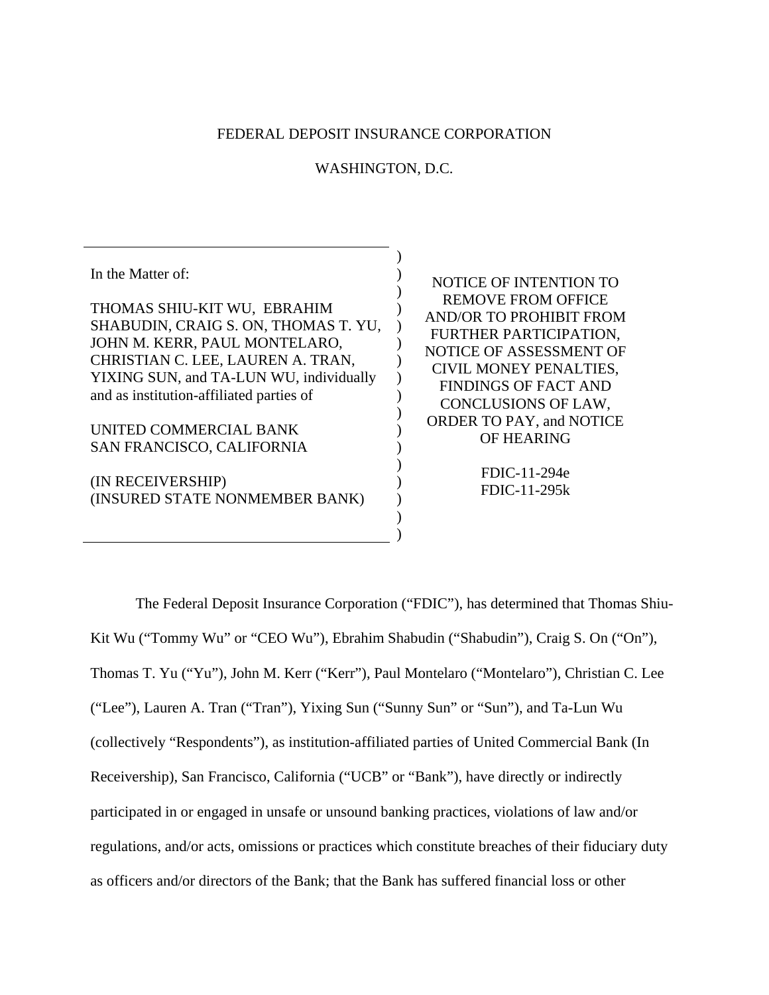## FEDERAL DEPOSIT INSURANCE CORPORATION

## WASHINGTON, D.C.

) ) ) ) ) ) )  $\mathcal{L}$  $\mathcal{L}$ )  $\lambda$ ) ) ) )  $\mathcal{L}$  $\mathcal{L}$ 

In the Matter of:

THOMAS SHIU-KIT WU, EBRAHIM SHABUDIN, CRAIG S. ON, THOMAS T. YU, JOHN M. KERR, PAUL MONTELARO, CHRISTIAN C. LEE, LAUREN A. TRAN, YIXING SUN, and TA-LUN WU, individually and as institution-affiliated parties of

UNITED COMMERCIAL BANK SAN FRANCISCO, CALIFORNIA

(IN RECEIVERSHIP) (INSURED STATE NONMEMBER BANK)

NOTICE OF INTENTION TO REMOVE FROM OFFICE AND/OR TO PROHIBIT FROM FURTHER PARTICIPATION, NOTICE OF ASSESSMENT OF CIVIL MONEY PENALTIES, FINDINGS OF FACT AND CONCLUSIONS OF LAW, ORDER TO PAY, and NOTICE OF HEARING

> FDIC-11-294e FDIC-11-295k

 The Federal Deposit Insurance Corporation ("FDIC"), has determined that Thomas Shiu-Kit Wu ("Tommy Wu" or "CEO Wu"), Ebrahim Shabudin ("Shabudin"), Craig S. On ("On"), Thomas T. Yu ("Yu"), John M. Kerr ("Kerr"), Paul Montelaro ("Montelaro"), Christian C. Lee ("Lee"), Lauren A. Tran ("Tran"), Yixing Sun ("Sunny Sun" or "Sun"), and Ta-Lun Wu (collectively "Respondents"), as institution-affiliated parties of United Commercial Bank (In Receivership), San Francisco, California ("UCB" or "Bank"), have directly or indirectly participated in or engaged in unsafe or unsound banking practices, violations of law and/or regulations, and/or acts, omissions or practices which constitute breaches of their fiduciary duty as officers and/or directors of the Bank; that the Bank has suffered financial loss or other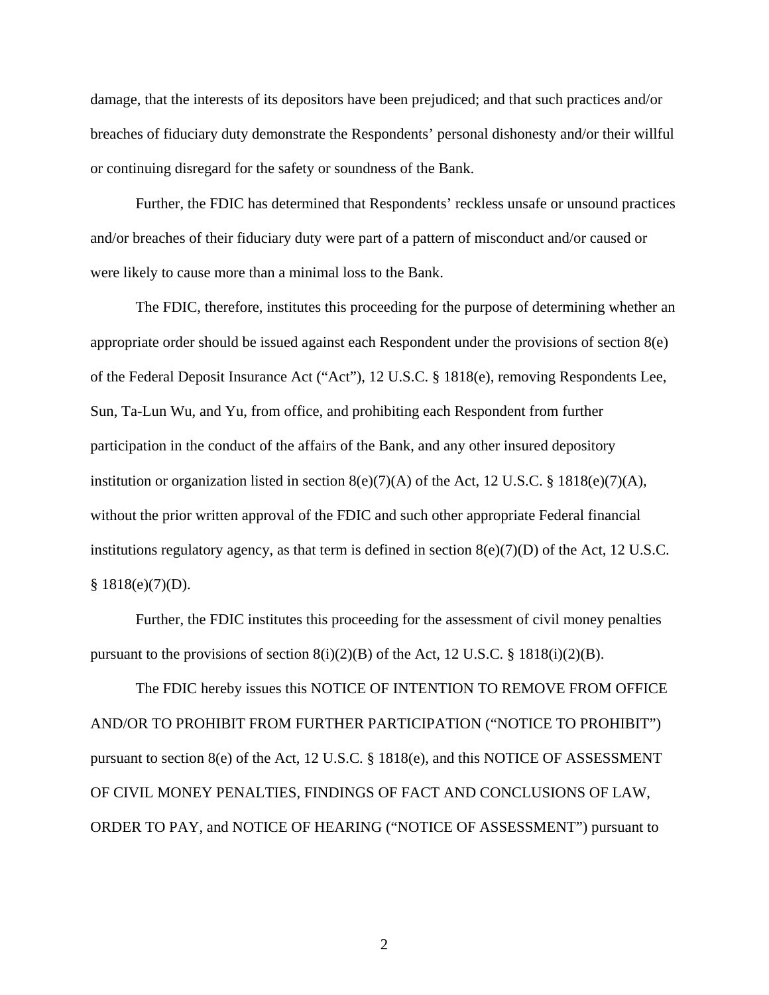damage, that the interests of its depositors have been prejudiced; and that such practices and/or breaches of fiduciary duty demonstrate the Respondents' personal dishonesty and/or their willful or continuing disregard for the safety or soundness of the Bank.

 Further, the FDIC has determined that Respondents' reckless unsafe or unsound practices and/or breaches of their fiduciary duty were part of a pattern of misconduct and/or caused or were likely to cause more than a minimal loss to the Bank.

 The FDIC, therefore, institutes this proceeding for the purpose of determining whether an appropriate order should be issued against each Respondent under the provisions of section 8(e) of the Federal Deposit Insurance Act ("Act"), 12 U.S.C. § 1818(e), removing Respondents Lee, Sun, Ta-Lun Wu, and Yu, from office, and prohibiting each Respondent from further participation in the conduct of the affairs of the Bank, and any other insured depository institution or organization listed in section  $8(e)(7)(A)$  of the Act, 12 U.S.C. § 1818(e)(7)(A), without the prior written approval of the FDIC and such other appropriate Federal financial institutions regulatory agency, as that term is defined in section  $8(e)(7)(D)$  of the Act, 12 U.S.C.  $§ 1818(e)(7)(D).$ 

 Further, the FDIC institutes this proceeding for the assessment of civil money penalties pursuant to the provisions of section  $8(i)(2)(B)$  of the Act, 12 U.S.C. § 1818(i)(2)(B).

 The FDIC hereby issues this NOTICE OF INTENTION TO REMOVE FROM OFFICE AND/OR TO PROHIBIT FROM FURTHER PARTICIPATION ("NOTICE TO PROHIBIT") pursuant to section 8(e) of the Act, 12 U.S.C. § 1818(e), and this NOTICE OF ASSESSMENT OF CIVIL MONEY PENALTIES, FINDINGS OF FACT AND CONCLUSIONS OF LAW, ORDER TO PAY, and NOTICE OF HEARING ("NOTICE OF ASSESSMENT") pursuant to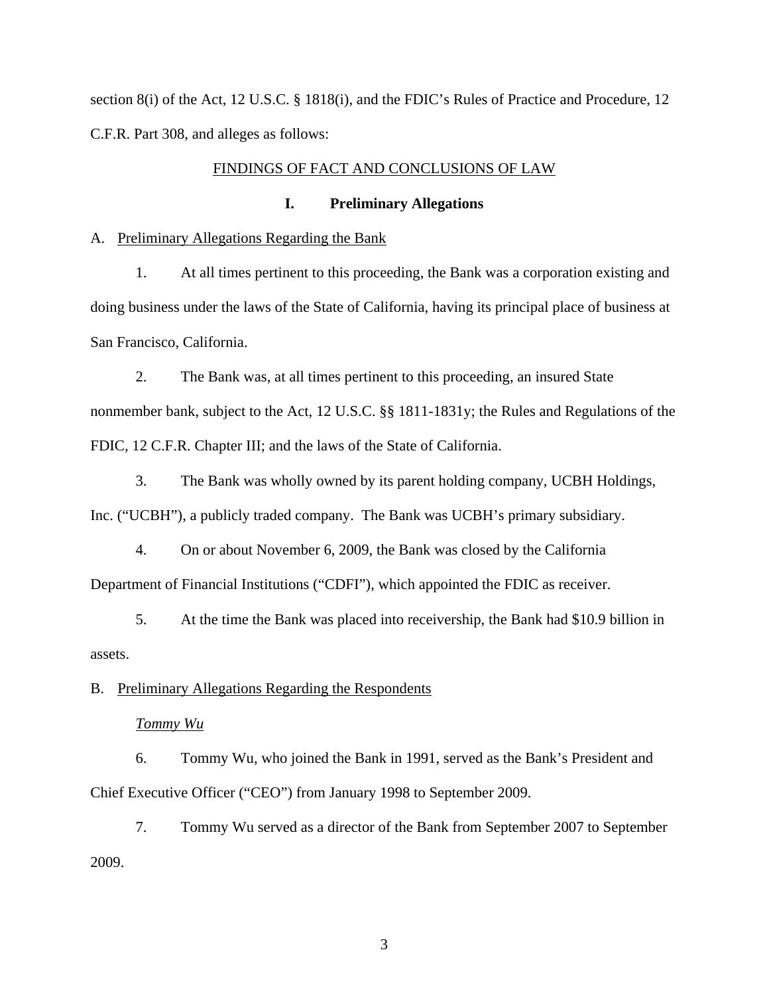section 8(i) of the Act, 12 U.S.C. § 1818(i), and the FDIC's Rules of Practice and Procedure, 12 C.F.R. Part 308, and alleges as follows:

## FINDINGS OF FACT AND CONCLUSIONS OF LAW

## **I. Preliminary Allegations**

#### A. Preliminary Allegations Regarding the Bank

1. At all times pertinent to this proceeding, the Bank was a corporation existing and doing business under the laws of the State of California, having its principal place of business at San Francisco, California.

2. The Bank was, at all times pertinent to this proceeding, an insured State nonmember bank, subject to the Act, 12 U.S.C. §§ 1811-1831y; the Rules and Regulations of the FDIC, 12 C.F.R. Chapter III; and the laws of the State of California.

3. The Bank was wholly owned by its parent holding company, UCBH Holdings, Inc. ("UCBH"), a publicly traded company. The Bank was UCBH's primary subsidiary.

4. On or about November 6, 2009, the Bank was closed by the California Department of Financial Institutions ("CDFI"), which appointed the FDIC as receiver.

5. At the time the Bank was placed into receivership, the Bank had \$10.9 billion in assets.

## B. Preliminary Allegations Regarding the Respondents

*Tommy Wu*

6. Tommy Wu, who joined the Bank in 1991, served as the Bank's President and Chief Executive Officer ("CEO") from January 1998 to September 2009.

7. Tommy Wu served as a director of the Bank from September 2007 to September 2009.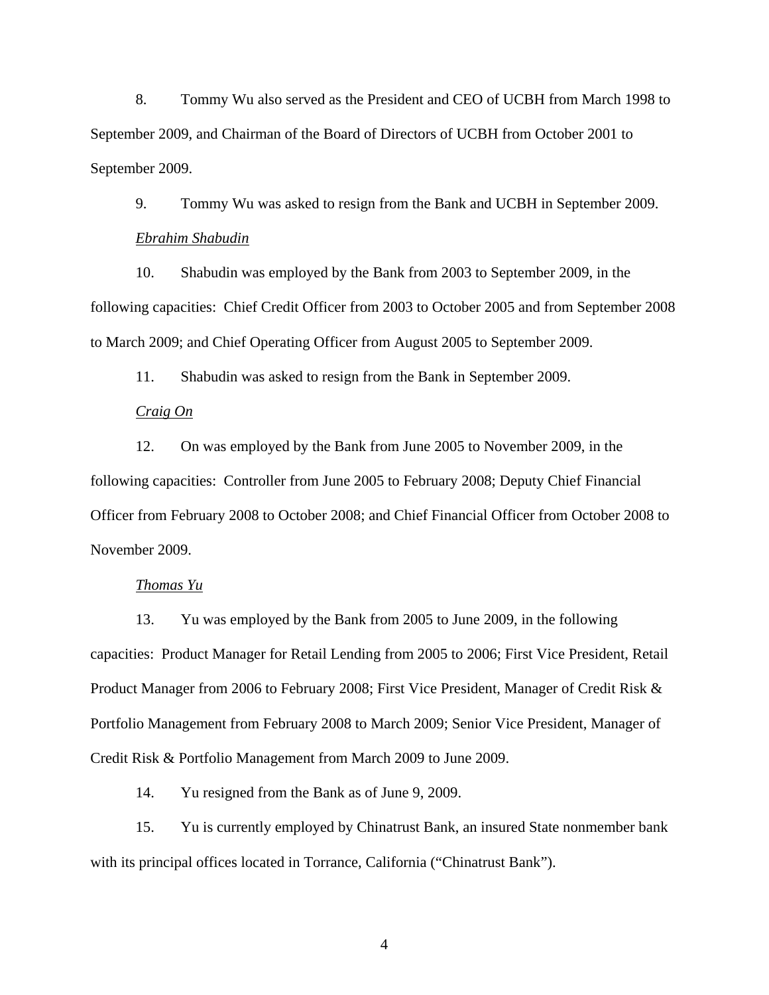8. Tommy Wu also served as the President and CEO of UCBH from March 1998 to September 2009, and Chairman of the Board of Directors of UCBH from October 2001 to September 2009.

9. Tommy Wu was asked to resign from the Bank and UCBH in September 2009. *Ebrahim Shabudin*

10. Shabudin was employed by the Bank from 2003 to September 2009, in the following capacities: Chief Credit Officer from 2003 to October 2005 and from September 2008 to March 2009; and Chief Operating Officer from August 2005 to September 2009.

11. Shabudin was asked to resign from the Bank in September 2009.

## *Craig On*

12. On was employed by the Bank from June 2005 to November 2009, in the following capacities: Controller from June 2005 to February 2008; Deputy Chief Financial Officer from February 2008 to October 2008; and Chief Financial Officer from October 2008 to November 2009.

# *Thomas Yu*

13. Yu was employed by the Bank from 2005 to June 2009, in the following capacities: Product Manager for Retail Lending from 2005 to 2006; First Vice President, Retail Product Manager from 2006 to February 2008; First Vice President, Manager of Credit Risk & Portfolio Management from February 2008 to March 2009; Senior Vice President, Manager of Credit Risk & Portfolio Management from March 2009 to June 2009.

14. Yu resigned from the Bank as of June 9, 2009.

15. Yu is currently employed by Chinatrust Bank, an insured State nonmember bank with its principal offices located in Torrance, California ("Chinatrust Bank").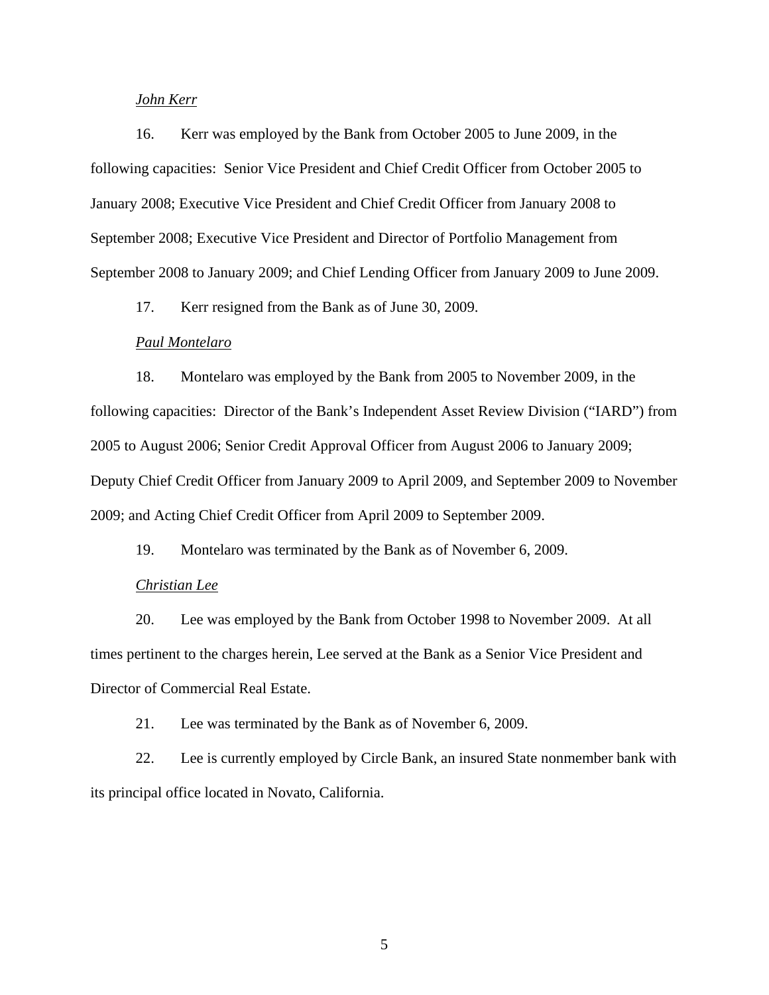# *John Kerr*

16. Kerr was employed by the Bank from October 2005 to June 2009, in the following capacities: Senior Vice President and Chief Credit Officer from October 2005 to January 2008; Executive Vice President and Chief Credit Officer from January 2008 to September 2008; Executive Vice President and Director of Portfolio Management from September 2008 to January 2009; and Chief Lending Officer from January 2009 to June 2009.

17. Kerr resigned from the Bank as of June 30, 2009.

#### *Paul Montelaro*

18. Montelaro was employed by the Bank from 2005 to November 2009, in the following capacities: Director of the Bank's Independent Asset Review Division ("IARD") from 2005 to August 2006; Senior Credit Approval Officer from August 2006 to January 2009; Deputy Chief Credit Officer from January 2009 to April 2009, and September 2009 to November 2009; and Acting Chief Credit Officer from April 2009 to September 2009.

19. Montelaro was terminated by the Bank as of November 6, 2009.

#### *Christian Lee*

20. Lee was employed by the Bank from October 1998 to November 2009. At all times pertinent to the charges herein, Lee served at the Bank as a Senior Vice President and Director of Commercial Real Estate.

21. Lee was terminated by the Bank as of November 6, 2009.

22. Lee is currently employed by Circle Bank, an insured State nonmember bank with its principal office located in Novato, California.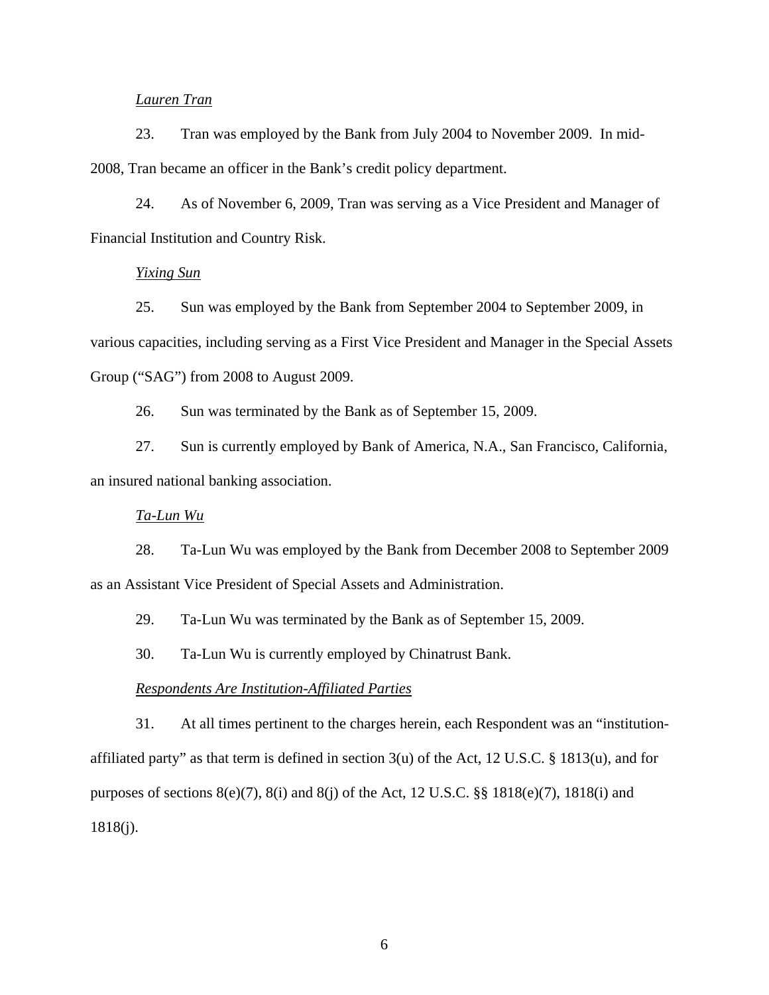## *Lauren Tran*

23. Tran was employed by the Bank from July 2004 to November 2009. In mid-2008, Tran became an officer in the Bank's credit policy department.

24. As of November 6, 2009, Tran was serving as a Vice President and Manager of Financial Institution and Country Risk.

## *Yixing Sun*

25. Sun was employed by the Bank from September 2004 to September 2009, in various capacities, including serving as a First Vice President and Manager in the Special Assets Group ("SAG") from 2008 to August 2009.

26. Sun was terminated by the Bank as of September 15, 2009.

27. Sun is currently employed by Bank of America, N.A., San Francisco, California, an insured national banking association.

# *Ta-Lun Wu*

28. Ta-Lun Wu was employed by the Bank from December 2008 to September 2009 as an Assistant Vice President of Special Assets and Administration.

29. Ta-Lun Wu was terminated by the Bank as of September 15, 2009.

30. Ta-Lun Wu is currently employed by Chinatrust Bank.

## *Respondents Are Institution-Affiliated Parties*

31. At all times pertinent to the charges herein, each Respondent was an "institutionaffiliated party" as that term is defined in section  $3(u)$  of the Act, 12 U.S.C. § 1813(u), and for purposes of sections 8(e)(7), 8(i) and 8(j) of the Act, 12 U.S.C. §§ 1818(e)(7), 1818(i) and 1818(j).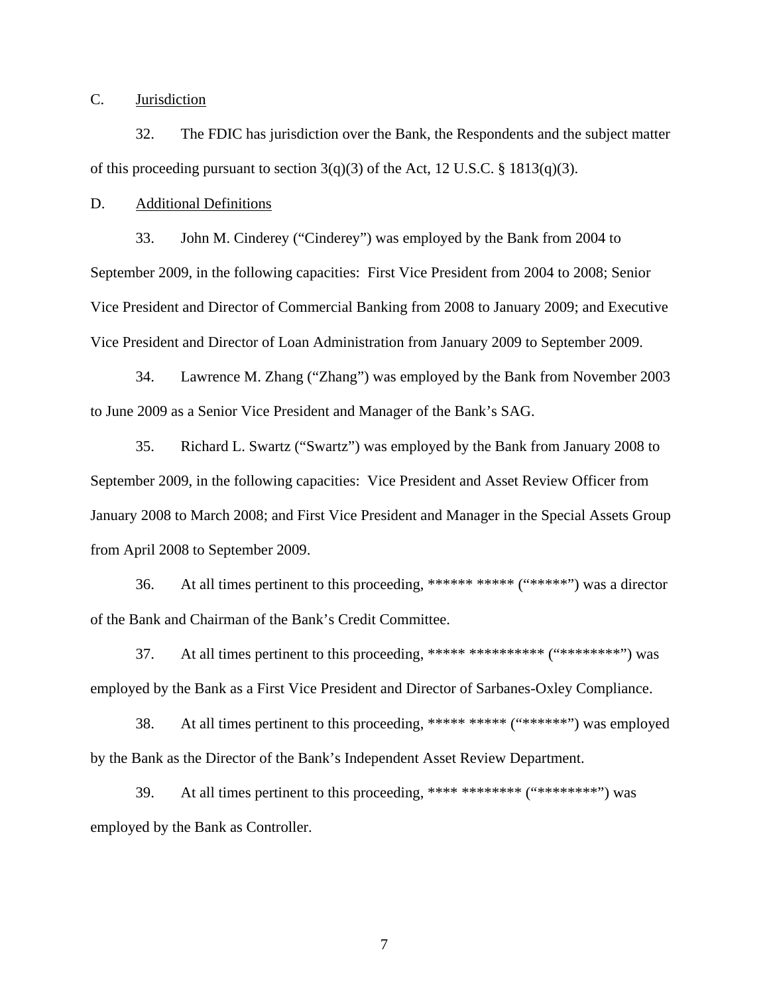C. Jurisdiction

32. The FDIC has jurisdiction over the Bank, the Respondents and the subject matter of this proceeding pursuant to section  $3(q)(3)$  of the Act, 12 U.S.C. § 1813(q)(3).

D. Additional Definitions

33. John M. Cinderey ("Cinderey") was employed by the Bank from 2004 to September 2009, in the following capacities: First Vice President from 2004 to 2008; Senior Vice President and Director of Commercial Banking from 2008 to January 2009; and Executive Vice President and Director of Loan Administration from January 2009 to September 2009.

34. Lawrence M. Zhang ("Zhang") was employed by the Bank from November 2003 to June 2009 as a Senior Vice President and Manager of the Bank's SAG.

35. Richard L. Swartz ("Swartz") was employed by the Bank from January 2008 to September 2009, in the following capacities: Vice President and Asset Review Officer from January 2008 to March 2008; and First Vice President and Manager in the Special Assets Group from April 2008 to September 2009.

36. At all times pertinent to this proceeding, \*\*\*\*\*\* \*\*\*\*\* ("\*\*\*\*\*") was a director of the Bank and Chairman of the Bank's Credit Committee.

37. At all times pertinent to this proceeding, \*\*\*\*\* \*\*\*\*\*\*\*\*\* ("\*\*\*\*\*\*\*\*\*") was employed by the Bank as a First Vice President and Director of Sarbanes-Oxley Compliance.

38. At all times pertinent to this proceeding, \*\*\*\*\* \*\*\*\*\*\* ("\*\*\*\*\*\*") was employed by the Bank as the Director of the Bank's Independent Asset Review Department.

39. At all times pertinent to this proceeding, \*\*\*\* \*\*\*\*\*\*\*\* ("\*\*\*\*\*\*\*\*") was employed by the Bank as Controller.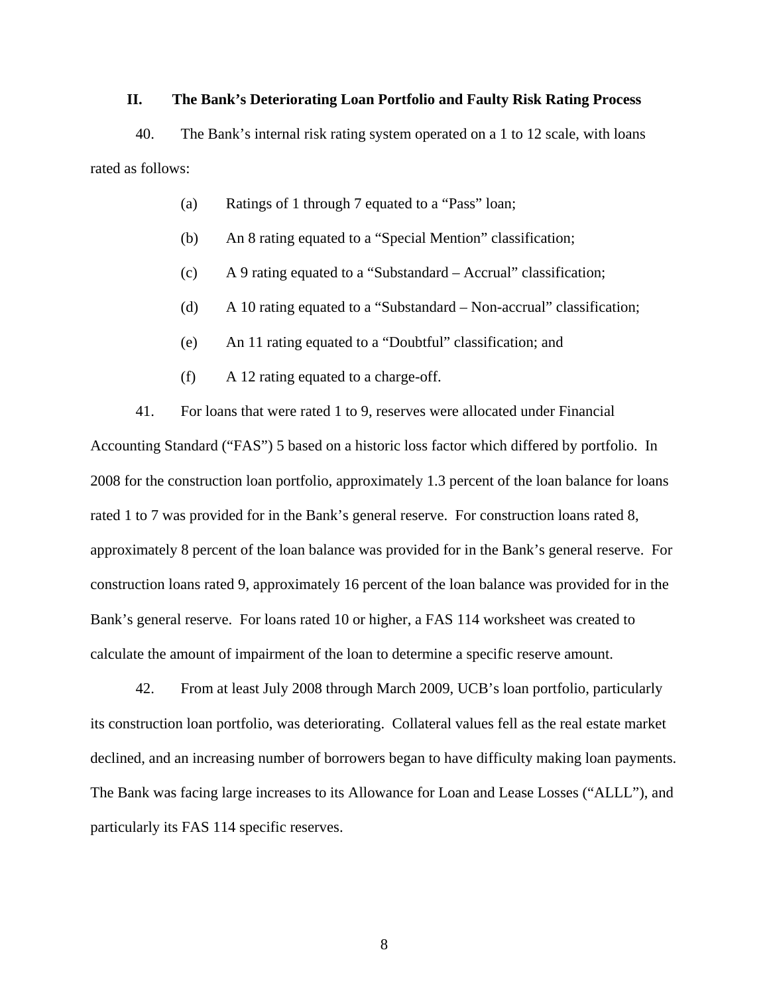# **II. The Bank's Deteriorating Loan Portfolio and Faulty Risk Rating Process**

40. The Bank's internal risk rating system operated on a 1 to 12 scale, with loans rated as follows:

- (a) Ratings of 1 through 7 equated to a "Pass" loan;
- (b) An 8 rating equated to a "Special Mention" classification;
- (c) A 9 rating equated to a "Substandard Accrual" classification;
- (d) A 10 rating equated to a "Substandard Non-accrual" classification;
- (e) An 11 rating equated to a "Doubtful" classification; and
- (f) A 12 rating equated to a charge-off.

41. For loans that were rated 1 to 9, reserves were allocated under Financial

Accounting Standard ("FAS") 5 based on a historic loss factor which differed by portfolio. In 2008 for the construction loan portfolio, approximately 1.3 percent of the loan balance for loans rated 1 to 7 was provided for in the Bank's general reserve. For construction loans rated 8, approximately 8 percent of the loan balance was provided for in the Bank's general reserve. For construction loans rated 9, approximately 16 percent of the loan balance was provided for in the Bank's general reserve. For loans rated 10 or higher, a FAS 114 worksheet was created to calculate the amount of impairment of the loan to determine a specific reserve amount.

42. From at least July 2008 through March 2009, UCB's loan portfolio, particularly its construction loan portfolio, was deteriorating. Collateral values fell as the real estate market declined, and an increasing number of borrowers began to have difficulty making loan payments. The Bank was facing large increases to its Allowance for Loan and Lease Losses ("ALLL"), and particularly its FAS 114 specific reserves.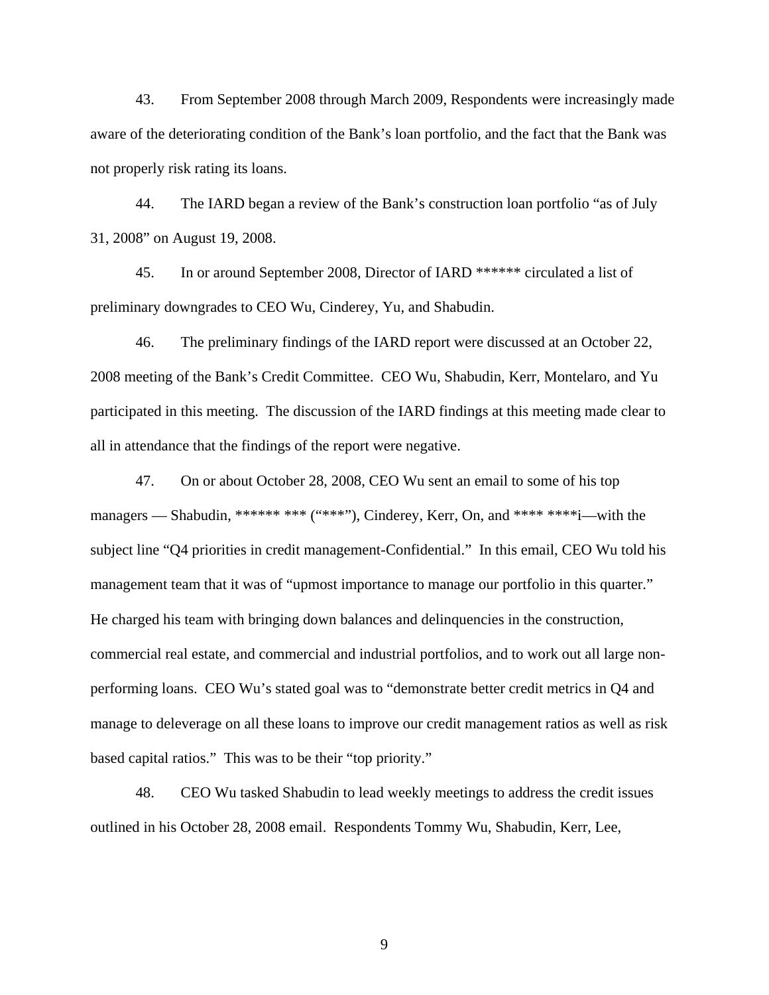43. From September 2008 through March 2009, Respondents were increasingly made aware of the deteriorating condition of the Bank's loan portfolio, and the fact that the Bank was not properly risk rating its loans.

44. The IARD began a review of the Bank's construction loan portfolio "as of July 31, 2008" on August 19, 2008.

45. In or around September 2008, Director of IARD \*\*\*\*\*\* circulated a list of preliminary downgrades to CEO Wu, Cinderey, Yu, and Shabudin.

46. The preliminary findings of the IARD report were discussed at an October 22, 2008 meeting of the Bank's Credit Committee. CEO Wu, Shabudin, Kerr, Montelaro, and Yu participated in this meeting. The discussion of the IARD findings at this meeting made clear to all in attendance that the findings of the report were negative.

47. On or about October 28, 2008, CEO Wu sent an email to some of his top managers — Shabudin, \*\*\*\*\*\* \*\*\* ("\*\*\*"), Cinderey, Kerr, On, and \*\*\*\* \*\*\*\*i—with the subject line "Q4 priorities in credit management-Confidential." In this email, CEO Wu told his management team that it was of "upmost importance to manage our portfolio in this quarter." He charged his team with bringing down balances and delinquencies in the construction, commercial real estate, and commercial and industrial portfolios, and to work out all large nonperforming loans. CEO Wu's stated goal was to "demonstrate better credit metrics in Q4 and manage to deleverage on all these loans to improve our credit management ratios as well as risk based capital ratios." This was to be their "top priority."

48. CEO Wu tasked Shabudin to lead weekly meetings to address the credit issues outlined in his October 28, 2008 email. Respondents Tommy Wu, Shabudin, Kerr, Lee,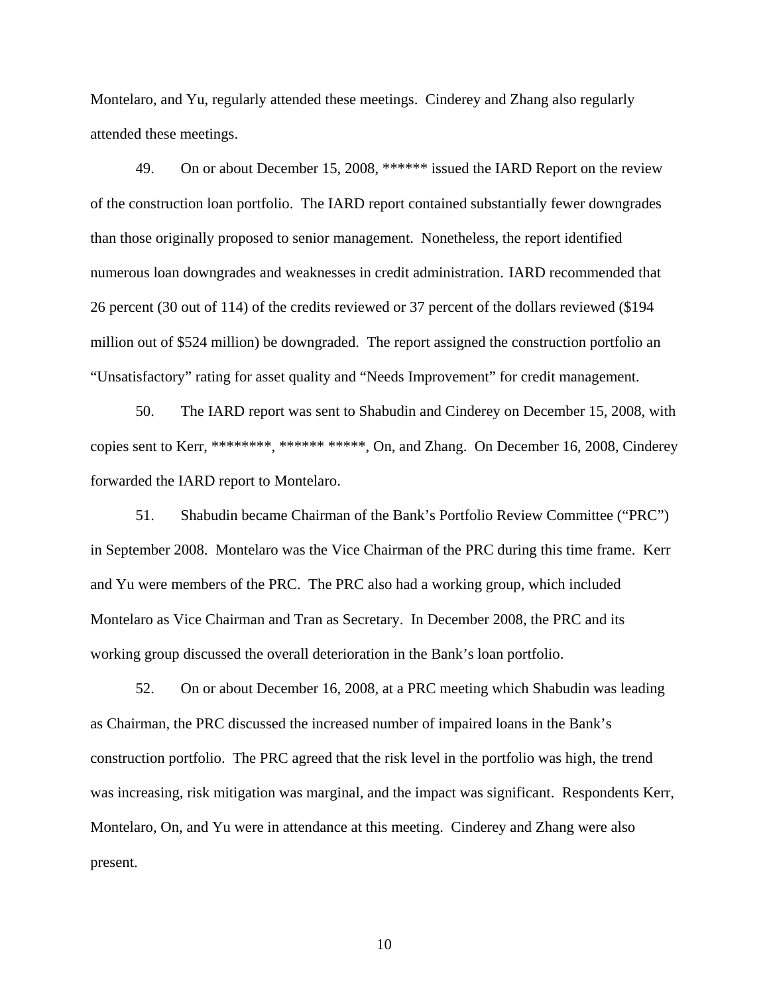Montelaro, and Yu, regularly attended these meetings. Cinderey and Zhang also regularly attended these meetings.

49. On or about December 15, 2008, \*\*\*\*\*\* issued the IARD Report on the review of the construction loan portfolio. The IARD report contained substantially fewer downgrades than those originally proposed to senior management. Nonetheless, the report identified numerous loan downgrades and weaknesses in credit administration. IARD recommended that 26 percent (30 out of 114) of the credits reviewed or 37 percent of the dollars reviewed (\$194 million out of \$524 million) be downgraded. The report assigned the construction portfolio an "Unsatisfactory" rating for asset quality and "Needs Improvement" for credit management.

50. The IARD report was sent to Shabudin and Cinderey on December 15, 2008, with copies sent to Kerr, \*\*\*\*\*\*\*\*, \*\*\*\*\*\*\*\*\*\*\*, On, and Zhang. On December 16, 2008, Cinderey forwarded the IARD report to Montelaro.

51. Shabudin became Chairman of the Bank's Portfolio Review Committee ("PRC") in September 2008. Montelaro was the Vice Chairman of the PRC during this time frame. Kerr and Yu were members of the PRC. The PRC also had a working group, which included Montelaro as Vice Chairman and Tran as Secretary. In December 2008, the PRC and its working group discussed the overall deterioration in the Bank's loan portfolio.

52. On or about December 16, 2008, at a PRC meeting which Shabudin was leading as Chairman, the PRC discussed the increased number of impaired loans in the Bank's construction portfolio. The PRC agreed that the risk level in the portfolio was high, the trend was increasing, risk mitigation was marginal, and the impact was significant. Respondents Kerr, Montelaro, On, and Yu were in attendance at this meeting. Cinderey and Zhang were also present.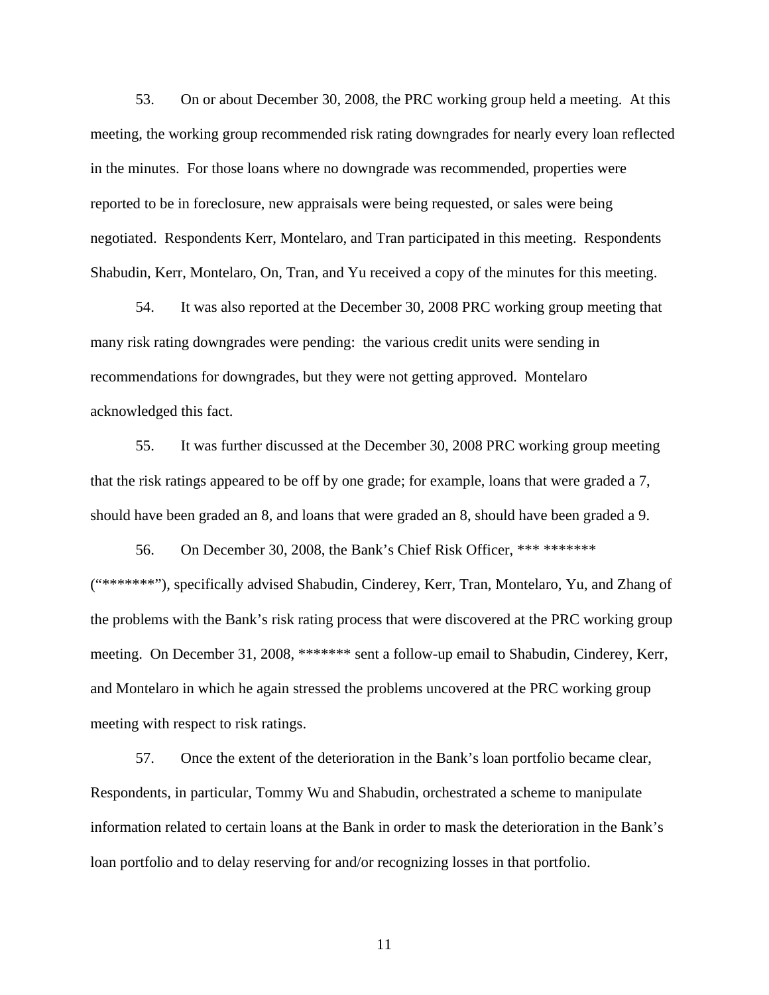53. On or about December 30, 2008, the PRC working group held a meeting. At this meeting, the working group recommended risk rating downgrades for nearly every loan reflected in the minutes. For those loans where no downgrade was recommended, properties were reported to be in foreclosure, new appraisals were being requested, or sales were being negotiated. Respondents Kerr, Montelaro, and Tran participated in this meeting. Respondents Shabudin, Kerr, Montelaro, On, Tran, and Yu received a copy of the minutes for this meeting.

54. It was also reported at the December 30, 2008 PRC working group meeting that many risk rating downgrades were pending: the various credit units were sending in recommendations for downgrades, but they were not getting approved. Montelaro acknowledged this fact.

55. It was further discussed at the December 30, 2008 PRC working group meeting that the risk ratings appeared to be off by one grade; for example, loans that were graded a 7, should have been graded an 8, and loans that were graded an 8, should have been graded a 9.

56. On December 30, 2008, the Bank's Chief Risk Officer, \*\*\* \*\*\*\*\*\*\* ("\*\*\*\*\*\*\*"), specifically advised Shabudin, Cinderey, Kerr, Tran, Montelaro, Yu, and Zhang of the problems with the Bank's risk rating process that were discovered at the PRC working group meeting. On December 31, 2008, \*\*\*\*\*\*\* sent a follow-up email to Shabudin, Cinderey, Kerr, and Montelaro in which he again stressed the problems uncovered at the PRC working group meeting with respect to risk ratings.

57. Once the extent of the deterioration in the Bank's loan portfolio became clear, Respondents, in particular, Tommy Wu and Shabudin, orchestrated a scheme to manipulate information related to certain loans at the Bank in order to mask the deterioration in the Bank's loan portfolio and to delay reserving for and/or recognizing losses in that portfolio.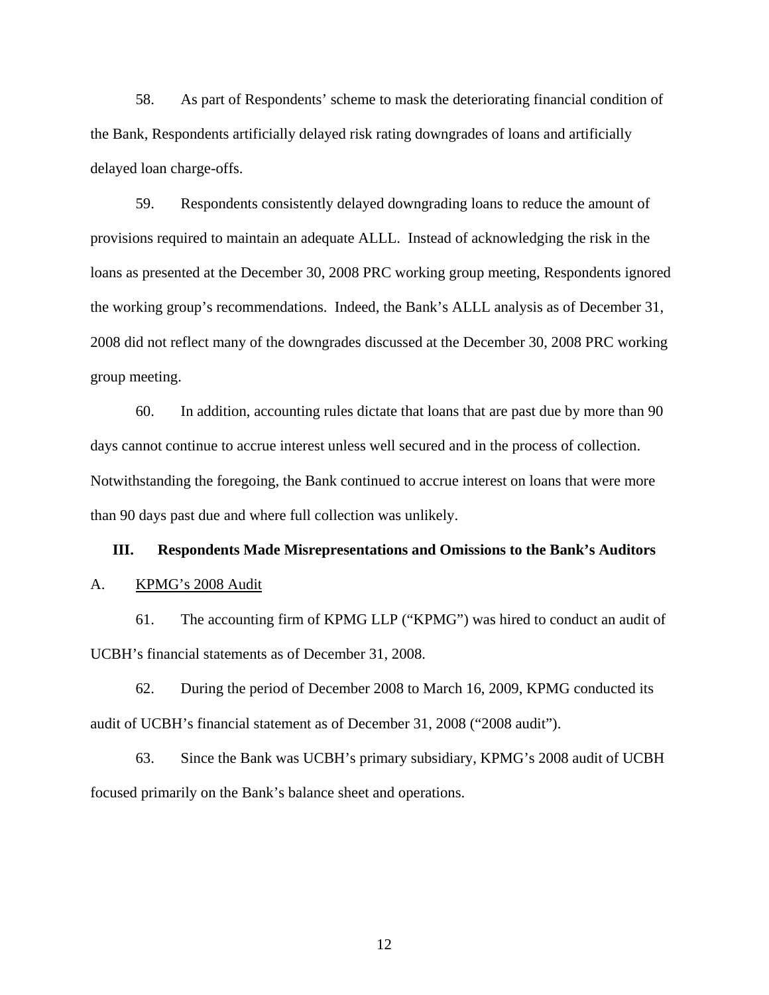58. As part of Respondents' scheme to mask the deteriorating financial condition of the Bank, Respondents artificially delayed risk rating downgrades of loans and artificially delayed loan charge-offs.

59. Respondents consistently delayed downgrading loans to reduce the amount of provisions required to maintain an adequate ALLL. Instead of acknowledging the risk in the loans as presented at the December 30, 2008 PRC working group meeting, Respondents ignored the working group's recommendations. Indeed, the Bank's ALLL analysis as of December 31, 2008 did not reflect many of the downgrades discussed at the December 30, 2008 PRC working group meeting.

60. In addition, accounting rules dictate that loans that are past due by more than 90 days cannot continue to accrue interest unless well secured and in the process of collection. Notwithstanding the foregoing, the Bank continued to accrue interest on loans that were more than 90 days past due and where full collection was unlikely.

# **III. Respondents Made Misrepresentations and Omissions to the Bank's Auditors**

## A. KPMG's 2008 Audit

61. The accounting firm of KPMG LLP ("KPMG") was hired to conduct an audit of UCBH's financial statements as of December 31, 2008.

62. During the period of December 2008 to March 16, 2009, KPMG conducted its audit of UCBH's financial statement as of December 31, 2008 ("2008 audit").

63. Since the Bank was UCBH's primary subsidiary, KPMG's 2008 audit of UCBH focused primarily on the Bank's balance sheet and operations.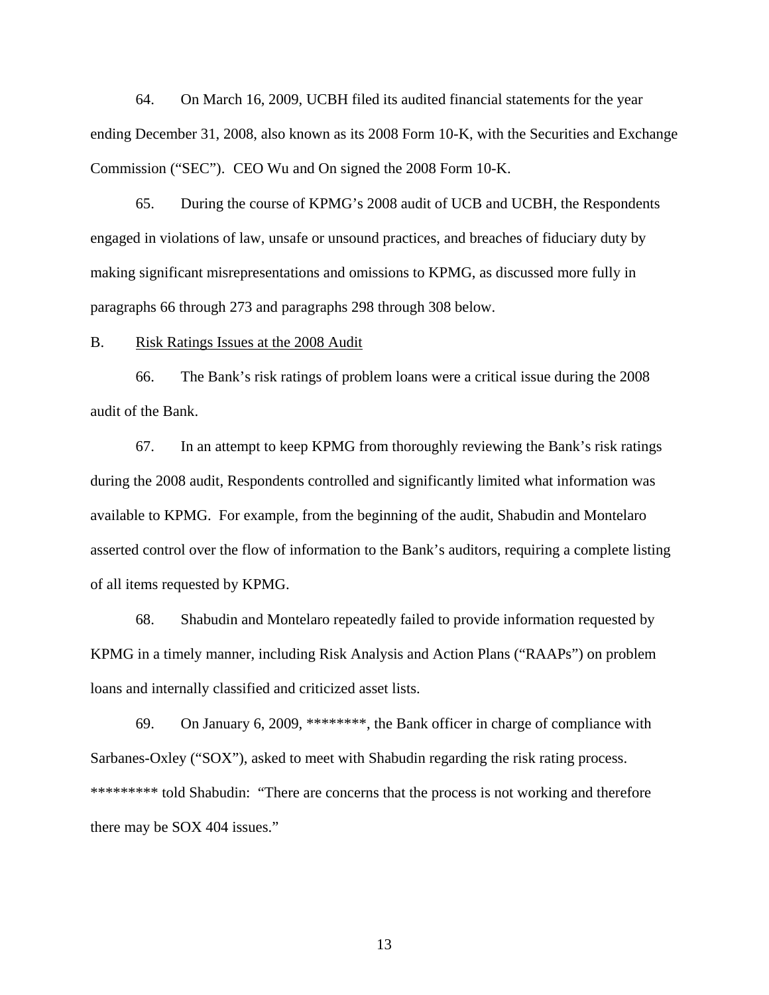64. On March 16, 2009, UCBH filed its audited financial statements for the year ending December 31, 2008, also known as its 2008 Form 10-K, with the Securities and Exchange Commission ("SEC"). CEO Wu and On signed the 2008 Form 10-K.

65. During the course of KPMG's 2008 audit of UCB and UCBH, the Respondents engaged in violations of law, unsafe or unsound practices, and breaches of fiduciary duty by making significant misrepresentations and omissions to KPMG, as discussed more fully in paragraphs 66 through 273 and paragraphs 298 through 308 below.

#### B. Risk Ratings Issues at the 2008 Audit

66. The Bank's risk ratings of problem loans were a critical issue during the 2008 audit of the Bank.

67. In an attempt to keep KPMG from thoroughly reviewing the Bank's risk ratings during the 2008 audit, Respondents controlled and significantly limited what information was available to KPMG. For example, from the beginning of the audit, Shabudin and Montelaro asserted control over the flow of information to the Bank's auditors, requiring a complete listing of all items requested by KPMG.

68. Shabudin and Montelaro repeatedly failed to provide information requested by KPMG in a timely manner, including Risk Analysis and Action Plans ("RAAPs") on problem loans and internally classified and criticized asset lists.

69. On January 6, 2009, \*\*\*\*\*\*\*\*, the Bank officer in charge of compliance with Sarbanes-Oxley ("SOX"), asked to meet with Shabudin regarding the risk rating process. \*\*\*\*\*\*\*\*\* told Shabudin: "There are concerns that the process is not working and therefore there may be SOX 404 issues."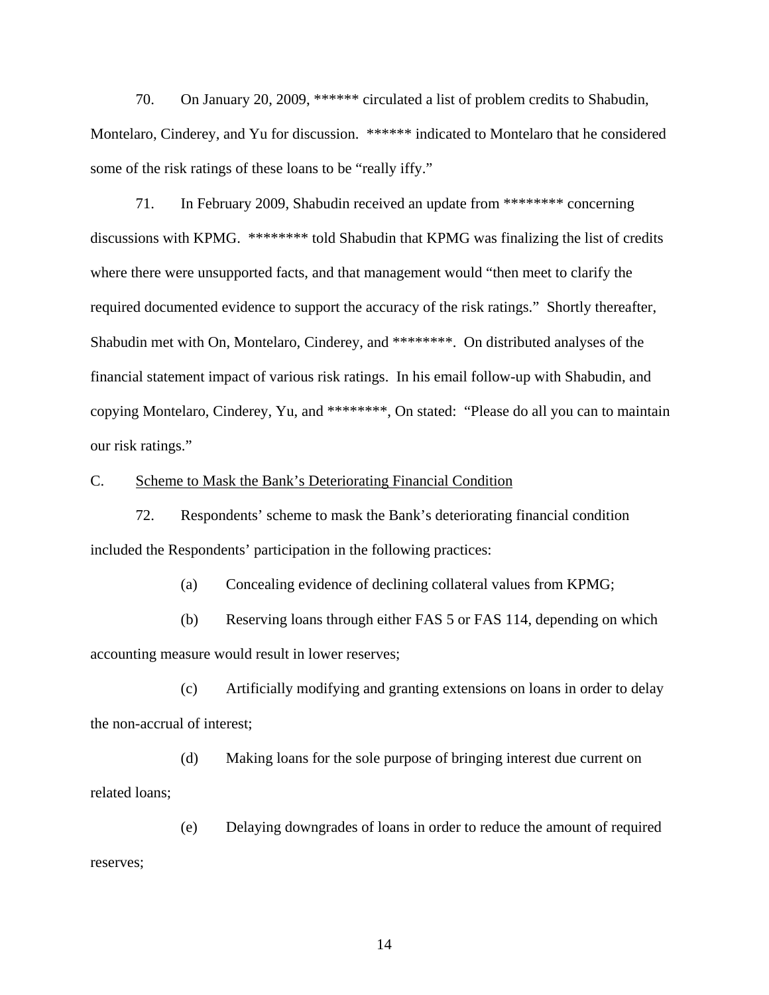70. On January 20, 2009, \*\*\*\*\*\* circulated a list of problem credits to Shabudin, Montelaro, Cinderey, and Yu for discussion. \*\*\*\*\*\* indicated to Montelaro that he considered some of the risk ratings of these loans to be "really iffy."

71. In February 2009, Shabudin received an update from \*\*\*\*\*\*\*\* concerning discussions with KPMG. \*\*\*\*\*\*\*\* told Shabudin that KPMG was finalizing the list of credits where there were unsupported facts, and that management would "then meet to clarify the required documented evidence to support the accuracy of the risk ratings." Shortly thereafter, Shabudin met with On, Montelaro, Cinderey, and \*\*\*\*\*\*\*\*. On distributed analyses of the financial statement impact of various risk ratings. In his email follow-up with Shabudin, and copying Montelaro, Cinderey, Yu, and \*\*\*\*\*\*\*\*, On stated: "Please do all you can to maintain our risk ratings."

#### C. Scheme to Mask the Bank's Deteriorating Financial Condition

72. Respondents' scheme to mask the Bank's deteriorating financial condition included the Respondents' participation in the following practices:

(a) Concealing evidence of declining collateral values from KPMG;

(b) Reserving loans through either FAS 5 or FAS 114, depending on which accounting measure would result in lower reserves;

(c) Artificially modifying and granting extensions on loans in order to delay the non-accrual of interest;

(d) Making loans for the sole purpose of bringing interest due current on related loans;

(e) Delaying downgrades of loans in order to reduce the amount of required reserves;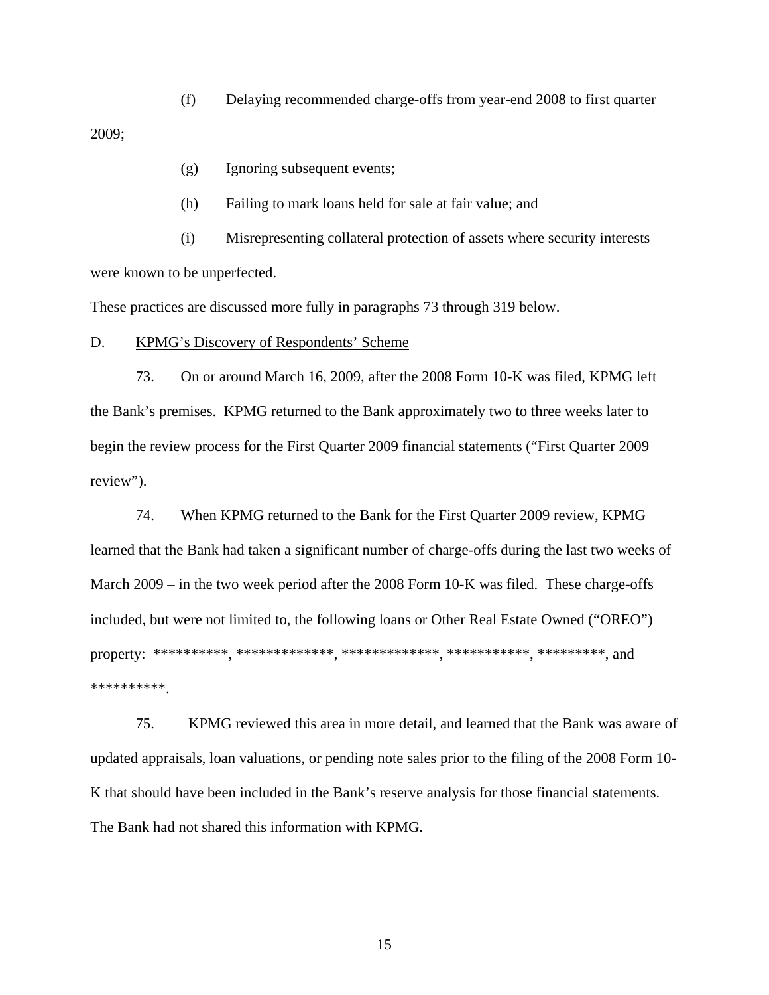(f) Delaying recommended charge-offs from year-end 2008 to first quarter

2009;

- (g) Ignoring subsequent events;
- (h) Failing to mark loans held for sale at fair value; and

(i) Misrepresenting collateral protection of assets where security interests were known to be unperfected.

These practices are discussed more fully in paragraphs 73 through 319 below.

## D. KPMG's Discovery of Respondents' Scheme

73. On or around March 16, 2009, after the 2008 Form 10-K was filed, KPMG left the Bank's premises. KPMG returned to the Bank approximately two to three weeks later to begin the review process for the First Quarter 2009 financial statements ("First Quarter 2009 review").

74. When KPMG returned to the Bank for the First Quarter 2009 review, KPMG learned that the Bank had taken a significant number of charge-offs during the last two weeks of March 2009 – in the two week period after the 2008 Form 10-K was filed. These charge-offs included, but were not limited to, the following loans or Other Real Estate Owned ("OREO") property: \*\*\*\*\*\*\*\*\*\*, \*\*\*\*\*\*\*\*\*\*\*\*\*, \*\*\*\*\*\*\*\*\*\*\*\*\*, \*\*\*\*\*\*\*\*\*\*\*, \*\*\*\*\*\*\*\*\*, and \*\*\*\*\*\*\*\*\*\*.

75. KPMG reviewed this area in more detail, and learned that the Bank was aware of updated appraisals, loan valuations, or pending note sales prior to the filing of the 2008 Form 10- K that should have been included in the Bank's reserve analysis for those financial statements. The Bank had not shared this information with KPMG.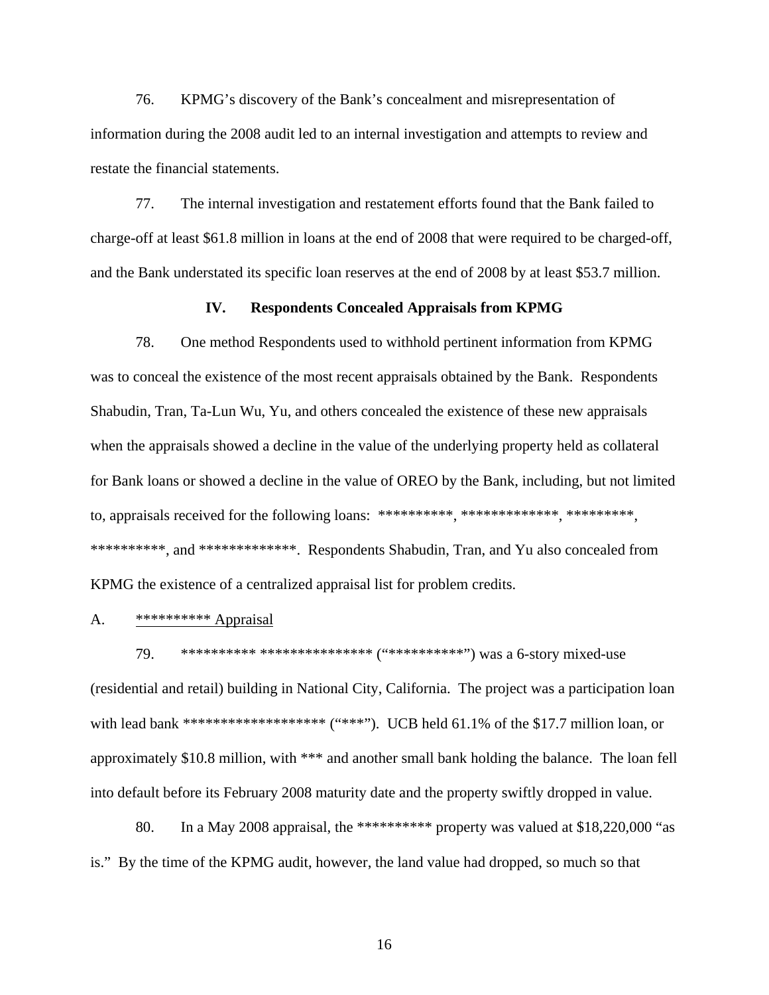76. KPMG's discovery of the Bank's concealment and misrepresentation of information during the 2008 audit led to an internal investigation and attempts to review and restate the financial statements.

77. The internal investigation and restatement efforts found that the Bank failed to charge-off at least \$61.8 million in loans at the end of 2008 that were required to be charged-off, and the Bank understated its specific loan reserves at the end of 2008 by at least \$53.7 million.

## **IV. Respondents Concealed Appraisals from KPMG**

78. One method Respondents used to withhold pertinent information from KPMG was to conceal the existence of the most recent appraisals obtained by the Bank. Respondents Shabudin, Tran, Ta-Lun Wu, Yu, and others concealed the existence of these new appraisals when the appraisals showed a decline in the value of the underlying property held as collateral for Bank loans or showed a decline in the value of OREO by the Bank, including, but not limited to, appraisals received for the following loans: \*\*\*\*\*\*\*\*\*, \*\*\*\*\*\*\*\*\*\*\*, \*\*\*\*\*\*\*\*\*, \*\*\*\*\*\*\*\*\*\*, and \*\*\*\*\*\*\*\*\*\*\*\*\*. Respondents Shabudin, Tran, and Yu also concealed from KPMG the existence of a centralized appraisal list for problem credits.

## A. \*\*\*\*\*\*\*\*\*\*\*\* Appraisal

79. \*\*\*\*\*\*\*\*\*\* \*\*\*\*\*\*\*\*\*\*\*\*\*\*\* ("\*\*\*\*\*\*\*\*\*\*") was a 6-story mixed-use (residential and retail) building in National City, California. The project was a participation loan with lead bank \*\*\*\*\*\*\*\*\*\*\*\*\*\*\*\*\*\*\*\* ("\*\*\*"). UCB held  $61.1\%$  of the \$17.7 million loan, or approximately \$10.8 million, with \*\*\* and another small bank holding the balance. The loan fell into default before its February 2008 maturity date and the property swiftly dropped in value.

80. In a May 2008 appraisal, the \*\*\*\*\*\*\*\*\*\* property was valued at \$18,220,000 "as is." By the time of the KPMG audit, however, the land value had dropped, so much so that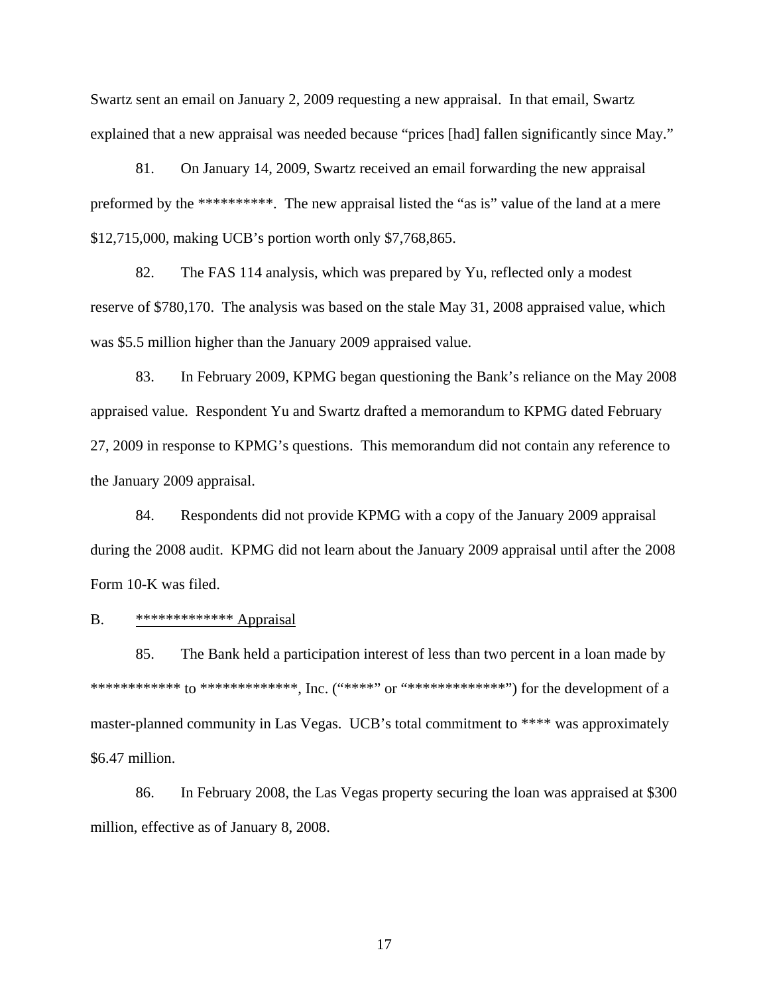Swartz sent an email on January 2, 2009 requesting a new appraisal. In that email, Swartz explained that a new appraisal was needed because "prices [had] fallen significantly since May."

81. On January 14, 2009, Swartz received an email forwarding the new appraisal preformed by the \*\*\*\*\*\*\*\*\*\*. The new appraisal listed the "as is" value of the land at a mere \$12,715,000, making UCB's portion worth only \$7,768,865.

82. The FAS 114 analysis, which was prepared by Yu, reflected only a modest reserve of \$780,170. The analysis was based on the stale May 31, 2008 appraised value, which was \$5.5 million higher than the January 2009 appraised value.

83. In February 2009, KPMG began questioning the Bank's reliance on the May 2008 appraised value. Respondent Yu and Swartz drafted a memorandum to KPMG dated February 27, 2009 in response to KPMG's questions. This memorandum did not contain any reference to the January 2009 appraisal.

84. Respondents did not provide KPMG with a copy of the January 2009 appraisal during the 2008 audit. KPMG did not learn about the January 2009 appraisal until after the 2008 Form 10-K was filed.

#### B. \*\*\*\*\*\*\*\*\*\*\*\*\*\*\*\* Appraisal

85. The Bank held a participation interest of less than two percent in a loan made by \*\*\*\*\*\*\*\*\*\*\*\*\* to \*\*\*\*\*\*\*\*\*\*\*\*\*\*, Inc. ("\*\*\*\*\*" or "\*\*\*\*\*\*\*\*\*\*\*\*\*") for the development of a master-planned community in Las Vegas. UCB's total commitment to \*\*\*\* was approximately \$6.47 million.

86. In February 2008, the Las Vegas property securing the loan was appraised at \$300 million, effective as of January 8, 2008.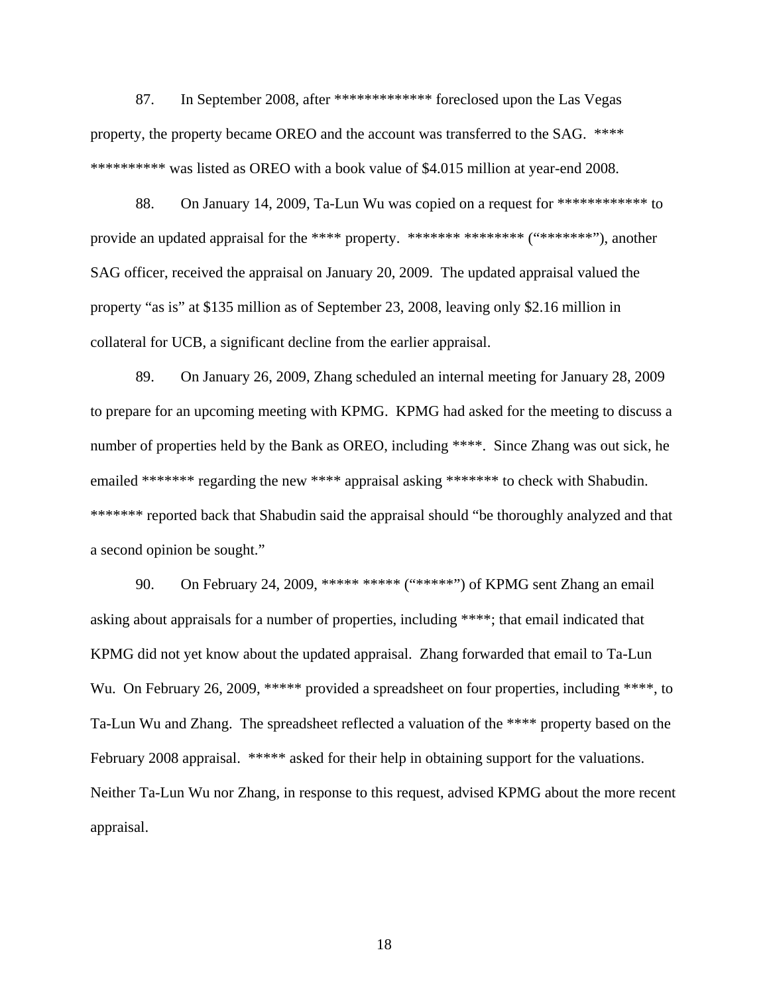87. In September 2008, after \*\*\*\*\*\*\*\*\*\*\*\*\* foreclosed upon the Las Vegas property, the property became OREO and the account was transferred to the SAG. \*\*\*\* \*\*\*\*\*\*\*\*\*\* was listed as OREO with a book value of \$4.015 million at year-end 2008.

88. On January 14, 2009, Ta-Lun Wu was copied on a request for \*\*\*\*\*\*\*\*\*\*\*\*\*\* to provide an updated appraisal for the \*\*\*\* property. \*\*\*\*\*\*\* \*\*\*\*\*\*\*\* ("\*\*\*\*\*\*\*\*"), another SAG officer, received the appraisal on January 20, 2009. The updated appraisal valued the property "as is" at \$135 million as of September 23, 2008, leaving only \$2.16 million in collateral for UCB, a significant decline from the earlier appraisal.

89. On January 26, 2009, Zhang scheduled an internal meeting for January 28, 2009 to prepare for an upcoming meeting with KPMG. KPMG had asked for the meeting to discuss a number of properties held by the Bank as OREO, including \*\*\*\*. Since Zhang was out sick, he emailed \*\*\*\*\*\*\* regarding the new \*\*\*\* appraisal asking \*\*\*\*\*\*\* to check with Shabudin. \*\*\*\*\*\*\* reported back that Shabudin said the appraisal should "be thoroughly analyzed and that a second opinion be sought."

90. On February 24, 2009, \*\*\*\*\* \*\*\*\*\* ("\*\*\*\*\*") of KPMG sent Zhang an email asking about appraisals for a number of properties, including \*\*\*\*; that email indicated that KPMG did not yet know about the updated appraisal. Zhang forwarded that email to Ta-Lun Wu. On February 26, 2009, \*\*\*\*\* provided a spreadsheet on four properties, including \*\*\*\*, to Ta-Lun Wu and Zhang. The spreadsheet reflected a valuation of the \*\*\*\* property based on the February 2008 appraisal. \*\*\*\*\* asked for their help in obtaining support for the valuations. Neither Ta-Lun Wu nor Zhang, in response to this request, advised KPMG about the more recent appraisal.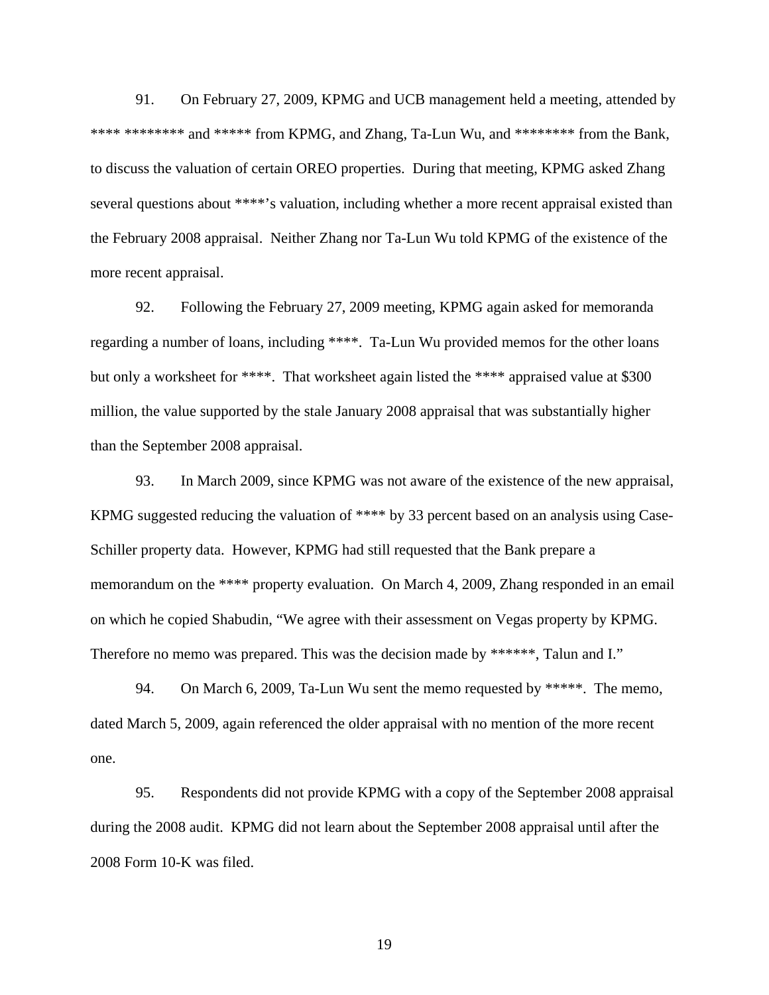91. On February 27, 2009, KPMG and UCB management held a meeting, attended by \*\*\*\* \*\*\*\*\*\*\*\* and \*\*\*\*\* from KPMG, and Zhang, Ta-Lun Wu, and \*\*\*\*\*\*\* from the Bank, to discuss the valuation of certain OREO properties. During that meeting, KPMG asked Zhang several questions about \*\*\*\*'s valuation, including whether a more recent appraisal existed than the February 2008 appraisal. Neither Zhang nor Ta-Lun Wu told KPMG of the existence of the more recent appraisal.

92. Following the February 27, 2009 meeting, KPMG again asked for memoranda regarding a number of loans, including \*\*\*\*. Ta-Lun Wu provided memos for the other loans but only a worksheet for \*\*\*\*. That worksheet again listed the \*\*\*\* appraised value at \$300 million, the value supported by the stale January 2008 appraisal that was substantially higher than the September 2008 appraisal.

93. In March 2009, since KPMG was not aware of the existence of the new appraisal, KPMG suggested reducing the valuation of \*\*\*\* by 33 percent based on an analysis using Case-Schiller property data. However, KPMG had still requested that the Bank prepare a memorandum on the \*\*\*\* property evaluation. On March 4, 2009, Zhang responded in an email on which he copied Shabudin, "We agree with their assessment on Vegas property by KPMG. Therefore no memo was prepared. This was the decision made by \*\*\*\*\*\*, Talun and I."

94. On March 6, 2009, Ta-Lun Wu sent the memo requested by \*\*\*\*\*. The memo, dated March 5, 2009, again referenced the older appraisal with no mention of the more recent one.

95. Respondents did not provide KPMG with a copy of the September 2008 appraisal during the 2008 audit. KPMG did not learn about the September 2008 appraisal until after the 2008 Form 10-K was filed.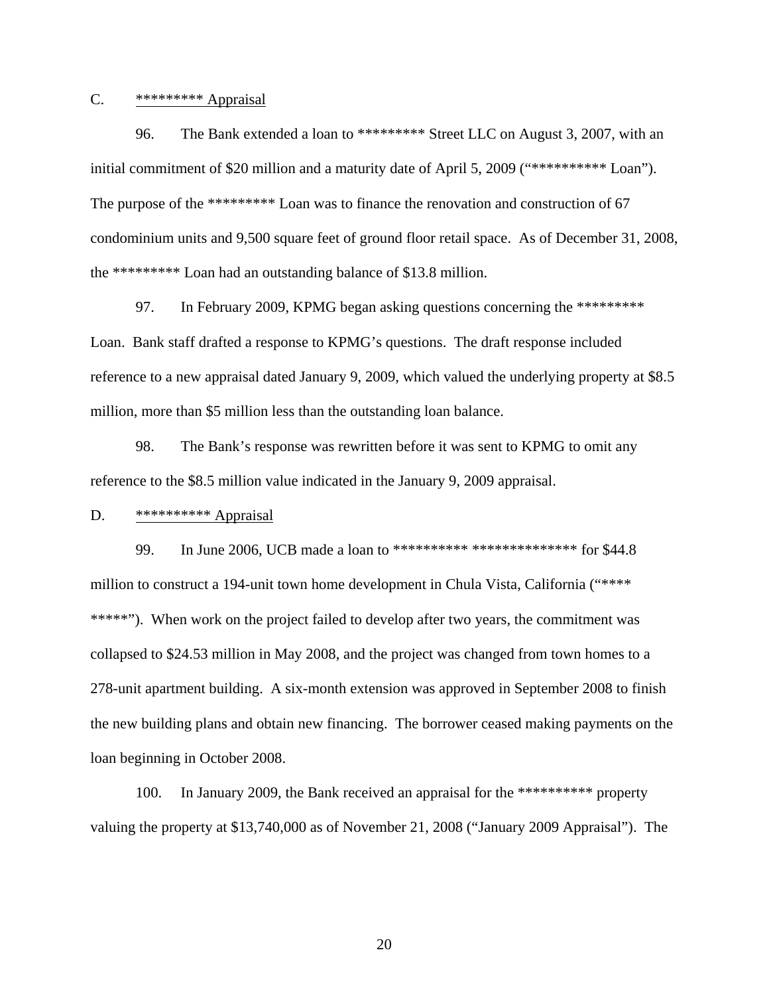# $C.$  \*\*\*\*\*\*\*\*\*<u>\*</u> Appraisal

96. The Bank extended a loan to \*\*\*\*\*\*\*\*\* Street LLC on August 3, 2007, with an initial commitment of \$20 million and a maturity date of April 5, 2009 ("\*\*\*\*\*\*\*\*\*\*\*\* Loan"). The purpose of the \*\*\*\*\*\*\*\*\*\* Loan was to finance the renovation and construction of 67 condominium units and 9,500 square feet of ground floor retail space. As of December 31, 2008, the \*\*\*\*\*\*\*\*\* Loan had an outstanding balance of \$13.8 million.

97. In February 2009, KPMG began asking questions concerning the \*\*\*\*\*\*\*\*\* Loan. Bank staff drafted a response to KPMG's questions. The draft response included reference to a new appraisal dated January 9, 2009, which valued the underlying property at \$8.5 million, more than \$5 million less than the outstanding loan balance.

98. The Bank's response was rewritten before it was sent to KPMG to omit any reference to the \$8.5 million value indicated in the January 9, 2009 appraisal.

#### D. \*\*\*\*\*\*\*\*\*\*\*\* Appraisal

99. In June 2006, UCB made a loan to \*\*\*\*\*\*\*\*\*\* \*\*\*\*\*\*\*\*\*\*\*\*\*\* for \$44.8 million to construct a 194-unit town home development in Chula Vista, California ("\*\*\*\* \*\*\*\*\*"). When work on the project failed to develop after two years, the commitment was collapsed to \$24.53 million in May 2008, and the project was changed from town homes to a 278-unit apartment building. A six-month extension was approved in September 2008 to finish the new building plans and obtain new financing. The borrower ceased making payments on the loan beginning in October 2008.

100. In January 2009, the Bank received an appraisal for the \*\*\*\*\*\*\*\*\*\* property valuing the property at \$13,740,000 as of November 21, 2008 ("January 2009 Appraisal"). The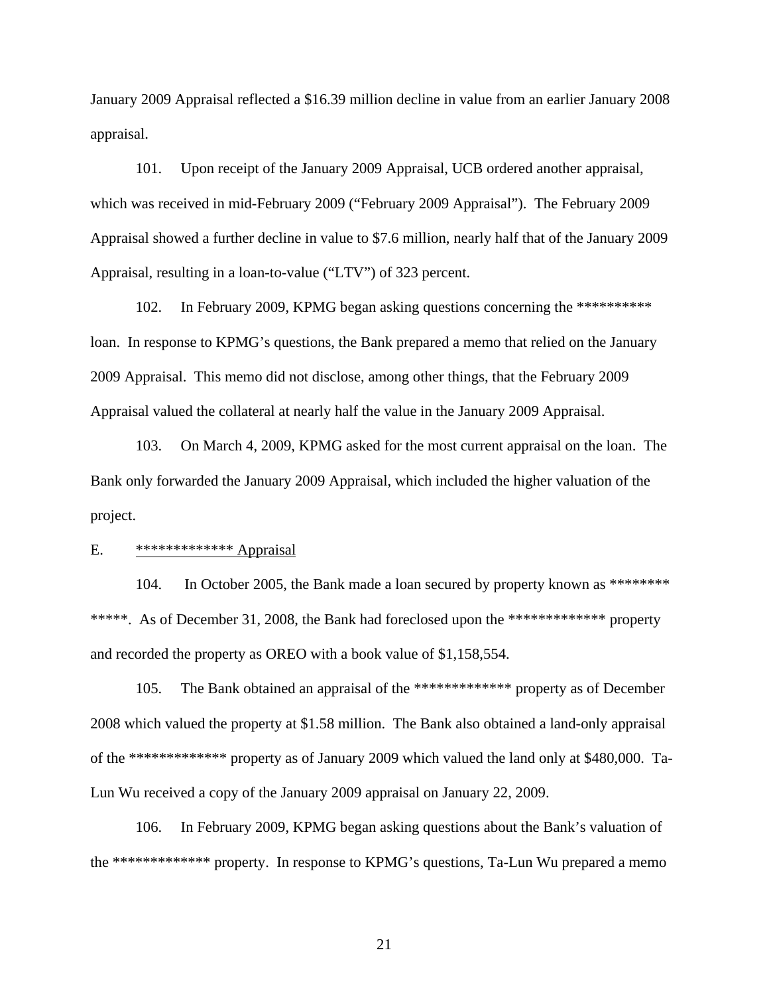January 2009 Appraisal reflected a \$16.39 million decline in value from an earlier January 2008 appraisal.

101. Upon receipt of the January 2009 Appraisal, UCB ordered another appraisal, which was received in mid-February 2009 ("February 2009 Appraisal"). The February 2009 Appraisal showed a further decline in value to \$7.6 million, nearly half that of the January 2009 Appraisal, resulting in a loan-to-value ("LTV") of 323 percent.

102. In February 2009, KPMG began asking questions concerning the \*\*\*\*\*\*\*\*\*\* loan. In response to KPMG's questions, the Bank prepared a memo that relied on the January 2009 Appraisal. This memo did not disclose, among other things, that the February 2009 Appraisal valued the collateral at nearly half the value in the January 2009 Appraisal.

103. On March 4, 2009, KPMG asked for the most current appraisal on the loan. The Bank only forwarded the January 2009 Appraisal, which included the higher valuation of the project.

# E. \*\*\*\*\*\*\*\*\*\*\*\*\* Appraisal

104. In October 2005, the Bank made a loan secured by property known as \*\*\*\*\*\*\*\* \*\*\*\*\*. As of December 31, 2008, the Bank had foreclosed upon the \*\*\*\*\*\*\*\*\*\*\*\*\*\*\* property and recorded the property as OREO with a book value of \$1,158,554.

105. The Bank obtained an appraisal of the \*\*\*\*\*\*\*\*\*\*\*\*\* property as of December 2008 which valued the property at \$1.58 million. The Bank also obtained a land-only appraisal of the \*\*\*\*\*\*\*\*\*\*\*\*\* property as of January 2009 which valued the land only at \$480,000. Ta-Lun Wu received a copy of the January 2009 appraisal on January 22, 2009.

106. In February 2009, KPMG began asking questions about the Bank's valuation of the \*\*\*\*\*\*\*\*\*\*\*\*\* property. In response to KPMG's questions, Ta-Lun Wu prepared a memo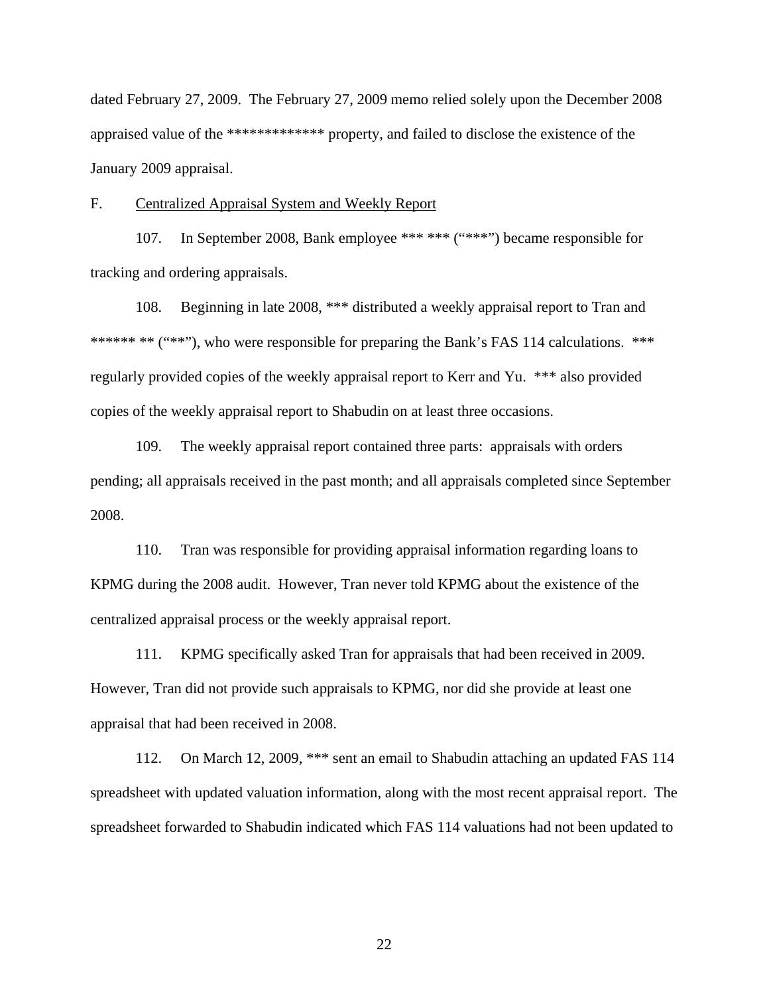dated February 27, 2009. The February 27, 2009 memo relied solely upon the December 2008 appraised value of the \*\*\*\*\*\*\*\*\*\*\*\*\* property, and failed to disclose the existence of the January 2009 appraisal.

#### F. Centralized Appraisal System and Weekly Report

107. In September 2008, Bank employee \*\*\* \*\*\* ("\*\*\*") became responsible for tracking and ordering appraisals.

108. Beginning in late 2008, \*\*\* distributed a weekly appraisal report to Tran and \*\*\*\*\*\* \*\* ("\*\*"), who were responsible for preparing the Bank's FAS 114 calculations. \*\*\* regularly provided copies of the weekly appraisal report to Kerr and Yu. \*\*\* also provided copies of the weekly appraisal report to Shabudin on at least three occasions.

109. The weekly appraisal report contained three parts: appraisals with orders pending; all appraisals received in the past month; and all appraisals completed since September 2008.

110. Tran was responsible for providing appraisal information regarding loans to KPMG during the 2008 audit. However, Tran never told KPMG about the existence of the centralized appraisal process or the weekly appraisal report.

111. KPMG specifically asked Tran for appraisals that had been received in 2009. However, Tran did not provide such appraisals to KPMG, nor did she provide at least one appraisal that had been received in 2008.

112. On March 12, 2009, \*\*\* sent an email to Shabudin attaching an updated FAS 114 spreadsheet with updated valuation information, along with the most recent appraisal report. The spreadsheet forwarded to Shabudin indicated which FAS 114 valuations had not been updated to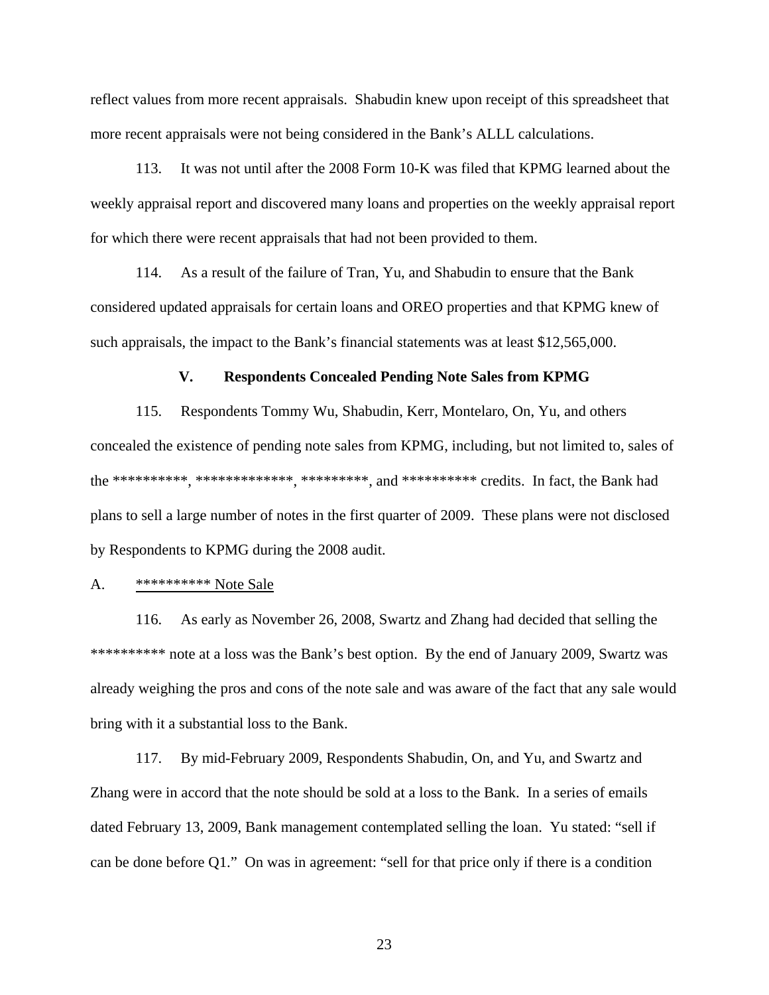reflect values from more recent appraisals. Shabudin knew upon receipt of this spreadsheet that more recent appraisals were not being considered in the Bank's ALLL calculations.

113. It was not until after the 2008 Form 10-K was filed that KPMG learned about the weekly appraisal report and discovered many loans and properties on the weekly appraisal report for which there were recent appraisals that had not been provided to them.

114. As a result of the failure of Tran, Yu, and Shabudin to ensure that the Bank considered updated appraisals for certain loans and OREO properties and that KPMG knew of such appraisals, the impact to the Bank's financial statements was at least \$12,565,000.

## **V. Respondents Concealed Pending Note Sales from KPMG**

115. Respondents Tommy Wu, Shabudin, Kerr, Montelaro, On, Yu, and others concealed the existence of pending note sales from KPMG, including, but not limited to, sales of the \*\*\*\*\*\*\*\*\*\*, \*\*\*\*\*\*\*\*\*\*\*\*\*, \*\*\*\*\*\*\*\*\*, and \*\*\*\*\*\*\*\*\*\* credits. In fact, the Bank had plans to sell a large number of notes in the first quarter of 2009. These plans were not disclosed by Respondents to KPMG during the 2008 audit.

#### A. \*\*\*\*\*\*\*\*\*\* Note Sale

116. As early as November 26, 2008, Swartz and Zhang had decided that selling the \*\*\*\*\*\*\*\*\*\* note at a loss was the Bank's best option. By the end of January 2009, Swartz was already weighing the pros and cons of the note sale and was aware of the fact that any sale would bring with it a substantial loss to the Bank.

117. By mid-February 2009, Respondents Shabudin, On, and Yu, and Swartz and Zhang were in accord that the note should be sold at a loss to the Bank. In a series of emails dated February 13, 2009, Bank management contemplated selling the loan. Yu stated: "sell if can be done before Q1." On was in agreement: "sell for that price only if there is a condition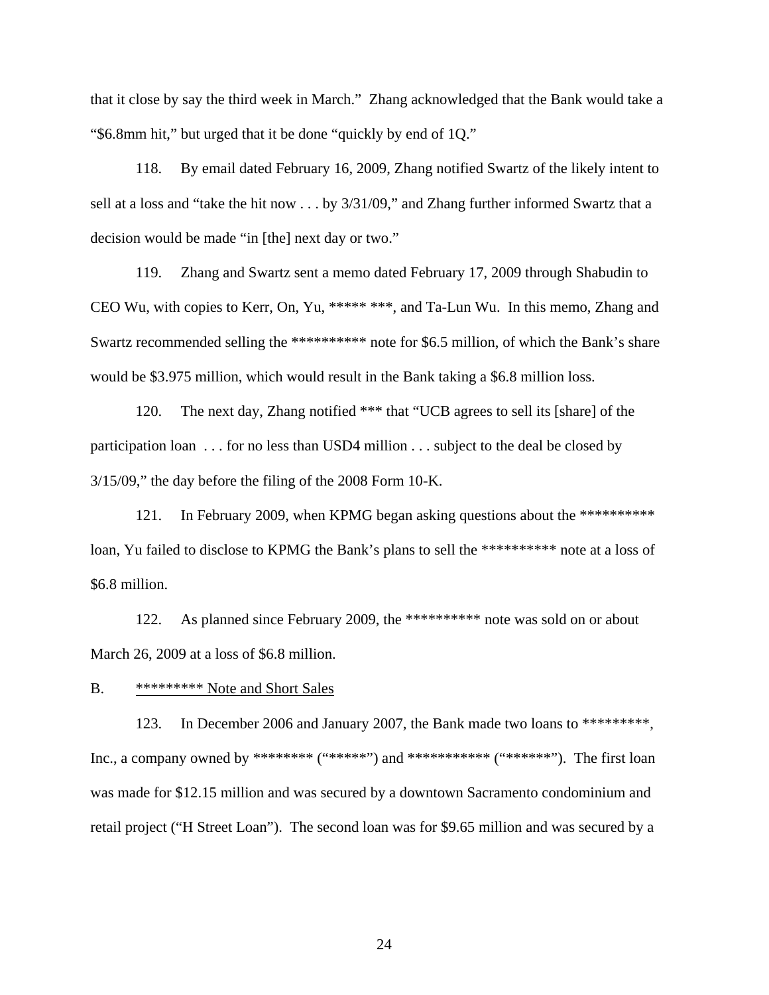that it close by say the third week in March." Zhang acknowledged that the Bank would take a "\$6.8mm hit," but urged that it be done "quickly by end of 1Q."

118. By email dated February 16, 2009, Zhang notified Swartz of the likely intent to sell at a loss and "take the hit now . . . by 3/31/09," and Zhang further informed Swartz that a decision would be made "in [the] next day or two."

119. Zhang and Swartz sent a memo dated February 17, 2009 through Shabudin to CEO Wu, with copies to Kerr, On, Yu, \*\*\*\*\* \*\*\*, and Ta-Lun Wu. In this memo, Zhang and Swartz recommended selling the \*\*\*\*\*\*\*\*\*\* note for \$6.5 million, of which the Bank's share would be \$3.975 million, which would result in the Bank taking a \$6.8 million loss.

120. The next day, Zhang notified \*\*\* that "UCB agrees to sell its [share] of the participation loan . . . for no less than USD4 million . . . subject to the deal be closed by 3/15/09," the day before the filing of the 2008 Form 10-K.

121. In February 2009, when KPMG began asking questions about the \*\*\*\*\*\*\*\*\*\*\* loan, Yu failed to disclose to KPMG the Bank's plans to sell the \*\*\*\*\*\*\*\*\*\* note at a loss of \$6.8 million.

122. As planned since February 2009, the \*\*\*\*\*\*\*\*\*\* note was sold on or about March 26, 2009 at a loss of \$6.8 million.

# B. \*\*\*\*\*\*\*\*\*\* Note and Short Sales

123. In December 2006 and January 2007, the Bank made two loans to \*\*\*\*\*\*\*\*\*, Inc., a company owned by \*\*\*\*\*\*\*\* ("\*\*\*\*\*\*") and \*\*\*\*\*\*\*\*\*\*\* ("\*\*\*\*\*\*\*"). The first loan was made for \$12.15 million and was secured by a downtown Sacramento condominium and retail project ("H Street Loan"). The second loan was for \$9.65 million and was secured by a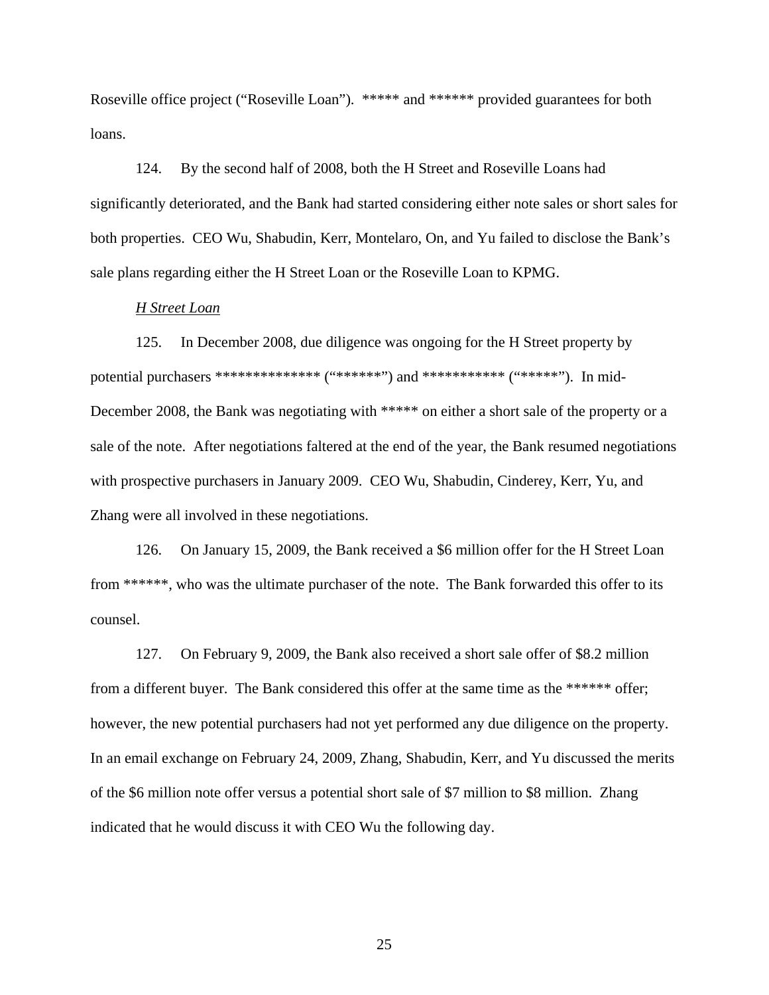Roseville office project ("Roseville Loan"). \*\*\*\*\* and \*\*\*\*\*\* provided guarantees for both loans.

124. By the second half of 2008, both the H Street and Roseville Loans had significantly deteriorated, and the Bank had started considering either note sales or short sales for both properties. CEO Wu, Shabudin, Kerr, Montelaro, On, and Yu failed to disclose the Bank's sale plans regarding either the H Street Loan or the Roseville Loan to KPMG.

## *H Street Loan*

125. In December 2008, due diligence was ongoing for the H Street property by potential purchasers \*\*\*\*\*\*\*\*\*\*\*\*\*\* ("\*\*\*\*\*\*") and \*\*\*\*\*\*\*\*\*\*\* ("\*\*\*\*\*"). In mid-December 2008, the Bank was negotiating with \*\*\*\*\* on either a short sale of the property or a sale of the note. After negotiations faltered at the end of the year, the Bank resumed negotiations with prospective purchasers in January 2009. CEO Wu, Shabudin, Cinderey, Kerr, Yu, and Zhang were all involved in these negotiations.

126. On January 15, 2009, the Bank received a \$6 million offer for the H Street Loan from \*\*\*\*\*\*, who was the ultimate purchaser of the note. The Bank forwarded this offer to its counsel.

127. On February 9, 2009, the Bank also received a short sale offer of \$8.2 million from a different buyer. The Bank considered this offer at the same time as the \*\*\*\*\*\* offer; however, the new potential purchasers had not yet performed any due diligence on the property. In an email exchange on February 24, 2009, Zhang, Shabudin, Kerr, and Yu discussed the merits of the \$6 million note offer versus a potential short sale of \$7 million to \$8 million. Zhang indicated that he would discuss it with CEO Wu the following day.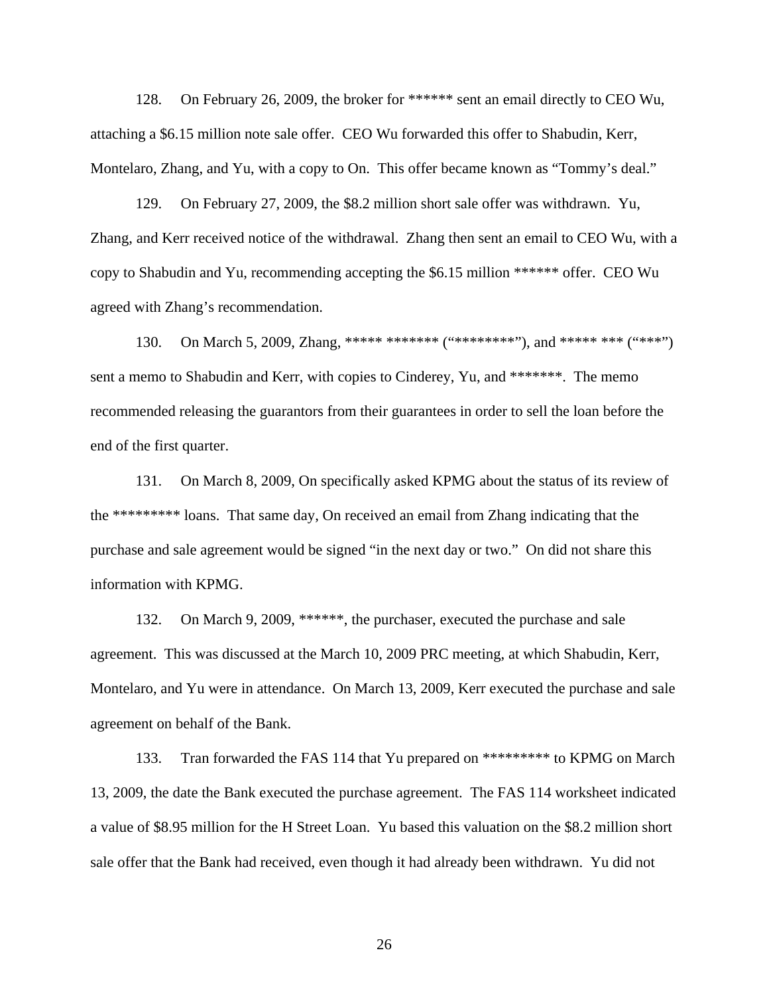128. On February 26, 2009, the broker for \*\*\*\*\*\* sent an email directly to CEO Wu, attaching a \$6.15 million note sale offer. CEO Wu forwarded this offer to Shabudin, Kerr, Montelaro, Zhang, and Yu, with a copy to On. This offer became known as "Tommy's deal."

129. On February 27, 2009, the \$8.2 million short sale offer was withdrawn. Yu, Zhang, and Kerr received notice of the withdrawal. Zhang then sent an email to CEO Wu, with a copy to Shabudin and Yu, recommending accepting the \$6.15 million \*\*\*\*\*\* offer. CEO Wu agreed with Zhang's recommendation.

130. On March 5, 2009, Zhang, \*\*\*\*\* \*\*\*\*\*\*\* ("\*\*\*\*\*\*\*\*"), and \*\*\*\*\* \*\*\* ("\*\*\*") sent a memo to Shabudin and Kerr, with copies to Cinderey, Yu, and \*\*\*\*\*\*\*. The memo recommended releasing the guarantors from their guarantees in order to sell the loan before the end of the first quarter.

131. On March 8, 2009, On specifically asked KPMG about the status of its review of the \*\*\*\*\*\*\*\*\* loans. That same day, On received an email from Zhang indicating that the purchase and sale agreement would be signed "in the next day or two." On did not share this information with KPMG.

132. On March 9, 2009, \*\*\*\*\*\*, the purchaser, executed the purchase and sale agreement. This was discussed at the March 10, 2009 PRC meeting, at which Shabudin, Kerr, Montelaro, and Yu were in attendance. On March 13, 2009, Kerr executed the purchase and sale agreement on behalf of the Bank.

133. Tran forwarded the FAS 114 that Yu prepared on \*\*\*\*\*\*\*\*\* to KPMG on March 13, 2009, the date the Bank executed the purchase agreement. The FAS 114 worksheet indicated a value of \$8.95 million for the H Street Loan. Yu based this valuation on the \$8.2 million short sale offer that the Bank had received, even though it had already been withdrawn. Yu did not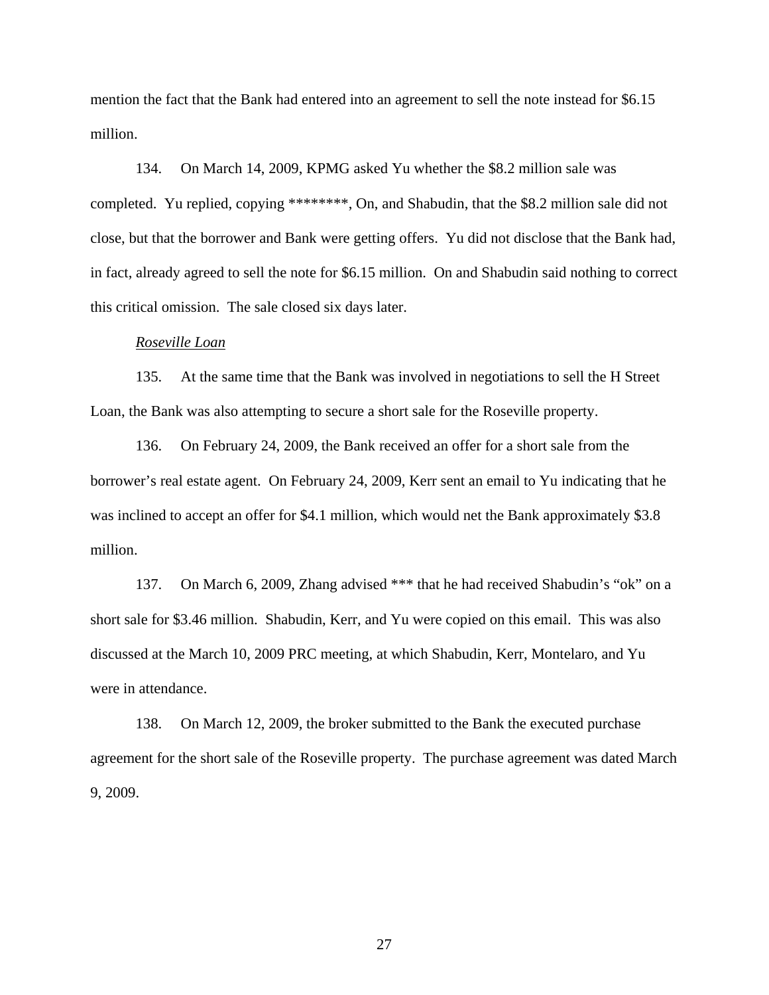mention the fact that the Bank had entered into an agreement to sell the note instead for \$6.15 million.

134. On March 14, 2009, KPMG asked Yu whether the \$8.2 million sale was completed. Yu replied, copying \*\*\*\*\*\*\*\*, On, and Shabudin, that the \$8.2 million sale did not close, but that the borrower and Bank were getting offers. Yu did not disclose that the Bank had, in fact, already agreed to sell the note for \$6.15 million. On and Shabudin said nothing to correct this critical omission. The sale closed six days later.

#### *Roseville Loan*

135. At the same time that the Bank was involved in negotiations to sell the H Street Loan, the Bank was also attempting to secure a short sale for the Roseville property.

136. On February 24, 2009, the Bank received an offer for a short sale from the borrower's real estate agent. On February 24, 2009, Kerr sent an email to Yu indicating that he was inclined to accept an offer for \$4.1 million, which would net the Bank approximately \$3.8 million.

137. On March 6, 2009, Zhang advised \*\*\* that he had received Shabudin's "ok" on a short sale for \$3.46 million. Shabudin, Kerr, and Yu were copied on this email. This was also discussed at the March 10, 2009 PRC meeting, at which Shabudin, Kerr, Montelaro, and Yu were in attendance.

138. On March 12, 2009, the broker submitted to the Bank the executed purchase agreement for the short sale of the Roseville property. The purchase agreement was dated March 9, 2009.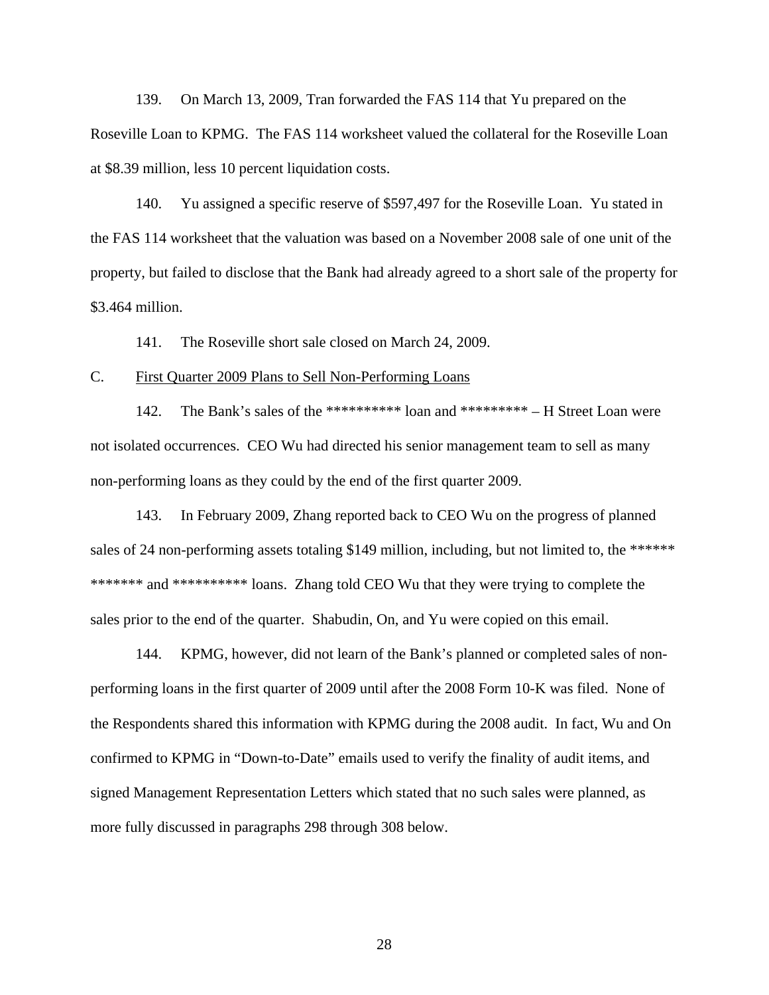139. On March 13, 2009, Tran forwarded the FAS 114 that Yu prepared on the Roseville Loan to KPMG. The FAS 114 worksheet valued the collateral for the Roseville Loan at \$8.39 million, less 10 percent liquidation costs.

140. Yu assigned a specific reserve of \$597,497 for the Roseville Loan. Yu stated in the FAS 114 worksheet that the valuation was based on a November 2008 sale of one unit of the property, but failed to disclose that the Bank had already agreed to a short sale of the property for \$3.464 million.

141. The Roseville short sale closed on March 24, 2009.

## C. First Quarter 2009 Plans to Sell Non-Performing Loans

142. The Bank's sales of the \*\*\*\*\*\*\*\*\*\* loan and \*\*\*\*\*\*\*\*\* – H Street Loan were not isolated occurrences. CEO Wu had directed his senior management team to sell as many non-performing loans as they could by the end of the first quarter 2009.

143. In February 2009, Zhang reported back to CEO Wu on the progress of planned sales of 24 non-performing assets totaling \$149 million, including, but not limited to, the \*\*\*\*\*\* \*\*\*\*\*\*\*\* and \*\*\*\*\*\*\*\*\*\* loans. Zhang told CEO Wu that they were trying to complete the sales prior to the end of the quarter. Shabudin, On, and Yu were copied on this email.

144. KPMG, however, did not learn of the Bank's planned or completed sales of nonperforming loans in the first quarter of 2009 until after the 2008 Form 10-K was filed. None of the Respondents shared this information with KPMG during the 2008 audit. In fact, Wu and On confirmed to KPMG in "Down-to-Date" emails used to verify the finality of audit items, and signed Management Representation Letters which stated that no such sales were planned, as more fully discussed in paragraphs 298 through 308 below.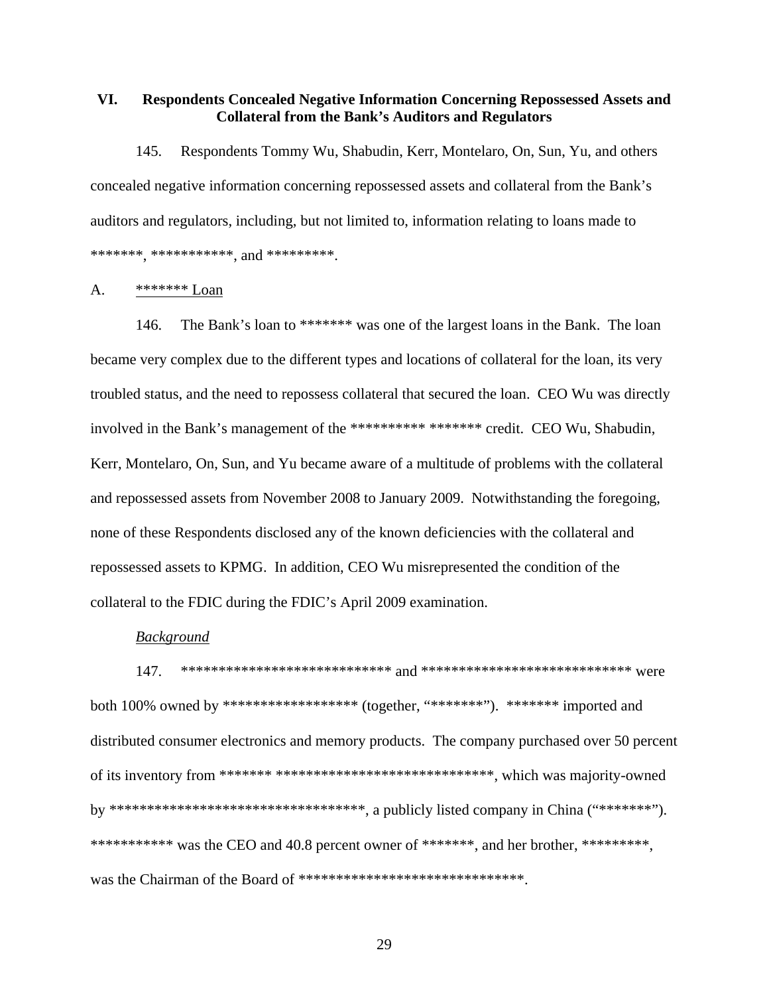# **VI. Respondents Concealed Negative Information Concerning Repossessed Assets and Collateral from the Bank's Auditors and Regulators**

145. Respondents Tommy Wu, Shabudin, Kerr, Montelaro, On, Sun, Yu, and others concealed negative information concerning repossessed assets and collateral from the Bank's auditors and regulators, including, but not limited to, information relating to loans made to \*\*\*\*\*\*\*, \*\*\*\*\*\*\*\*\*\*\*, and \*\*\*\*\*\*\*\*\*.

## A. \*\*\*\*\*\*\* Loan

146. The Bank's loan to \*\*\*\*\*\*\* was one of the largest loans in the Bank. The loan became very complex due to the different types and locations of collateral for the loan, its very troubled status, and the need to repossess collateral that secured the loan. CEO Wu was directly involved in the Bank's management of the \*\*\*\*\*\*\*\*\*\*\*\*\*\*\*\*\*\*\*\* credit. CEO Wu, Shabudin, Kerr, Montelaro, On, Sun, and Yu became aware of a multitude of problems with the collateral and repossessed assets from November 2008 to January 2009. Notwithstanding the foregoing, none of these Respondents disclosed any of the known deficiencies with the collateral and repossessed assets to KPMG. In addition, CEO Wu misrepresented the condition of the collateral to the FDIC during the FDIC's April 2009 examination.

#### *Background*

147. \*\*\*\*\*\*\*\*\*\*\*\*\*\*\*\*\*\*\*\*\*\*\*\*\*\*\*\* and \*\*\*\*\*\*\*\*\*\*\*\*\*\*\*\*\*\*\*\*\*\*\*\*\*\*\*\* were both 100% owned by \*\*\*\*\*\*\*\*\*\*\*\*\*\*\*\*\*\*\*\*\* (together, "\*\*\*\*\*\*\*"). \*\*\*\*\*\*\* imported and distributed consumer electronics and memory products. The company purchased over 50 percent of its inventory from \*\*\*\*\*\*\* \*\*\*\*\*\*\*\*\*\*\*\*\*\*\*\*\*\*\*\*\*\*\*\*\*\*\*\*\*, which was majority-owned by \*\*\*\*\*\*\*\*\*\*\*\*\*\*\*\*\*\*\*\*\*\*\*\*\*\*\*\*\*\*\*\*\*\*, a publicly listed company in China ("\*\*\*\*\*\*\*"). \*\*\*\*\*\*\*\*\*\*\* was the CEO and 40.8 percent owner of \*\*\*\*\*\*\*, and her brother, \*\*\*\*\*\*\*\*\*, was the Chairman of the Board of \*\*\*\*\*\*\*\*\*\*\*\*\*\*\*\*\*\*\*\*\*\*\*\*\*\*\*\*\*\*\*\*.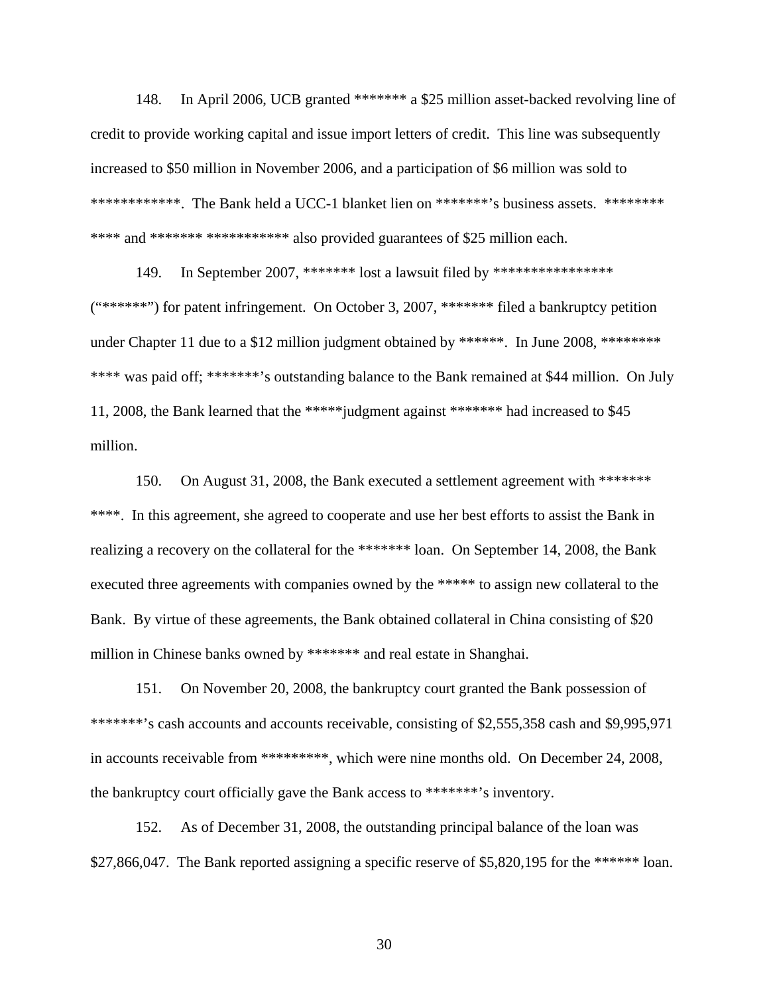148. In April 2006, UCB granted \*\*\*\*\*\*\* a \$25 million asset-backed revolving line of credit to provide working capital and issue import letters of credit. This line was subsequently increased to \$50 million in November 2006, and a participation of \$6 million was sold to \*\*\*\*\*\*\*\*\*\*\*\*\*. The Bank held a UCC-1 blanket lien on \*\*\*\*\*\*\*'s business assets. \*\*\*\*\*\*\*\* \*\*\*\* and \*\*\*\*\*\*\* \*\*\*\*\*\*\*\*\*\*\*\*\* also provided guarantees of \$25 million each.

149. In September 2007, \*\*\*\*\*\*\* lost a lawsuit filed by \*\*\*\*\*\*\*\*\*\*\*\*\*\*\*\*\*  $("****")$  for patent infringement. On October 3, 2007, \*\*\*\*\*\*\* filed a bankruptcy petition under Chapter 11 due to a \$12 million judgment obtained by \*\*\*\*\*\*\*. In June 2008, \*\*\*\*\*\*\*\* \*\*\*\* was paid off; \*\*\*\*\*\*\*'s outstanding balance to the Bank remained at \$44 million. On July 11, 2008, the Bank learned that the \*\*\*\*\*judgment against \*\*\*\*\*\*\* had increased to \$45 million.

150. On August 31, 2008, the Bank executed a settlement agreement with \*\*\*\*\*\*\* \*\*\*\*. In this agreement, she agreed to cooperate and use her best efforts to assist the Bank in realizing a recovery on the collateral for the \*\*\*\*\*\*\* loan. On September 14, 2008, the Bank executed three agreements with companies owned by the \*\*\*\*\* to assign new collateral to the Bank. By virtue of these agreements, the Bank obtained collateral in China consisting of \$20 million in Chinese banks owned by \*\*\*\*\*\*\* and real estate in Shanghai.

151. On November 20, 2008, the bankruptcy court granted the Bank possession of \*\*\*\*\*\*\*\*'s cash accounts and accounts receivable, consisting of \$2,555,358 cash and \$9,995,971 in accounts receivable from \*\*\*\*\*\*\*\*\*, which were nine months old. On December 24, 2008, the bankruptcy court officially gave the Bank access to \*\*\*\*\*\*\*'s inventory.

152. As of December 31, 2008, the outstanding principal balance of the loan was \$27,866,047. The Bank reported assigning a specific reserve of \$5,820,195 for the \*\*\*\*\*\* loan.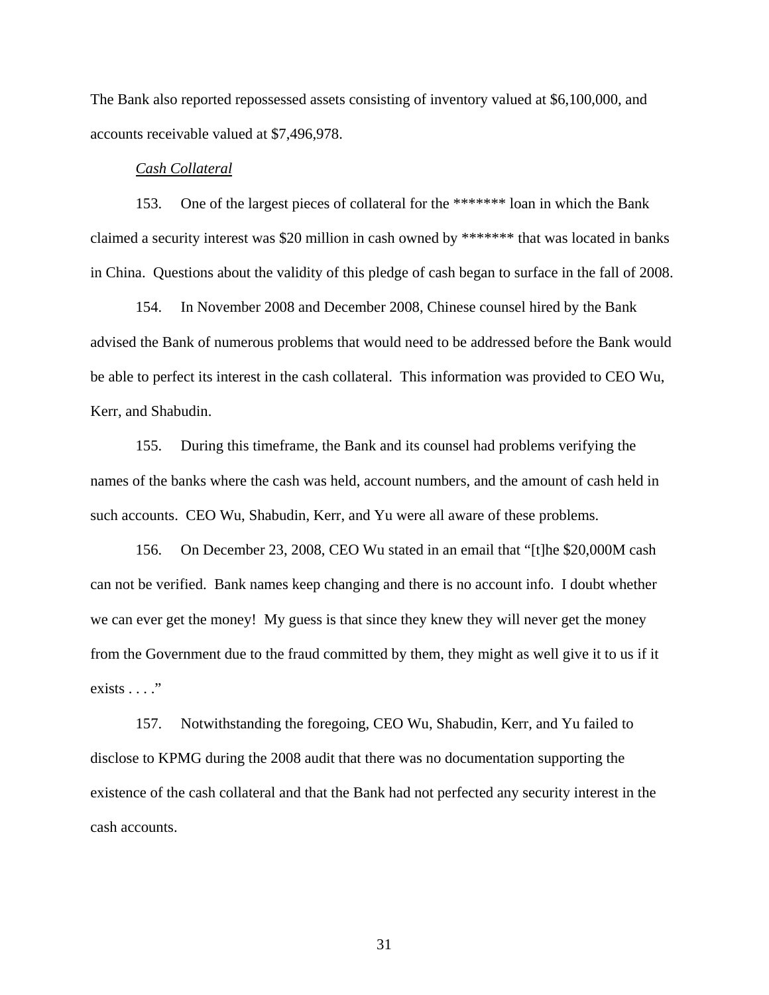The Bank also reported repossessed assets consisting of inventory valued at \$6,100,000, and accounts receivable valued at \$7,496,978.

#### *Cash Collateral*

153. One of the largest pieces of collateral for the \*\*\*\*\*\*\* loan in which the Bank claimed a security interest was \$20 million in cash owned by \*\*\*\*\*\*\* that was located in banks in China. Questions about the validity of this pledge of cash began to surface in the fall of 2008.

154. In November 2008 and December 2008, Chinese counsel hired by the Bank advised the Bank of numerous problems that would need to be addressed before the Bank would be able to perfect its interest in the cash collateral. This information was provided to CEO Wu, Kerr, and Shabudin.

155. During this timeframe, the Bank and its counsel had problems verifying the names of the banks where the cash was held, account numbers, and the amount of cash held in such accounts. CEO Wu, Shabudin, Kerr, and Yu were all aware of these problems.

156. On December 23, 2008, CEO Wu stated in an email that "[t]he \$20,000M cash can not be verified. Bank names keep changing and there is no account info. I doubt whether we can ever get the money! My guess is that since they knew they will never get the money from the Government due to the fraud committed by them, they might as well give it to us if it exists  $\ldots$  ."

157. Notwithstanding the foregoing, CEO Wu, Shabudin, Kerr, and Yu failed to disclose to KPMG during the 2008 audit that there was no documentation supporting the existence of the cash collateral and that the Bank had not perfected any security interest in the cash accounts.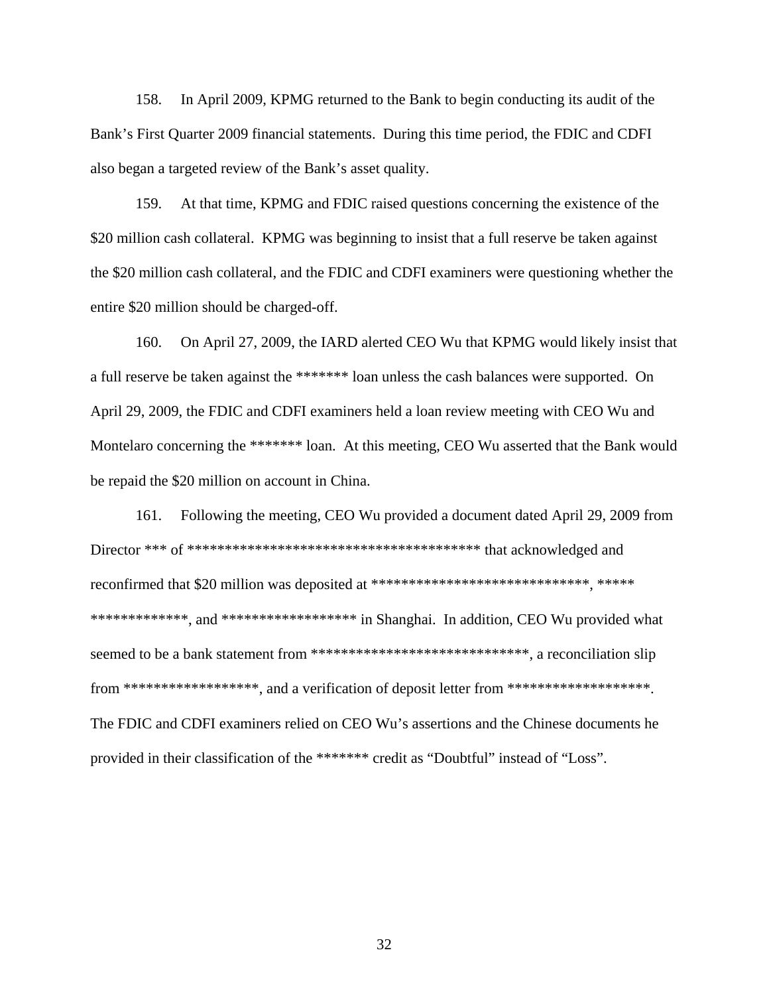158. In April 2009, KPMG returned to the Bank to begin conducting its audit of the Bank's First Quarter 2009 financial statements. During this time period, the FDIC and CDFI also began a targeted review of the Bank's asset quality.

159. At that time, KPMG and FDIC raised questions concerning the existence of the \$20 million cash collateral. KPMG was beginning to insist that a full reserve be taken against the \$20 million cash collateral, and the FDIC and CDFI examiners were questioning whether the entire \$20 million should be charged-off.

160. On April 27, 2009, the IARD alerted CEO Wu that KPMG would likely insist that a full reserve be taken against the \*\*\*\*\*\*\* loan unless the cash balances were supported. On April 29, 2009, the FDIC and CDFI examiners held a loan review meeting with CEO Wu and Montelaro concerning the \*\*\*\*\*\*\* loan. At this meeting, CEO Wu asserted that the Bank would be repaid the \$20 million on account in China.

161. Following the meeting, CEO Wu provided a document dated April 29, 2009 from Director \*\*\* of \*\*\*\*\*\*\*\*\*\*\*\*\*\*\*\*\*\*\*\*\*\*\*\*\*\*\*\*\*\*\*\*\*\*\*\*\*\*\* that acknowledged and reconfirmed that \$20 million was deposited at \*\*\*\*\*\*\*\*\*\*\*\*\*\*\*\*\*\*\*\*\*\*\*\*\*\*\*\*\*, \*\*\*\*\* \*\*\*\*\*\*\*\*\*\*\*\*\*, and \*\*\*\*\*\*\*\*\*\*\*\*\*\*\*\*\*\*\*\* in Shanghai. In addition, CEO Wu provided what seemed to be a bank statement from \*\*\*\*\*\*\*\*\*\*\*\*\*\*\*\*\*\*\*\*\*\*\*\*\*\*\*\*\*, a reconciliation slip from \*\*\*\*\*\*\*\*\*\*\*\*\*\*\*\*\*\*, and a verification of deposit letter from \*\*\*\*\*\*\*\*\*\*\*\*\*\*\*\*\*\*\*. The FDIC and CDFI examiners relied on CEO Wu's assertions and the Chinese documents he provided in their classification of the \*\*\*\*\*\*\* credit as "Doubtful" instead of "Loss".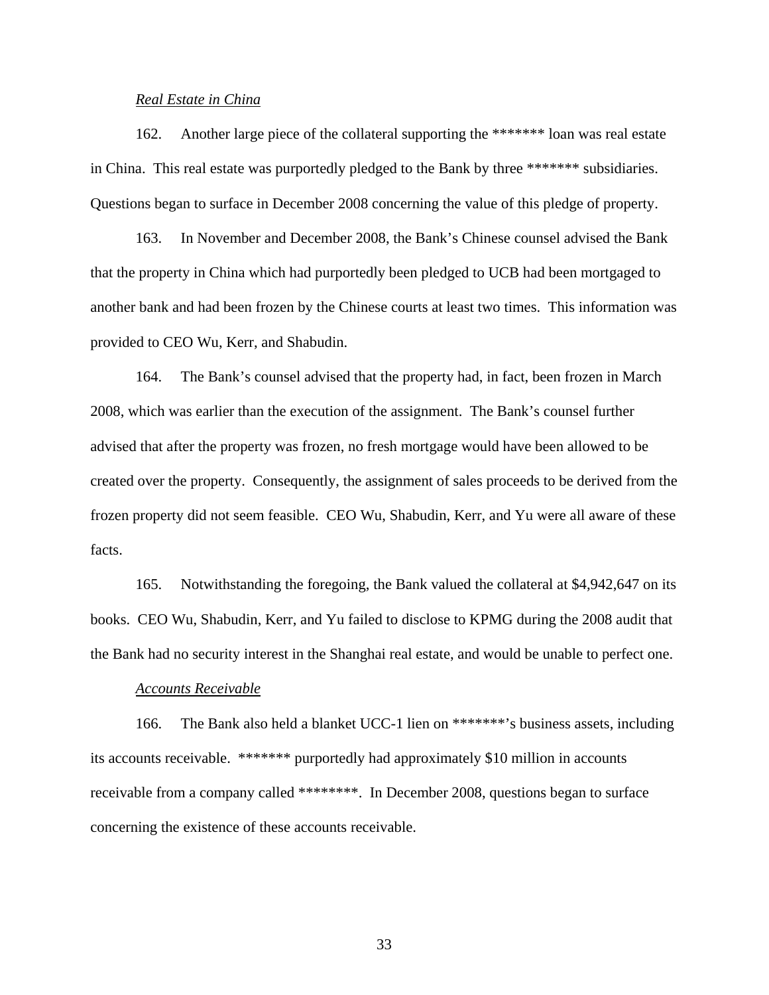## *Real Estate in China*

162. Another large piece of the collateral supporting the \*\*\*\*\*\*\* loan was real estate in China. This real estate was purportedly pledged to the Bank by three \*\*\*\*\*\*\* subsidiaries. Questions began to surface in December 2008 concerning the value of this pledge of property.

163. In November and December 2008, the Bank's Chinese counsel advised the Bank that the property in China which had purportedly been pledged to UCB had been mortgaged to another bank and had been frozen by the Chinese courts at least two times. This information was provided to CEO Wu, Kerr, and Shabudin.

164. The Bank's counsel advised that the property had, in fact, been frozen in March 2008, which was earlier than the execution of the assignment. The Bank's counsel further advised that after the property was frozen, no fresh mortgage would have been allowed to be created over the property. Consequently, the assignment of sales proceeds to be derived from the frozen property did not seem feasible. CEO Wu, Shabudin, Kerr, and Yu were all aware of these facts.

165. Notwithstanding the foregoing, the Bank valued the collateral at \$4,942,647 on its books. CEO Wu, Shabudin, Kerr, and Yu failed to disclose to KPMG during the 2008 audit that the Bank had no security interest in the Shanghai real estate, and would be unable to perfect one.

#### *Accounts Receivable*

166. The Bank also held a blanket UCC-1 lien on \*\*\*\*\*\*\*'s business assets, including its accounts receivable. \*\*\*\*\*\*\* purportedly had approximately \$10 million in accounts receivable from a company called \*\*\*\*\*\*\*\*. In December 2008, questions began to surface concerning the existence of these accounts receivable.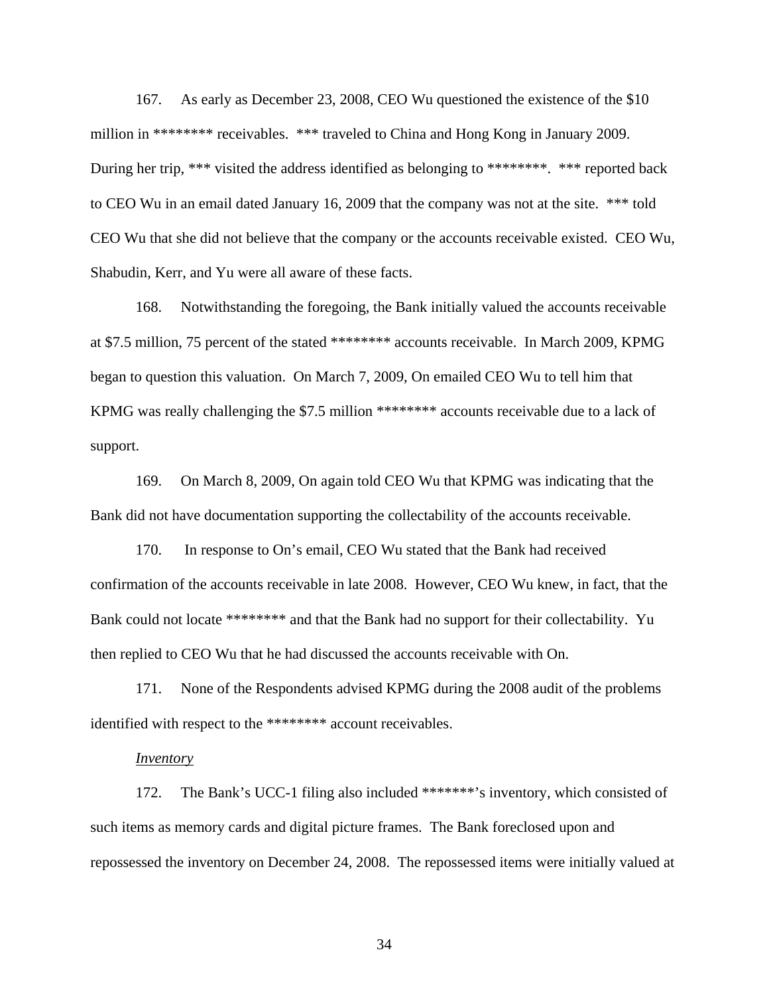167. As early as December 23, 2008, CEO Wu questioned the existence of the \$10 million in \*\*\*\*\*\*\*\* receivables. \*\*\* traveled to China and Hong Kong in January 2009. During her trip, \*\*\* visited the address identified as belonging to \*\*\*\*\*\*\*\*. \*\*\* reported back to CEO Wu in an email dated January 16, 2009 that the company was not at the site. \*\*\* told CEO Wu that she did not believe that the company or the accounts receivable existed. CEO Wu, Shabudin, Kerr, and Yu were all aware of these facts.

168. Notwithstanding the foregoing, the Bank initially valued the accounts receivable at \$7.5 million, 75 percent of the stated \*\*\*\*\*\*\*\* accounts receivable. In March 2009, KPMG began to question this valuation. On March 7, 2009, On emailed CEO Wu to tell him that KPMG was really challenging the \$7.5 million \*\*\*\*\*\*\*\* accounts receivable due to a lack of support.

169. On March 8, 2009, On again told CEO Wu that KPMG was indicating that the Bank did not have documentation supporting the collectability of the accounts receivable.

170. In response to On's email, CEO Wu stated that the Bank had received confirmation of the accounts receivable in late 2008. However, CEO Wu knew, in fact, that the Bank could not locate \*\*\*\*\*\*\*\* and that the Bank had no support for their collectability. Yu then replied to CEO Wu that he had discussed the accounts receivable with On.

171. None of the Respondents advised KPMG during the 2008 audit of the problems identified with respect to the \*\*\*\*\*\*\*\* account receivables.

#### *Inventory*

172. The Bank's UCC-1 filing also included \*\*\*\*\*\*\*'s inventory, which consisted of such items as memory cards and digital picture frames. The Bank foreclosed upon and repossessed the inventory on December 24, 2008. The repossessed items were initially valued at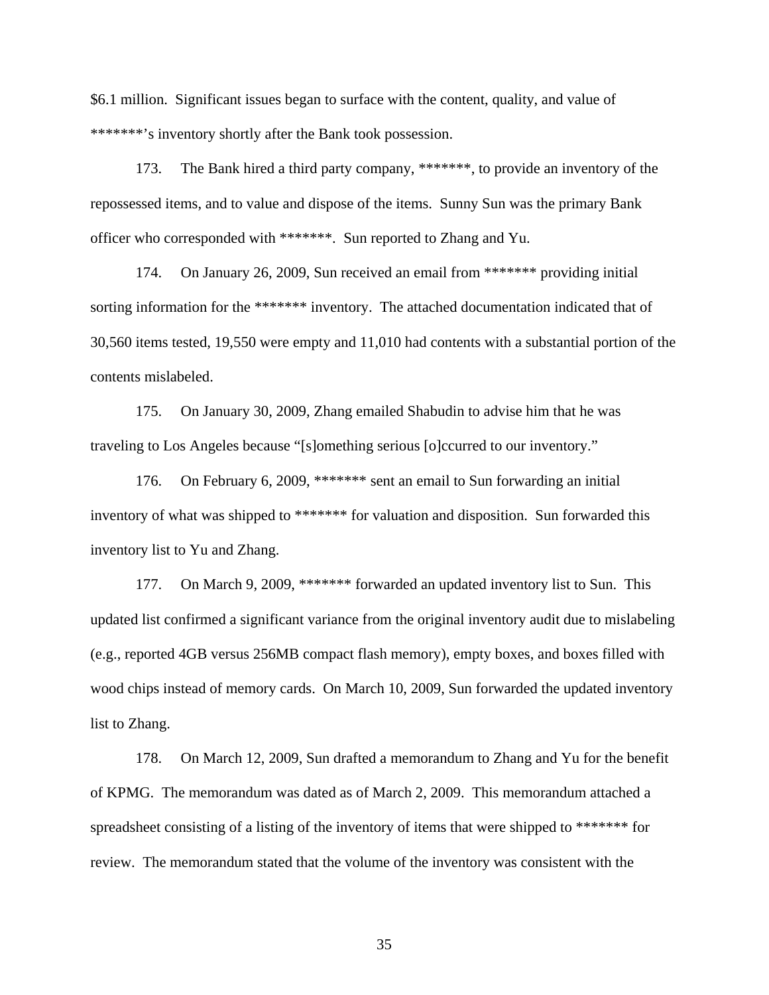\$6.1 million. Significant issues began to surface with the content, quality, and value of \*\*\*\*\*\*\*'s inventory shortly after the Bank took possession.

173. The Bank hired a third party company, \*\*\*\*\*\*\*, to provide an inventory of the repossessed items, and to value and dispose of the items. Sunny Sun was the primary Bank officer who corresponded with \*\*\*\*\*\*\*. Sun reported to Zhang and Yu.

174. On January 26, 2009, Sun received an email from \*\*\*\*\*\*\* providing initial sorting information for the \*\*\*\*\*\*\* inventory. The attached documentation indicated that of 30,560 items tested, 19,550 were empty and 11,010 had contents with a substantial portion of the contents mislabeled.

175. On January 30, 2009, Zhang emailed Shabudin to advise him that he was traveling to Los Angeles because "[s]omething serious [o]ccurred to our inventory."

176. On February 6, 2009, \*\*\*\*\*\*\* sent an email to Sun forwarding an initial inventory of what was shipped to \*\*\*\*\*\*\* for valuation and disposition. Sun forwarded this inventory list to Yu and Zhang.

177. On March 9, 2009, \*\*\*\*\*\*\* forwarded an updated inventory list to Sun. This updated list confirmed a significant variance from the original inventory audit due to mislabeling (e.g., reported 4GB versus 256MB compact flash memory), empty boxes, and boxes filled with wood chips instead of memory cards. On March 10, 2009, Sun forwarded the updated inventory list to Zhang.

178. On March 12, 2009, Sun drafted a memorandum to Zhang and Yu for the benefit of KPMG. The memorandum was dated as of March 2, 2009. This memorandum attached a spreadsheet consisting of a listing of the inventory of items that were shipped to \*\*\*\*\*\*\* for review. The memorandum stated that the volume of the inventory was consistent with the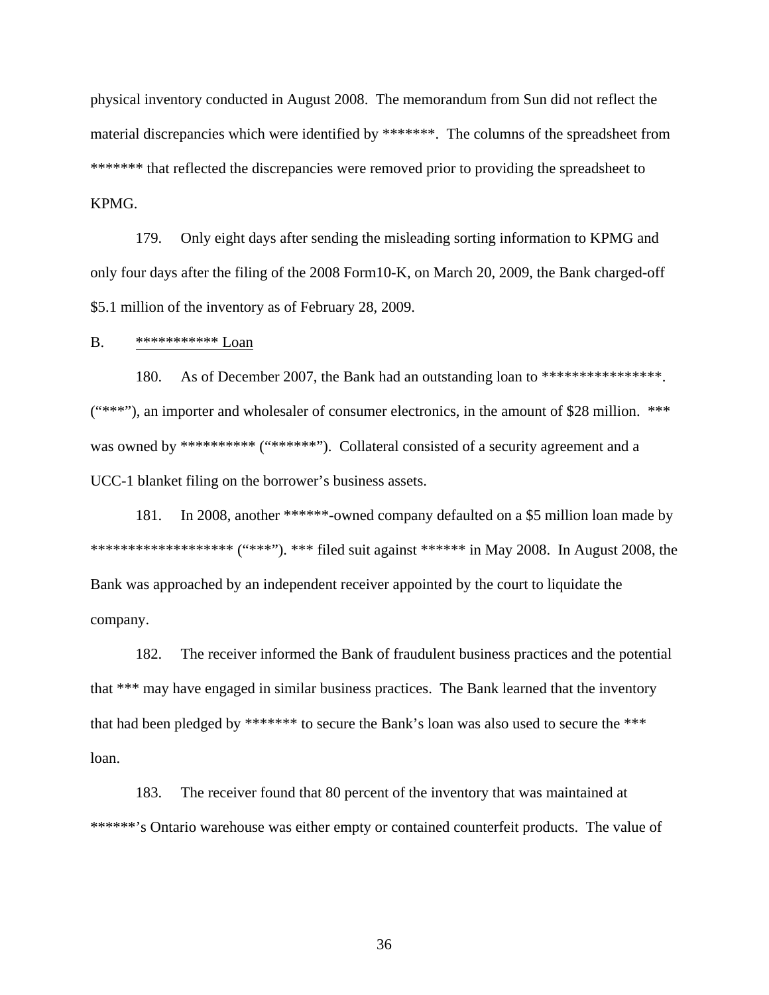physical inventory conducted in August 2008. The memorandum from Sun did not reflect the material discrepancies which were identified by \*\*\*\*\*\*\*. The columns of the spreadsheet from \*\*\*\*\*\*\*\* that reflected the discrepancies were removed prior to providing the spreadsheet to KPMG.

179. Only eight days after sending the misleading sorting information to KPMG and only four days after the filing of the 2008 Form10-K, on March 20, 2009, the Bank charged-off \$5.1 million of the inventory as of February 28, 2009.

B. \*\*\*\*\*\*\*\*\*\*\* Loan

180. As of December 2007, the Bank had an outstanding loan to \*\*\*\*\*\*\*\*\*\*\*\*\*\*\*\*\*.  $(****$ "), an importer and wholesaler of consumer electronics, in the amount of \$28 million. \*\*\* was owned by \*\*\*\*\*\*\*\*\*\* ("\*\*\*\*\*\*\*"). Collateral consisted of a security agreement and a UCC-1 blanket filing on the borrower's business assets.

181. In 2008, another \*\*\*\*\*\*-owned company defaulted on a \$5 million loan made by \*\*\*\*\*\*\*\*\*\*\*\*\*\*\*\*\*\*\*\* ("\*\*\*"). \*\*\* filed suit against \*\*\*\*\*\* in May 2008. In August 2008, the Bank was approached by an independent receiver appointed by the court to liquidate the company.

182. The receiver informed the Bank of fraudulent business practices and the potential that \*\*\* may have engaged in similar business practices. The Bank learned that the inventory that had been pledged by \*\*\*\*\*\*\* to secure the Bank's loan was also used to secure the \*\*\* loan.

183. The receiver found that 80 percent of the inventory that was maintained at \*\*\*\*\*\*'s Ontario warehouse was either empty or contained counterfeit products. The value of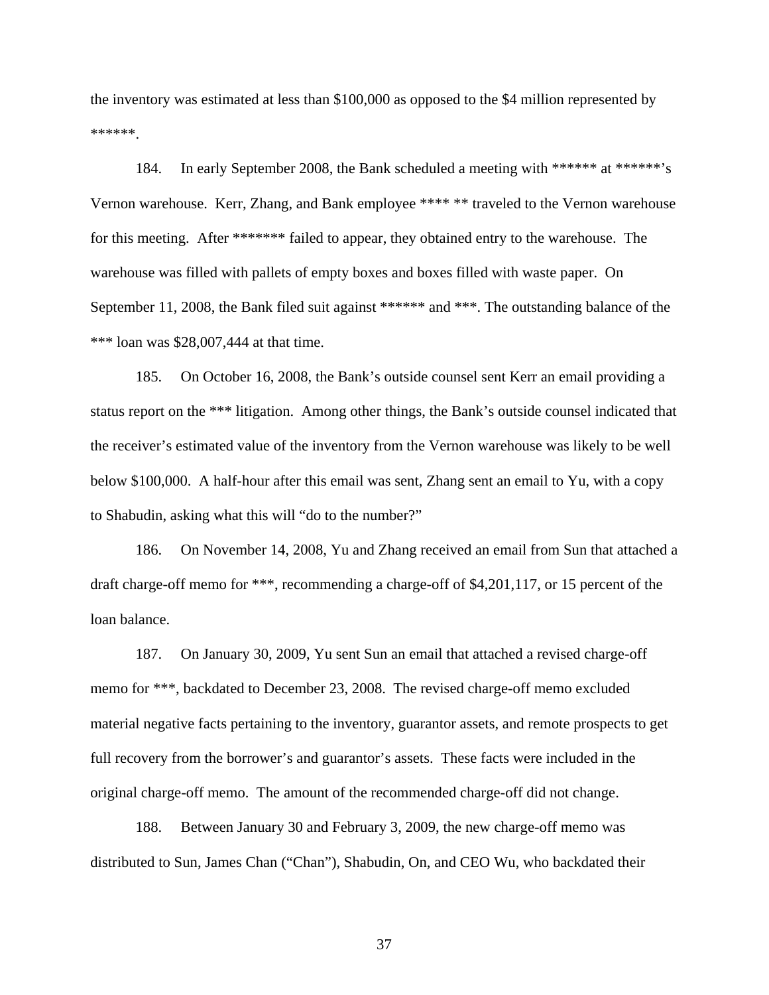the inventory was estimated at less than \$100,000 as opposed to the \$4 million represented by \*\*\*\*\*\*.

184. In early September 2008, the Bank scheduled a meeting with \*\*\*\*\*\* at \*\*\*\*\*\*'s Vernon warehouse. Kerr, Zhang, and Bank employee \*\*\*\* \*\* traveled to the Vernon warehouse for this meeting. After \*\*\*\*\*\*\* failed to appear, they obtained entry to the warehouse. The warehouse was filled with pallets of empty boxes and boxes filled with waste paper. On September 11, 2008, the Bank filed suit against \*\*\*\*\*\* and \*\*\*. The outstanding balance of the \*\*\* loan was \$28,007,444 at that time.

185. On October 16, 2008, the Bank's outside counsel sent Kerr an email providing a status report on the \*\*\* litigation. Among other things, the Bank's outside counsel indicated that the receiver's estimated value of the inventory from the Vernon warehouse was likely to be well below \$100,000. A half-hour after this email was sent, Zhang sent an email to Yu, with a copy to Shabudin, asking what this will "do to the number?"

186. On November 14, 2008, Yu and Zhang received an email from Sun that attached a draft charge-off memo for \*\*\*, recommending a charge-off of \$4,201,117, or 15 percent of the loan balance.

187. On January 30, 2009, Yu sent Sun an email that attached a revised charge-off memo for \*\*\*, backdated to December 23, 2008. The revised charge-off memo excluded material negative facts pertaining to the inventory, guarantor assets, and remote prospects to get full recovery from the borrower's and guarantor's assets. These facts were included in the original charge-off memo. The amount of the recommended charge-off did not change.

188. Between January 30 and February 3, 2009, the new charge-off memo was distributed to Sun, James Chan ("Chan"), Shabudin, On, and CEO Wu, who backdated their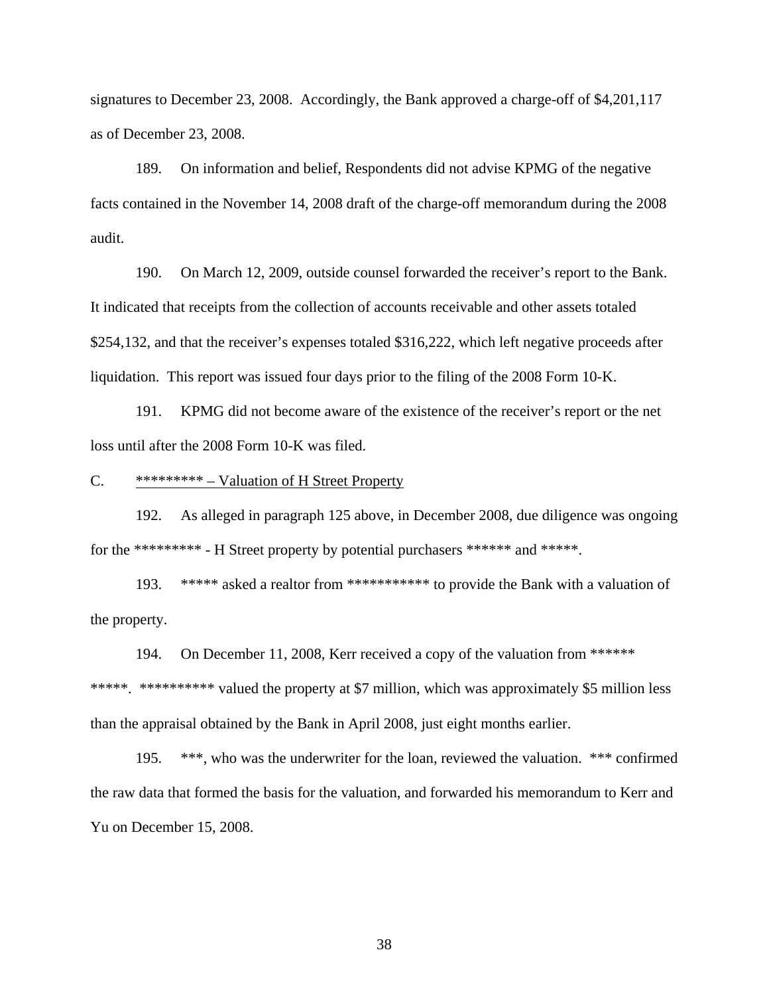signatures to December 23, 2008. Accordingly, the Bank approved a charge-off of \$4,201,117 as of December 23, 2008.

189. On information and belief, Respondents did not advise KPMG of the negative facts contained in the November 14, 2008 draft of the charge-off memorandum during the 2008 audit.

190. On March 12, 2009, outside counsel forwarded the receiver's report to the Bank. It indicated that receipts from the collection of accounts receivable and other assets totaled \$254,132, and that the receiver's expenses totaled \$316,222, which left negative proceeds after liquidation. This report was issued four days prior to the filing of the 2008 Form 10-K.

191. KPMG did not become aware of the existence of the receiver's report or the net loss until after the 2008 Form 10-K was filed.

#### C. \*\*\*\*\*\*\*\*\* – Valuation of H Street Property

192. As alleged in paragraph 125 above, in December 2008, due diligence was ongoing for the \*\*\*\*\*\*\*\*\* - H Street property by potential purchasers \*\*\*\*\*\* and \*\*\*\*\*.

193. \*\*\*\*\* asked a realtor from \*\*\*\*\*\*\*\*\*\*\* to provide the Bank with a valuation of the property.

194. On December 11, 2008, Kerr received a copy of the valuation from \*\*\*\*\*\* \*\*\*\*\*. \*\*\*\*\*\*\*\*\*\* valued the property at \$7 million, which was approximately \$5 million less than the appraisal obtained by the Bank in April 2008, just eight months earlier.

195. \*\*\*, who was the underwriter for the loan, reviewed the valuation. \*\*\* confirmed the raw data that formed the basis for the valuation, and forwarded his memorandum to Kerr and Yu on December 15, 2008.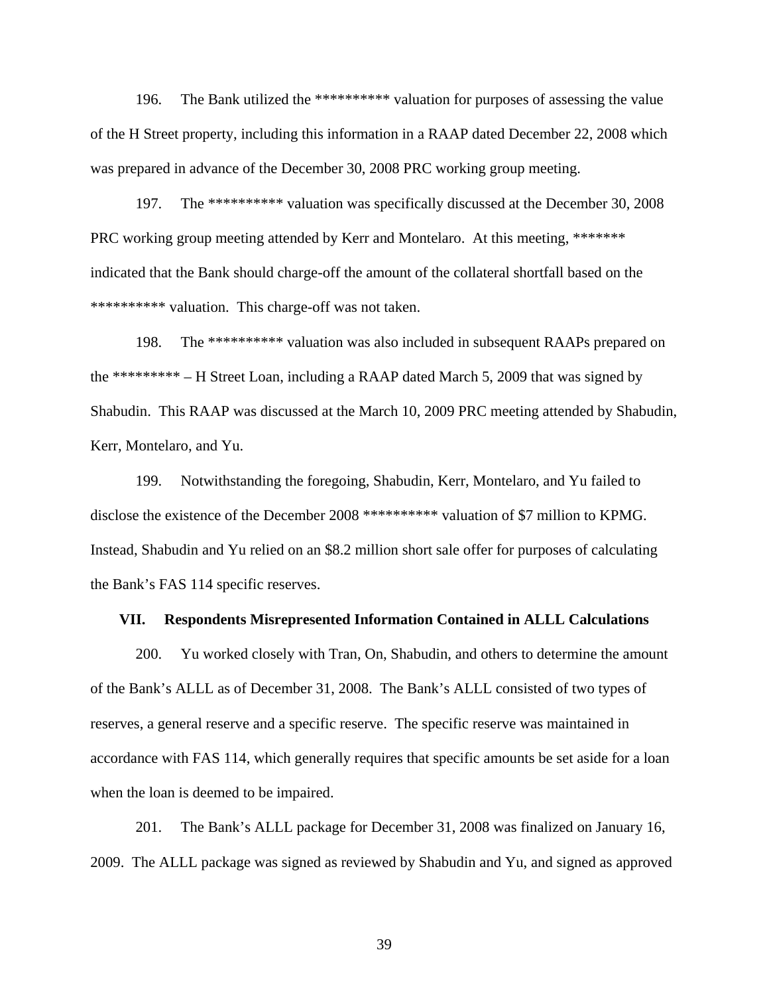196. The Bank utilized the \*\*\*\*\*\*\*\*\*\* valuation for purposes of assessing the value of the H Street property, including this information in a RAAP dated December 22, 2008 which was prepared in advance of the December 30, 2008 PRC working group meeting.

197. The \*\*\*\*\*\*\*\*\*\* valuation was specifically discussed at the December 30, 2008 PRC working group meeting attended by Kerr and Montelaro. At this meeting, \*\*\*\*\*\*\* indicated that the Bank should charge-off the amount of the collateral shortfall based on the \*\*\*\*\*\*\*\*\*\* valuation. This charge-off was not taken.

198. The \*\*\*\*\*\*\*\*\*\* valuation was also included in subsequent RAAPs prepared on the \*\*\*\*\*\*\*\*\* – H Street Loan, including a RAAP dated March 5, 2009 that was signed by Shabudin. This RAAP was discussed at the March 10, 2009 PRC meeting attended by Shabudin, Kerr, Montelaro, and Yu.

199. Notwithstanding the foregoing, Shabudin, Kerr, Montelaro, and Yu failed to disclose the existence of the December 2008 \*\*\*\*\*\*\*\*\*\* valuation of \$7 million to KPMG. Instead, Shabudin and Yu relied on an \$8.2 million short sale offer for purposes of calculating the Bank's FAS 114 specific reserves.

#### **VII. Respondents Misrepresented Information Contained in ALLL Calculations**

200. Yu worked closely with Tran, On, Shabudin, and others to determine the amount of the Bank's ALLL as of December 31, 2008. The Bank's ALLL consisted of two types of reserves, a general reserve and a specific reserve. The specific reserve was maintained in accordance with FAS 114, which generally requires that specific amounts be set aside for a loan when the loan is deemed to be impaired.

201. The Bank's ALLL package for December 31, 2008 was finalized on January 16, 2009. The ALLL package was signed as reviewed by Shabudin and Yu, and signed as approved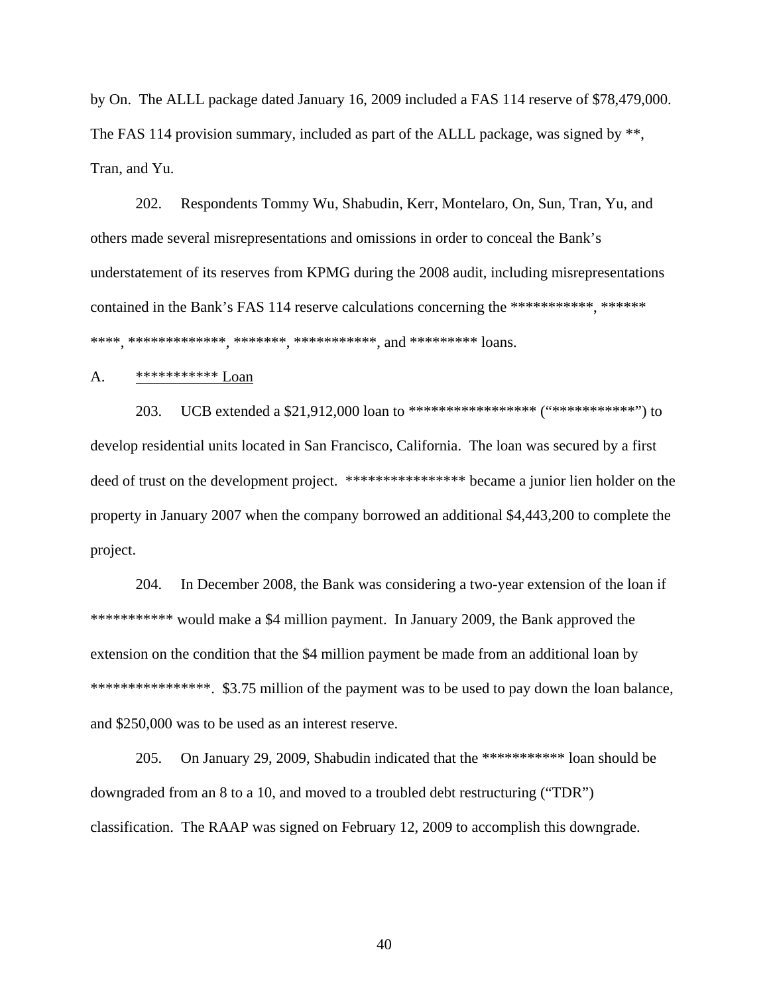by On. The ALLL package dated January 16, 2009 included a FAS 114 reserve of \$78,479,000. The FAS 114 provision summary, included as part of the ALLL package, was signed by \*\*, Tran, and Yu.

202. Respondents Tommy Wu, Shabudin, Kerr, Montelaro, On, Sun, Tran, Yu, and others made several misrepresentations and omissions in order to conceal the Bank's understatement of its reserves from KPMG during the 2008 audit, including misrepresentations contained in the Bank's FAS 114 reserve calculations concerning the \*\*\*\*\*\*\*\*\*\*\*, \*\*\*\*\*\*\* \*\*\*\*, \*\*\*\*\*\*\*\*\*\*\*\*\*, \*\*\*\*\*\*\*, \*\*\*\*\*\*\*\*\*\*\*, and \*\*\*\*\*\*\*\*\* loans.

# A. \*\*\*\*\*\*\*\*\*\*\* Loan

203. UCB extended a \$21,912,000 loan to \*\*\*\*\*\*\*\*\*\*\*\*\*\*\*\*\* ("\*\*\*\*\*\*\*\*\*\*\*") to develop residential units located in San Francisco, California. The loan was secured by a first deed of trust on the development project. \*\*\*\*\*\*\*\*\*\*\*\*\*\*\*\*\*\*\* became a junior lien holder on the property in January 2007 when the company borrowed an additional \$4,443,200 to complete the project.

204. In December 2008, the Bank was considering a two-year extension of the loan if \*\*\*\*\*\*\*\*\*\*\*\* would make a \$4 million payment. In January 2009, the Bank approved the extension on the condition that the \$4 million payment be made from an additional loan by \*\*\*\*\*\*\*\*\*\*\*\*\*\*\*\*. \$3.75 million of the payment was to be used to pay down the loan balance, and \$250,000 was to be used as an interest reserve.

205. On January 29, 2009, Shabudin indicated that the \*\*\*\*\*\*\*\*\*\*\* loan should be downgraded from an 8 to a 10, and moved to a troubled debt restructuring ("TDR") classification. The RAAP was signed on February 12, 2009 to accomplish this downgrade.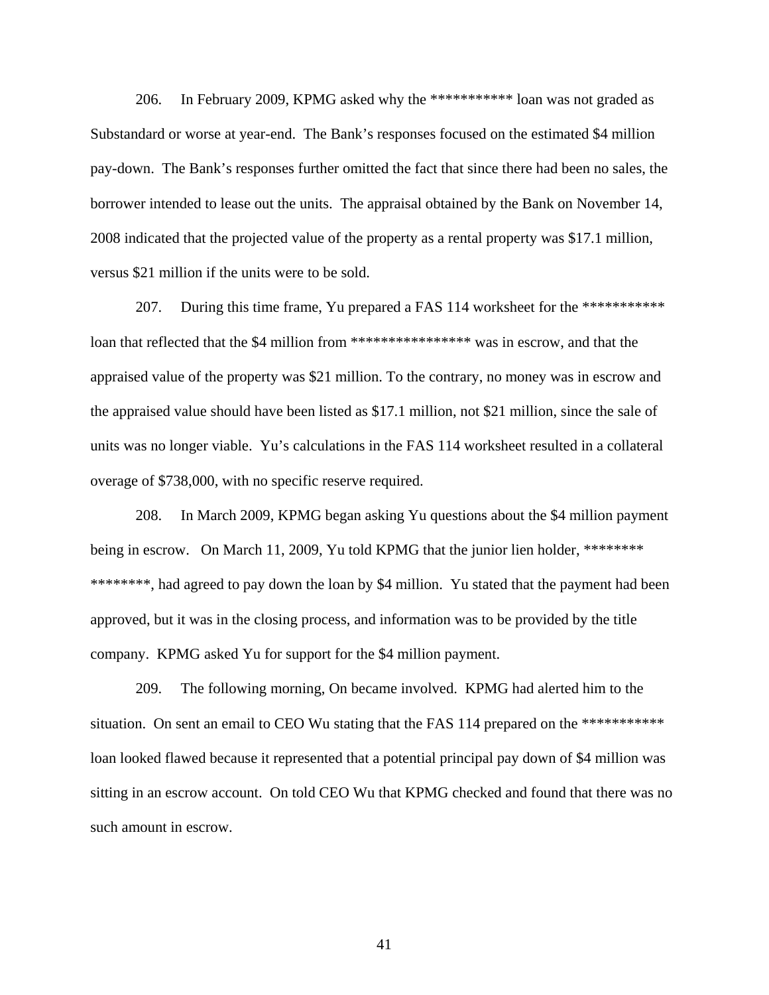206. In February 2009, KPMG asked why the \*\*\*\*\*\*\*\*\*\*\* loan was not graded as Substandard or worse at year-end. The Bank's responses focused on the estimated \$4 million pay-down. The Bank's responses further omitted the fact that since there had been no sales, the borrower intended to lease out the units. The appraisal obtained by the Bank on November 14, 2008 indicated that the projected value of the property as a rental property was \$17.1 million, versus \$21 million if the units were to be sold.

207. During this time frame, Yu prepared a FAS 114 worksheet for the \*\*\*\*\*\*\*\*\*\*\*\* loan that reflected that the \$4 million from \*\*\*\*\*\*\*\*\*\*\*\*\*\*\*\*\* was in escrow, and that the appraised value of the property was \$21 million. To the contrary, no money was in escrow and the appraised value should have been listed as \$17.1 million, not \$21 million, since the sale of units was no longer viable. Yu's calculations in the FAS 114 worksheet resulted in a collateral overage of \$738,000, with no specific reserve required.

208. In March 2009, KPMG began asking Yu questions about the \$4 million payment being in escrow. On March 11, 2009, Yu told KPMG that the junior lien holder, \*\*\*\*\*\*\*\* \*\*\*\*\*\*\*\*, had agreed to pay down the loan by \$4 million. Yu stated that the payment had been approved, but it was in the closing process, and information was to be provided by the title company. KPMG asked Yu for support for the \$4 million payment.

209. The following morning, On became involved. KPMG had alerted him to the situation. On sent an email to CEO Wu stating that the FAS 114 prepared on the \*\*\*\*\*\*\*\*\*\*\*\* loan looked flawed because it represented that a potential principal pay down of \$4 million was sitting in an escrow account. On told CEO Wu that KPMG checked and found that there was no such amount in escrow.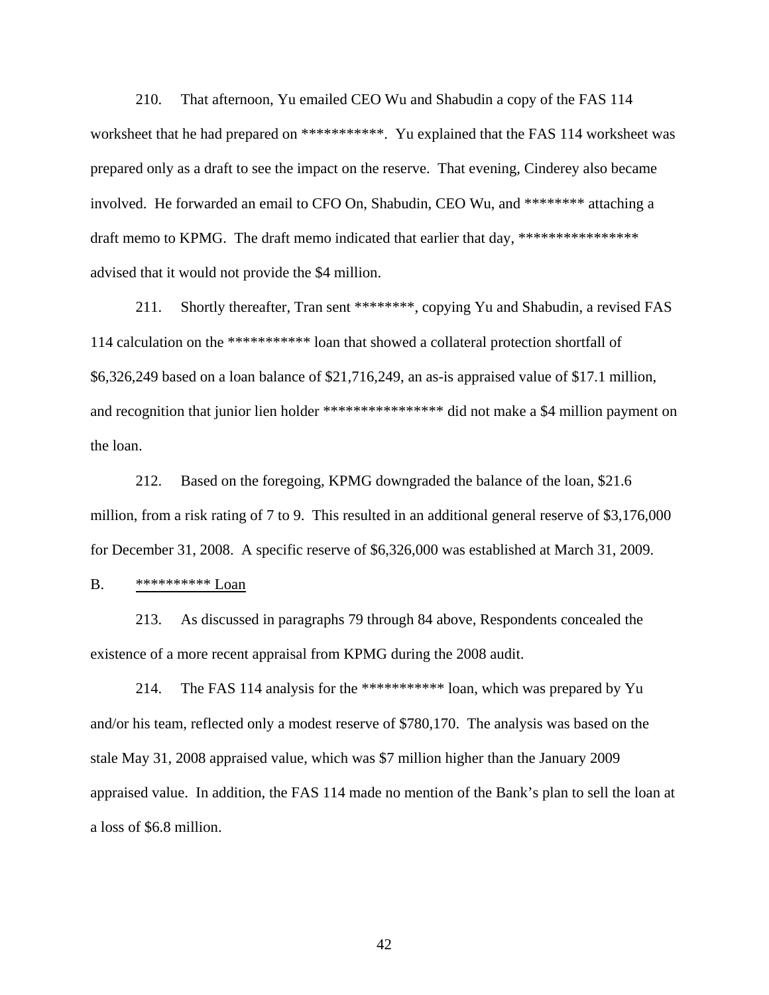210. That afternoon, Yu emailed CEO Wu and Shabudin a copy of the FAS 114 worksheet that he had prepared on \*\*\*\*\*\*\*\*\*\*\*. Yu explained that the FAS 114 worksheet was prepared only as a draft to see the impact on the reserve. That evening, Cinderey also became involved. He forwarded an email to CFO On, Shabudin, CEO Wu, and \*\*\*\*\*\*\*\* attaching a draft memo to KPMG. The draft memo indicated that earlier that day, \*\*\*\*\*\*\*\*\*\*\*\*\*\*\*\*\* advised that it would not provide the \$4 million.

211. Shortly thereafter, Tran sent \*\*\*\*\*\*\*\*, copying Yu and Shabudin, a revised FAS 114 calculation on the \*\*\*\*\*\*\*\*\*\*\* loan that showed a collateral protection shortfall of \$6,326,249 based on a loan balance of \$21,716,249, an as-is appraised value of \$17.1 million, and recognition that junior lien holder \*\*\*\*\*\*\*\*\*\*\*\*\*\*\*\*\*\*\* did not make a \$4 million payment on the loan.

212. Based on the foregoing, KPMG downgraded the balance of the loan, \$21.6 million, from a risk rating of 7 to 9. This resulted in an additional general reserve of \$3,176,000 for December 31, 2008. A specific reserve of \$6,326,000 was established at March 31, 2009.

B. \*\*\*\*\*\*\*\*\*\* Loan

213. As discussed in paragraphs 79 through 84 above, Respondents concealed the existence of a more recent appraisal from KPMG during the 2008 audit.

214. The FAS 114 analysis for the \*\*\*\*\*\*\*\*\*\*\* loan, which was prepared by Yu and/or his team, reflected only a modest reserve of \$780,170. The analysis was based on the stale May 31, 2008 appraised value, which was \$7 million higher than the January 2009 appraised value. In addition, the FAS 114 made no mention of the Bank's plan to sell the loan at a loss of \$6.8 million.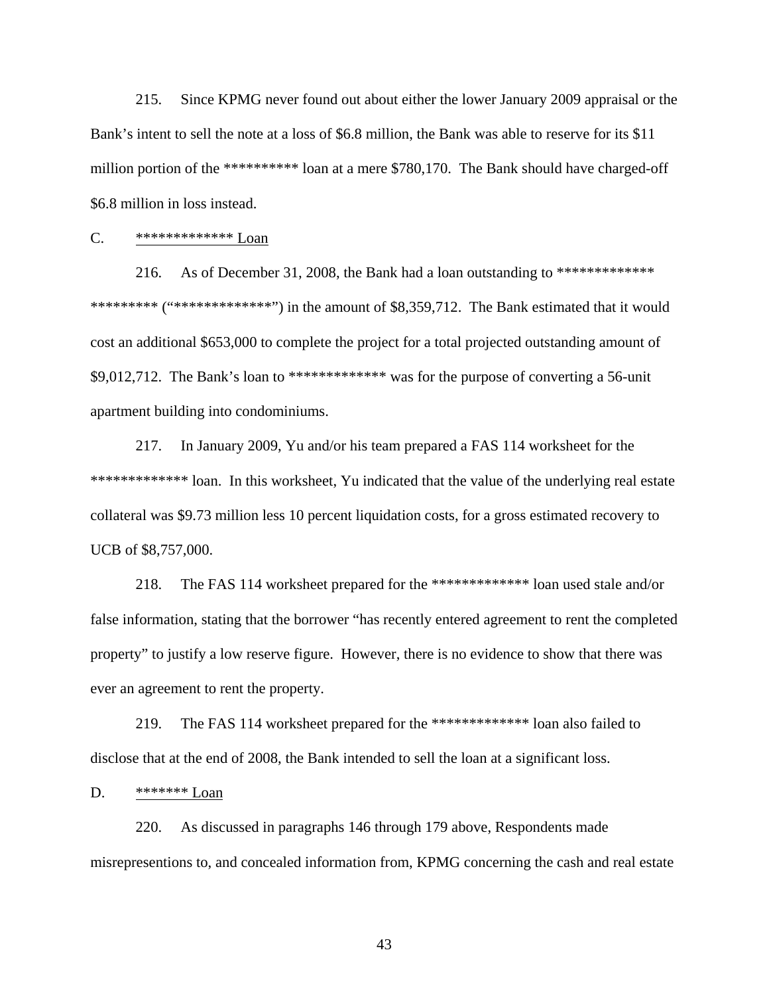215. Since KPMG never found out about either the lower January 2009 appraisal or the Bank's intent to sell the note at a loss of \$6.8 million, the Bank was able to reserve for its \$11 million portion of the \*\*\*\*\*\*\*\*\*\* loan at a mere \$780,170. The Bank should have charged-off \$6.8 million in loss instead.

# C. \*\*\*\*\*\*\*\*\*\*\*\*\* Loan

216. As of December 31, 2008, the Bank had a loan outstanding to \*\*\*\*\*\*\*\*\*\*\*\*\*\* \*\*\*\*\*\*\*\*\* ("\*\*\*\*\*\*\*\*\*\*\*\*\*\*\*") in the amount of  $$8,359,712$ . The Bank estimated that it would cost an additional \$653,000 to complete the project for a total projected outstanding amount of \$9,012,712. The Bank's loan to \*\*\*\*\*\*\*\*\*\*\*\*\* was for the purpose of converting a 56-unit apartment building into condominiums.

217. In January 2009, Yu and/or his team prepared a FAS 114 worksheet for the \*\*\*\*\*\*\*\*\*\*\*\*\*\*\*\*\* loan. In this worksheet, Yu indicated that the value of the underlying real estate collateral was \$9.73 million less 10 percent liquidation costs, for a gross estimated recovery to UCB of \$8,757,000.

218. The FAS 114 worksheet prepared for the \*\*\*\*\*\*\*\*\*\*\*\*\* loan used stale and/or false information, stating that the borrower "has recently entered agreement to rent the completed property" to justify a low reserve figure. However, there is no evidence to show that there was ever an agreement to rent the property.

219. The FAS 114 worksheet prepared for the \*\*\*\*\*\*\*\*\*\*\*\*\* loan also failed to disclose that at the end of 2008, the Bank intended to sell the loan at a significant loss.

#### D. \*\*\*\*\*\*\* Loan

220. As discussed in paragraphs 146 through 179 above, Respondents made misrepresentions to, and concealed information from, KPMG concerning the cash and real estate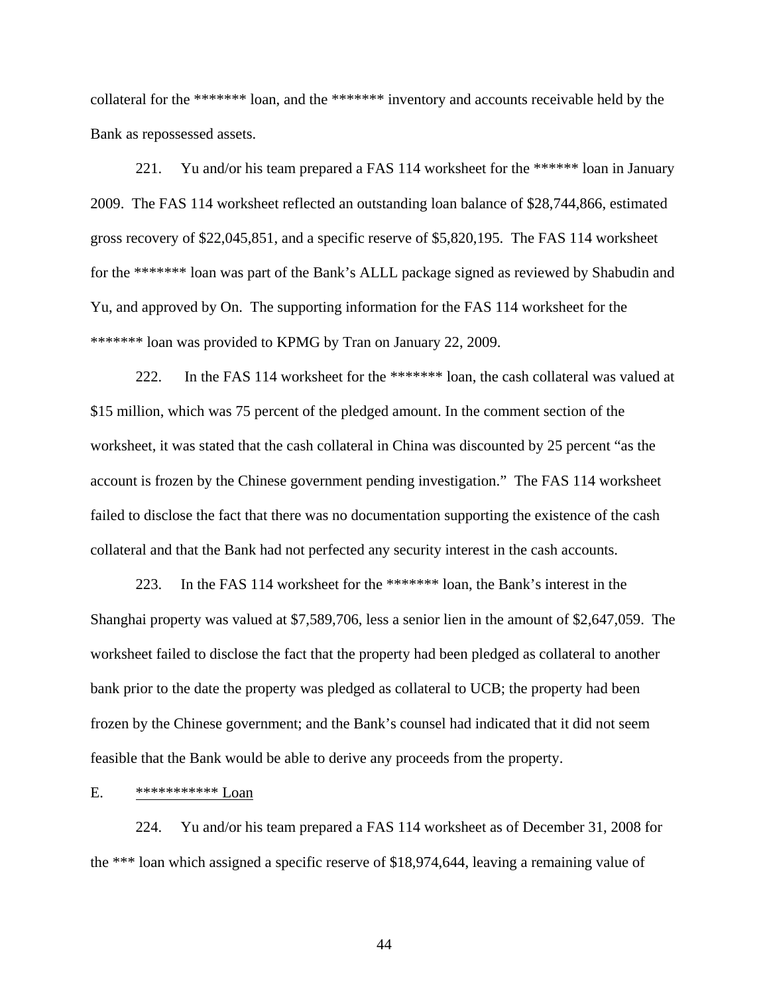collateral for the \*\*\*\*\*\*\* loan, and the \*\*\*\*\*\*\* inventory and accounts receivable held by the Bank as repossessed assets.

221. Yu and/or his team prepared a FAS 114 worksheet for the \*\*\*\*\*\* loan in January 2009. The FAS 114 worksheet reflected an outstanding loan balance of \$28,744,866, estimated gross recovery of \$22,045,851, and a specific reserve of \$5,820,195. The FAS 114 worksheet for the \*\*\*\*\*\*\* loan was part of the Bank's ALLL package signed as reviewed by Shabudin and Yu, and approved by On. The supporting information for the FAS 114 worksheet for the \*\*\*\*\*\*\* loan was provided to KPMG by Tran on January 22, 2009.

222. In the FAS 114 worksheet for the \*\*\*\*\*\*\* loan, the cash collateral was valued at \$15 million, which was 75 percent of the pledged amount. In the comment section of the worksheet, it was stated that the cash collateral in China was discounted by 25 percent "as the account is frozen by the Chinese government pending investigation." The FAS 114 worksheet failed to disclose the fact that there was no documentation supporting the existence of the cash collateral and that the Bank had not perfected any security interest in the cash accounts.

223. In the FAS 114 worksheet for the \*\*\*\*\*\*\* loan, the Bank's interest in the Shanghai property was valued at \$7,589,706, less a senior lien in the amount of \$2,647,059. The worksheet failed to disclose the fact that the property had been pledged as collateral to another bank prior to the date the property was pledged as collateral to UCB; the property had been frozen by the Chinese government; and the Bank's counsel had indicated that it did not seem feasible that the Bank would be able to derive any proceeds from the property.

E. \*\*\*\*\*\*\*\*\*\*\* Loan

224. Yu and/or his team prepared a FAS 114 worksheet as of December 31, 2008 for the \*\*\* loan which assigned a specific reserve of \$18,974,644, leaving a remaining value of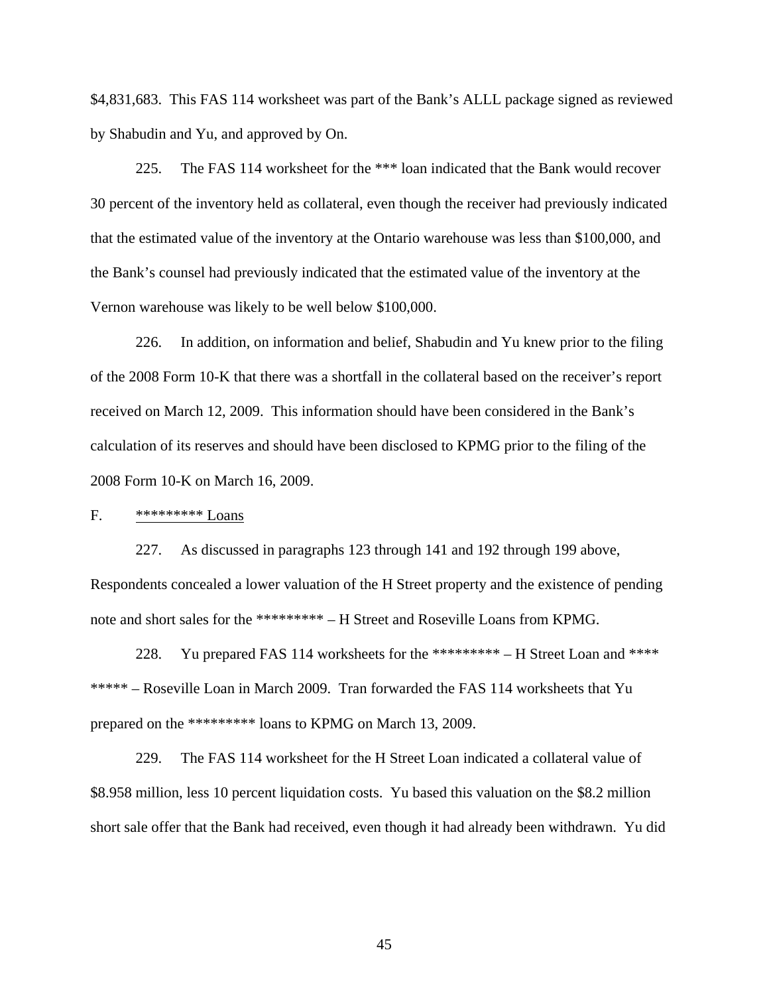\$4,831,683. This FAS 114 worksheet was part of the Bank's ALLL package signed as reviewed by Shabudin and Yu, and approved by On.

225. The FAS 114 worksheet for the \*\*\* loan indicated that the Bank would recover 30 percent of the inventory held as collateral, even though the receiver had previously indicated that the estimated value of the inventory at the Ontario warehouse was less than \$100,000, and the Bank's counsel had previously indicated that the estimated value of the inventory at the Vernon warehouse was likely to be well below \$100,000.

226. In addition, on information and belief, Shabudin and Yu knew prior to the filing of the 2008 Form 10-K that there was a shortfall in the collateral based on the receiver's report received on March 12, 2009. This information should have been considered in the Bank's calculation of its reserves and should have been disclosed to KPMG prior to the filing of the 2008 Form 10-K on March 16, 2009.

#### F. \*\*\*\*\*\*\*\*\* Loans

227. As discussed in paragraphs 123 through 141 and 192 through 199 above, Respondents concealed a lower valuation of the H Street property and the existence of pending note and short sales for the \*\*\*\*\*\*\*\*\* – H Street and Roseville Loans from KPMG.

228. Yu prepared FAS 114 worksheets for the \*\*\*\*\*\*\*\*\* – H Street Loan and \*\*\*\* \*\*\*\*\* – Roseville Loan in March 2009. Tran forwarded the FAS 114 worksheets that Yu prepared on the \*\*\*\*\*\*\*\*\* loans to KPMG on March 13, 2009.

229. The FAS 114 worksheet for the H Street Loan indicated a collateral value of \$8.958 million, less 10 percent liquidation costs. Yu based this valuation on the \$8.2 million short sale offer that the Bank had received, even though it had already been withdrawn. Yu did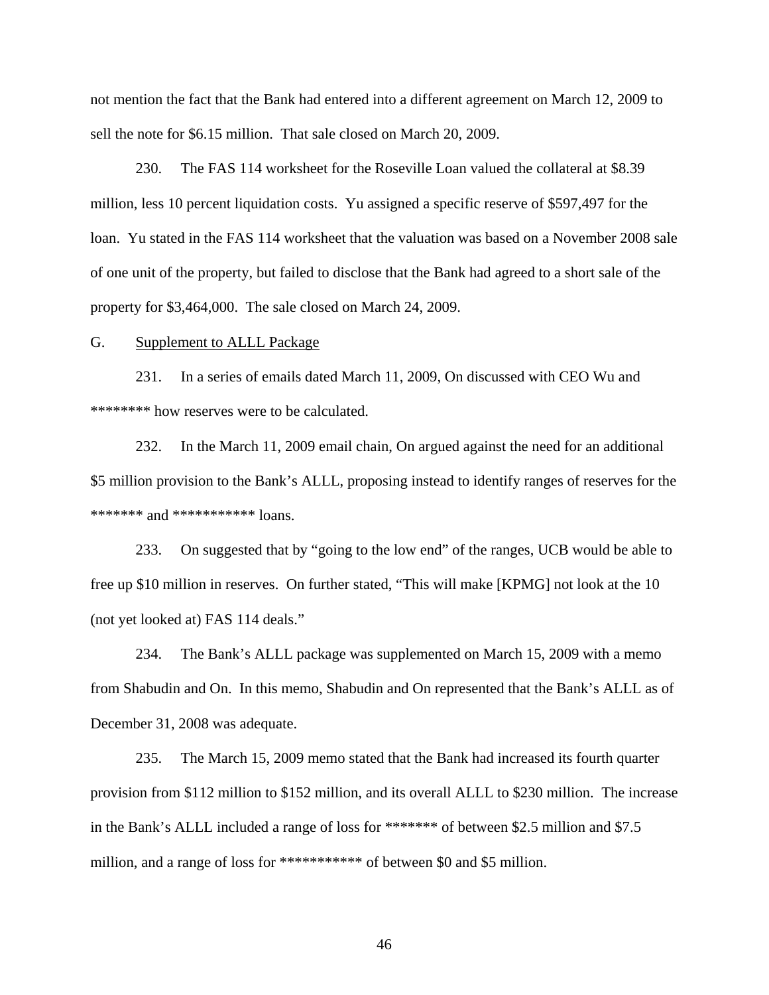not mention the fact that the Bank had entered into a different agreement on March 12, 2009 to sell the note for \$6.15 million. That sale closed on March 20, 2009.

230. The FAS 114 worksheet for the Roseville Loan valued the collateral at \$8.39 million, less 10 percent liquidation costs. Yu assigned a specific reserve of \$597,497 for the loan. Yu stated in the FAS 114 worksheet that the valuation was based on a November 2008 sale of one unit of the property, but failed to disclose that the Bank had agreed to a short sale of the property for \$3,464,000. The sale closed on March 24, 2009.

#### G. Supplement to ALLL Package

231. In a series of emails dated March 11, 2009, On discussed with CEO Wu and \*\*\*\*\*\*\*\* how reserves were to be calculated.

232. In the March 11, 2009 email chain, On argued against the need for an additional \$5 million provision to the Bank's ALLL, proposing instead to identify ranges of reserves for the \*\*\*\*\*\*\* and \*\*\*\*\*\*\*\*\*\*\* loans.

233. On suggested that by "going to the low end" of the ranges, UCB would be able to free up \$10 million in reserves. On further stated, "This will make [KPMG] not look at the 10 (not yet looked at) FAS 114 deals."

234. The Bank's ALLL package was supplemented on March 15, 2009 with a memo from Shabudin and On. In this memo, Shabudin and On represented that the Bank's ALLL as of December 31, 2008 was adequate.

235. The March 15, 2009 memo stated that the Bank had increased its fourth quarter provision from \$112 million to \$152 million, and its overall ALLL to \$230 million. The increase in the Bank's ALLL included a range of loss for \*\*\*\*\*\*\* of between \$2.5 million and \$7.5 million, and a range of loss for \*\*\*\*\*\*\*\*\*\*\* of between \$0 and \$5 million.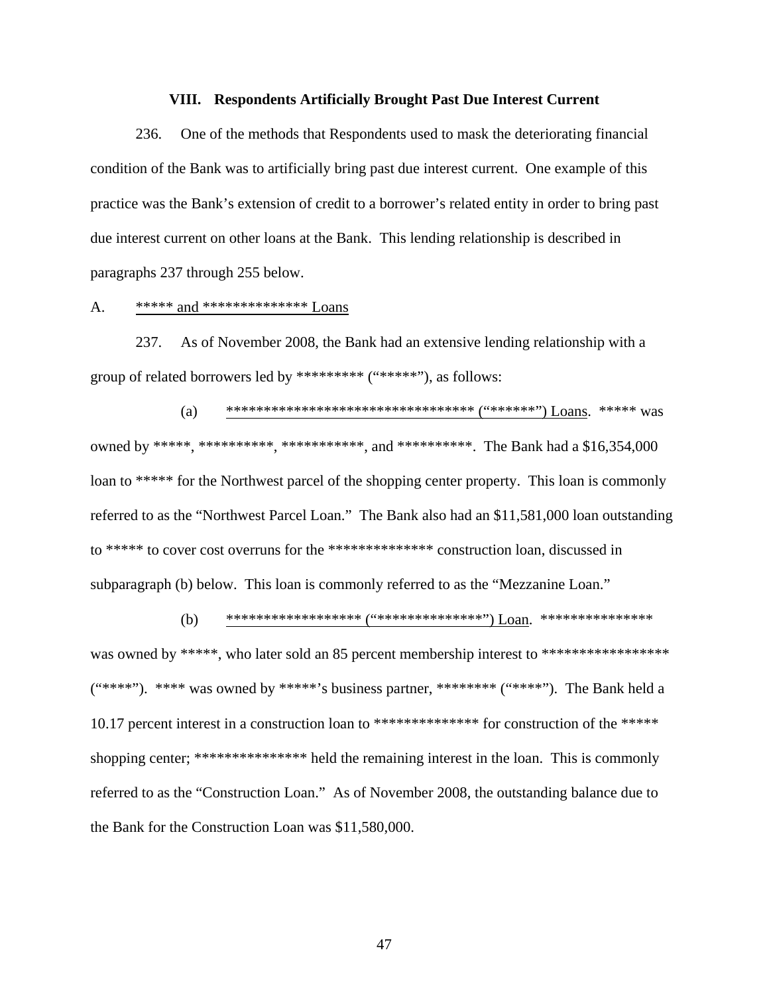#### **VIII. Respondents Artificially Brought Past Due Interest Current**

236. One of the methods that Respondents used to mask the deteriorating financial condition of the Bank was to artificially bring past due interest current. One example of this practice was the Bank's extension of credit to a borrower's related entity in order to bring past due interest current on other loans at the Bank. This lending relationship is described in paragraphs 237 through 255 below.

## A. \*\*\*\*\* and \*\*\*\*\*\*\*\*\*\*\*\*\*\* Loans

237. As of November 2008, the Bank had an extensive lending relationship with a group of related borrowers led by \*\*\*\*\*\*\*\*\* ("\*\*\*\*\*"), as follows:

(a) \*\*\*\*\*\*\*\*\*\*\*\*\*\*\*\*\*\*\*\*\*\*\*\*\*\*\*\*\*\*\*\*\* ("\*\*\*\*\*\*") Loans. \*\*\*\*\* was owned by \*\*\*\*\*, \*\*\*\*\*\*\*\*\*\*, \*\*\*\*\*\*\*\*\*\*\*, and \*\*\*\*\*\*\*\*\*\*. The Bank had a \$16,354,000 loan to \*\*\*\*\* for the Northwest parcel of the shopping center property. This loan is commonly referred to as the "Northwest Parcel Loan." The Bank also had an \$11,581,000 loan outstanding to \*\*\*\*\* to cover cost overruns for the \*\*\*\*\*\*\*\*\*\*\*\*\*\* construction loan, discussed in subparagraph (b) below. This loan is commonly referred to as the "Mezzanine Loan."

(b) \*\*\*\*\*\*\*\*\*\*\*\*\*\*\*\*\*\* ("\*\*\*\*\*\*\*\*\*\*\*\*\*\*") Loan. \*\*\*\*\*\*\*\*\*\*\*\*\*\*\* was owned by \*\*\*\*\*, who later sold an 85 percent membership interest to \*\*\*\*\*\*\*\*\*\*\*\*\*\*\*\*\*\*  $("***")$ . \*\*\*\* was owned by \*\*\*\*\*'s business partner, \*\*\*\*\*\*\*\* ("\*\*\*\*"). The Bank held a 10.17 percent interest in a construction loan to \*\*\*\*\*\*\*\*\*\*\*\*\*\*\*\* for construction of the \*\*\*\*\* shopping center; \*\*\*\*\*\*\*\*\*\*\*\*\*\*\*\* held the remaining interest in the loan. This is commonly referred to as the "Construction Loan." As of November 2008, the outstanding balance due to the Bank for the Construction Loan was \$11,580,000.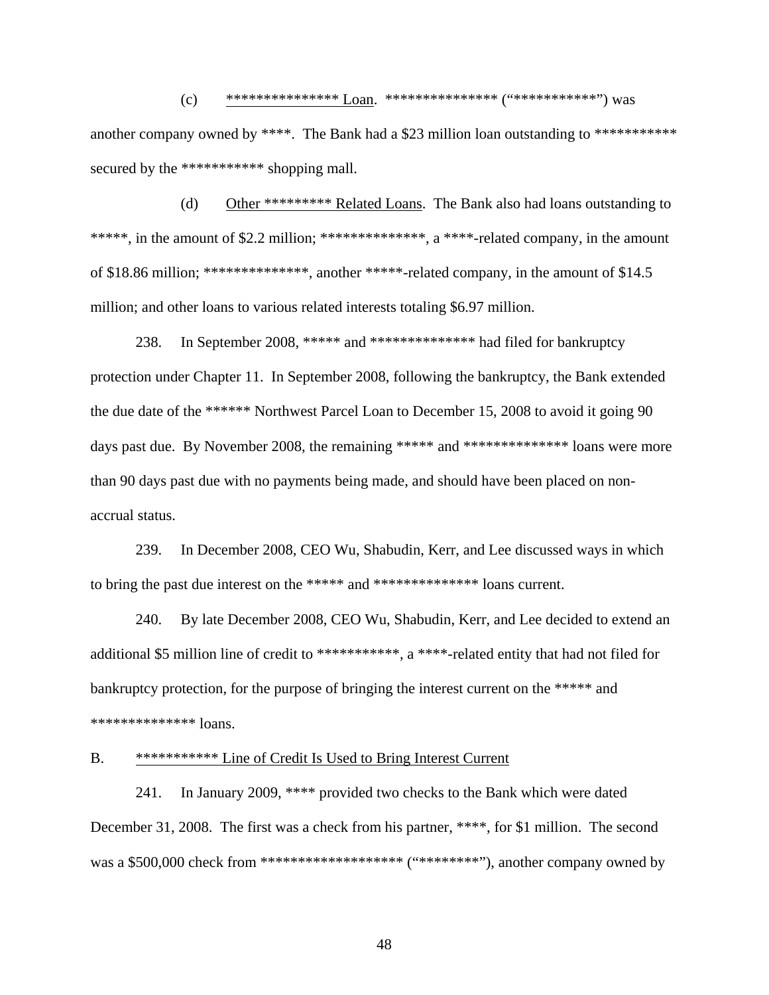(c) \*\*\*\*\*\*\*\*\*\*\*\*\*\*\*\*\* Loan. \*\*\*\*\*\*\*\*\*\*\*\*\*\*\*\* ("\*\*\*\*\*\*\*\*\*\*\*\*\*\*\*\*") was another company owned by \*\*\*\*. The Bank had a \$23 million loan outstanding to \*\*\*\*\*\*\*\*\*\*\* secured by the \*\*\*\*\*\*\*\*\*\*\*\* shopping mall.

(d) Other \*\*\*\*\*\*\*\*\* Related Loans. The Bank also had loans outstanding to \*\*\*\*\*, in the amount of \$2.2 million; \*\*\*\*\*\*\*\*\*\*\*\*\*\*, a \*\*\*\*-related company, in the amount of \$18.86 million; \*\*\*\*\*\*\*\*\*\*\*\*\*\*, another \*\*\*\*\*-related company, in the amount of \$14.5 million; and other loans to various related interests totaling \$6.97 million.

238. In September 2008, \*\*\*\*\* and \*\*\*\*\*\*\*\*\*\*\*\*\*\* had filed for bankruptcy protection under Chapter 11. In September 2008, following the bankruptcy, the Bank extended the due date of the \*\*\*\*\*\* Northwest Parcel Loan to December 15, 2008 to avoid it going 90 days past due. By November 2008, the remaining \*\*\*\*\* and \*\*\*\*\*\*\*\*\*\*\*\*\*\*\* loans were more than 90 days past due with no payments being made, and should have been placed on nonaccrual status.

239. In December 2008, CEO Wu, Shabudin, Kerr, and Lee discussed ways in which to bring the past due interest on the \*\*\*\*\* and \*\*\*\*\*\*\*\*\*\*\*\*\*\* loans current.

240. By late December 2008, CEO Wu, Shabudin, Kerr, and Lee decided to extend an additional \$5 million line of credit to \*\*\*\*\*\*\*\*\*\*\*\*, a \*\*\*\*-related entity that had not filed for bankruptcy protection, for the purpose of bringing the interest current on the \*\*\*\*\* and \*\*\*\*\*\*\*\*\*\*\*\*\*\* loans.

## B. \*\*\*\*\*\*\*\*\*\*\* Line of Credit Is Used to Bring Interest Current

241. In January 2009, \*\*\*\* provided two checks to the Bank which were dated December 31, 2008. The first was a check from his partner, \*\*\*\*, for \$1 million. The second was a \$500,000 check from \*\*\*\*\*\*\*\*\*\*\*\*\*\*\*\*\*\*\*\*\*\*\*\* ("\*\*\*\*\*\*\*\*\*\*"), another company owned by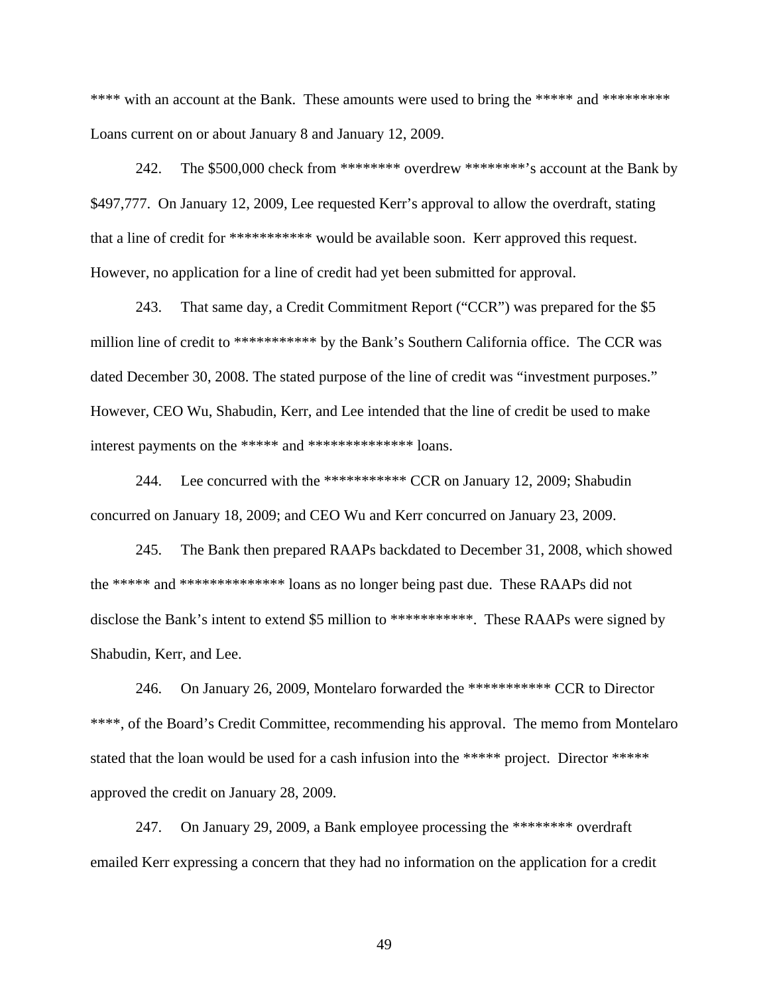\*\*\*\* with an account at the Bank. These amounts were used to bring the \*\*\*\*\* and \*\*\*\*\*\*\*\*\* Loans current on or about January 8 and January 12, 2009.

242. The \$500,000 check from \*\*\*\*\*\*\*\* overdrew \*\*\*\*\*\*\*\*'s account at the Bank by \$497,777. On January 12, 2009, Lee requested Kerr's approval to allow the overdraft, stating that a line of credit for \*\*\*\*\*\*\*\*\*\*\* would be available soon. Kerr approved this request. However, no application for a line of credit had yet been submitted for approval.

243. That same day, a Credit Commitment Report ("CCR") was prepared for the \$5 million line of credit to \*\*\*\*\*\*\*\*\*\*\* by the Bank's Southern California office. The CCR was dated December 30, 2008. The stated purpose of the line of credit was "investment purposes." However, CEO Wu, Shabudin, Kerr, and Lee intended that the line of credit be used to make interest payments on the \*\*\*\*\* and \*\*\*\*\*\*\*\*\*\*\*\*\*\* loans.

244. Lee concurred with the \*\*\*\*\*\*\*\*\*\*\*\* CCR on January 12, 2009; Shabudin concurred on January 18, 2009; and CEO Wu and Kerr concurred on January 23, 2009.

245. The Bank then prepared RAAPs backdated to December 31, 2008, which showed the \*\*\*\*\* and \*\*\*\*\*\*\*\*\*\*\*\*\*\* loans as no longer being past due. These RAAPs did not disclose the Bank's intent to extend \$5 million to \*\*\*\*\*\*\*\*\*\*\*. These RAAPs were signed by Shabudin, Kerr, and Lee.

246. On January 26, 2009, Montelaro forwarded the \*\*\*\*\*\*\*\*\*\*\* CCR to Director \*\*\*\*, of the Board's Credit Committee, recommending his approval. The memo from Montelaro stated that the loan would be used for a cash infusion into the \*\*\*\*\* project. Director \*\*\*\*\* approved the credit on January 28, 2009.

247. On January 29, 2009, a Bank employee processing the \*\*\*\*\*\*\*\* overdraft emailed Kerr expressing a concern that they had no information on the application for a credit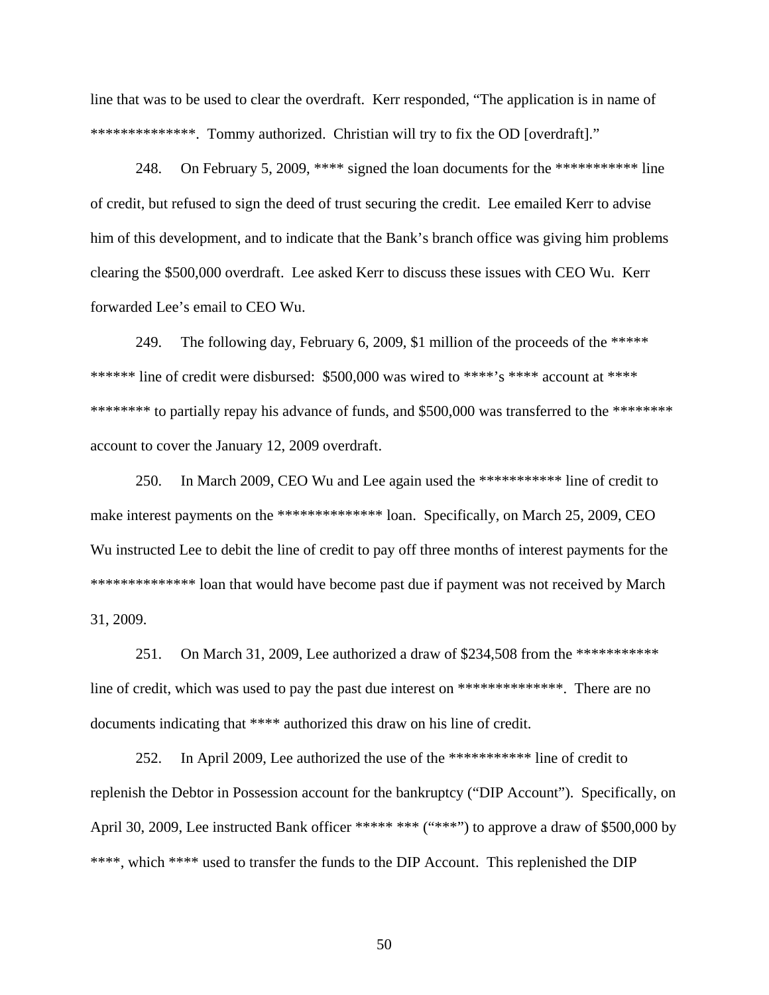line that was to be used to clear the overdraft. Kerr responded, "The application is in name of \*\*\*\*\*\*\*\*\*\*\*\*\*\*\*. Tommy authorized. Christian will try to fix the OD [overdraft]."

248. On February 5, 2009, \*\*\*\* signed the loan documents for the \*\*\*\*\*\*\*\*\*\*\* line of credit, but refused to sign the deed of trust securing the credit. Lee emailed Kerr to advise him of this development, and to indicate that the Bank's branch office was giving him problems clearing the \$500,000 overdraft. Lee asked Kerr to discuss these issues with CEO Wu. Kerr forwarded Lee's email to CEO Wu.

249. The following day, February 6, 2009, \$1 million of the proceeds of the \*\*\*\*\* \*\*\*\*\*\*\* line of credit were disbursed: \$500,000 was wired to \*\*\*\*'s \*\*\*\* account at \*\*\*\* \*\*\*\*\*\*\*\*\* to partially repay his advance of funds, and \$500,000 was transferred to the \*\*\*\*\*\*\*\* account to cover the January 12, 2009 overdraft.

250. In March 2009, CEO Wu and Lee again used the \*\*\*\*\*\*\*\*\*\*\* line of credit to make interest payments on the \*\*\*\*\*\*\*\*\*\*\*\*\*\*\*\* loan. Specifically, on March 25, 2009, CEO Wu instructed Lee to debit the line of credit to pay off three months of interest payments for the \*\*\*\*\*\*\*\*\*\*\*\*\*\*\*\*\*\*\* loan that would have become past due if payment was not received by March 31, 2009.

251. On March 31, 2009, Lee authorized a draw of \$234,508 from the \*\*\*\*\*\*\*\*\*\*\* line of credit, which was used to pay the past due interest on \*\*\*\*\*\*\*\*\*\*\*\*\*\*\*. There are no documents indicating that \*\*\*\* authorized this draw on his line of credit.

252. In April 2009, Lee authorized the use of the \*\*\*\*\*\*\*\*\*\*\* line of credit to replenish the Debtor in Possession account for the bankruptcy ("DIP Account"). Specifically, on April 30, 2009, Lee instructed Bank officer \*\*\*\*\* \*\*\* ("\*\*\*") to approve a draw of \$500,000 by \*\*\*\*, which \*\*\*\* used to transfer the funds to the DIP Account. This replenished the DIP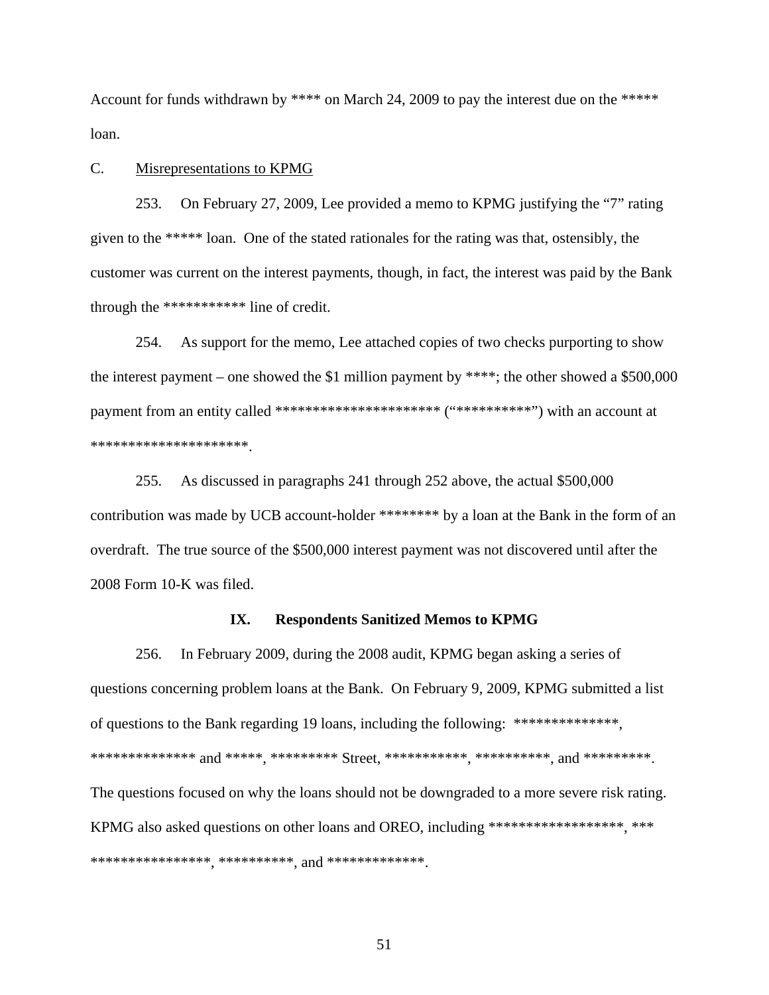Account for funds withdrawn by \*\*\*\* on March 24, 2009 to pay the interest due on the \*\*\*\*\* loan.

## C. Misrepresentations to KPMG

253. On February 27, 2009, Lee provided a memo to KPMG justifying the "7" rating given to the \*\*\*\*\* loan. One of the stated rationales for the rating was that, ostensibly, the customer was current on the interest payments, though, in fact, the interest was paid by the Bank through the \*\*\*\*\*\*\*\*\*\*\* line of credit.

254. As support for the memo, Lee attached copies of two checks purporting to show the interest payment – one showed the \$1 million payment by \*\*\*\*; the other showed a \$500,000 payment from an entity called \*\*\*\*\*\*\*\*\*\*\*\*\*\*\*\*\*\*\*\*\*\* ("\*\*\*\*\*\*\*\*\*\*") with an account at \*\*\*\*\*\*\*\*\*\*\*\*\*\*\*\*\*\*\*\*\*.

255. As discussed in paragraphs 241 through 252 above, the actual \$500,000 contribution was made by UCB account-holder \*\*\*\*\*\*\*\* by a loan at the Bank in the form of an overdraft. The true source of the \$500,000 interest payment was not discovered until after the 2008 Form 10-K was filed.

#### **IX. Respondents Sanitized Memos to KPMG**

256. In February 2009, during the 2008 audit, KPMG began asking a series of questions concerning problem loans at the Bank. On February 9, 2009, KPMG submitted a list of questions to the Bank regarding 19 loans, including the following: \*\*\*\*\*\*\*\*\*\*\*\*\*\*, \*\*\*\*\*\*\*\*\*\*\*\*\*\*\*\* and \*\*\*\*\*\*<sub>,</sub> \*\*\*\*\*\*\*\*\* Street, \*\*\*\*\*\*\*\*\*\*\*<sub>,</sub> \*\*\*\*\*\*\*\*\*\*<sub>,</sub> and \*\*\*\*\*\*\*\*\*. The questions focused on why the loans should not be downgraded to a more severe risk rating. KPMG also asked questions on other loans and OREO, including \*\*\*\*\*\*\*\*\*\*\*\*\*\*\*\*\*, \*\*\* \*\*\*\*\*\*\*\*\*\*\*\*\*\*\*\*, \*\*\*\*\*\*\*\*\*\*, and \*\*\*\*\*\*\*\*\*\*\*\*\*.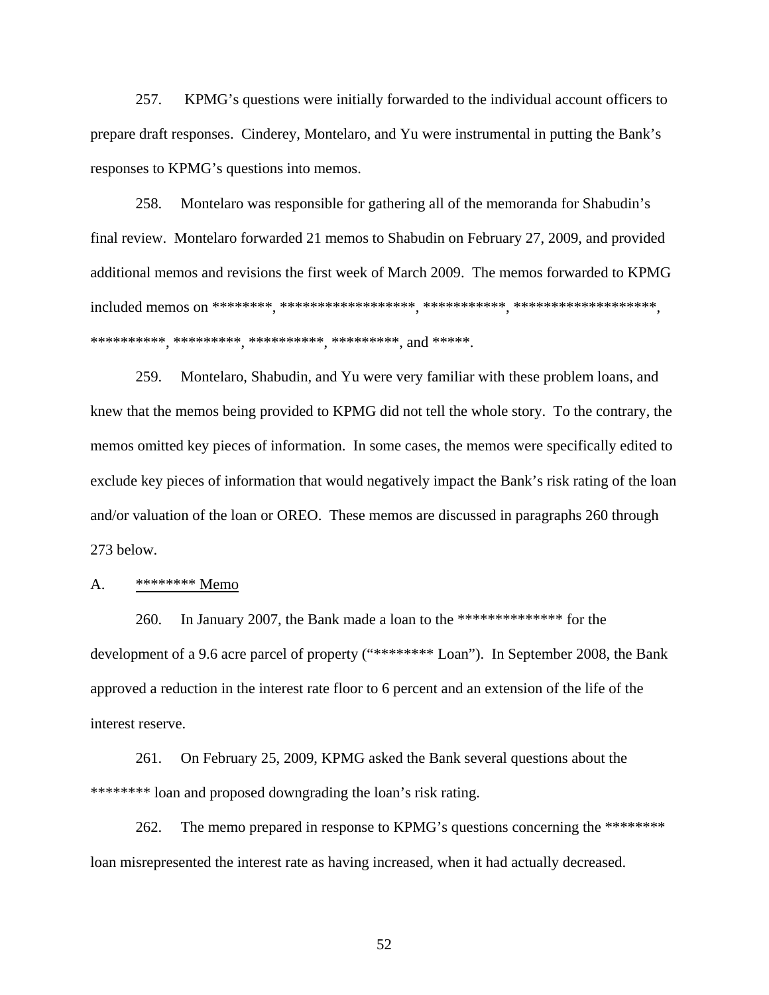257. KPMG's questions were initially forwarded to the individual account officers to prepare draft responses. Cinderey, Montelaro, and Yu were instrumental in putting the Bank's responses to KPMG's questions into memos.

258. Montelaro was responsible for gathering all of the memoranda for Shabudin's final review. Montelaro forwarded 21 memos to Shabudin on February 27, 2009, and provided additional memos and revisions the first week of March 2009. The memos forwarded to KPMG included memos on \*\*\*\*\*\*\*\*, \*\*\*\*\*\*\*\*\*\*\*\*\*\*\*\*\*\*, \*\*\*\*\*\*\*\*\*\*\*, \*\*\*\*\*\*\*\*\*\*\*\*\*\*\*\*\*\*\*, \*\*\*\*\*\*\*\*\*\*, \*\*\*\*\*\*\*\*\*, \*\*\*\*\*\*\*\*\*\*, \*\*\*\*\*\*\*\*\*, and \*\*\*\*\*.

259. Montelaro, Shabudin, and Yu were very familiar with these problem loans, and knew that the memos being provided to KPMG did not tell the whole story. To the contrary, the memos omitted key pieces of information. In some cases, the memos were specifically edited to exclude key pieces of information that would negatively impact the Bank's risk rating of the loan and/or valuation of the loan or OREO. These memos are discussed in paragraphs 260 through 273 below.

#### A. \*\*\*\*\*\*\*\* Memo

260. In January 2007, the Bank made a loan to the \*\*\*\*\*\*\*\*\*\*\*\*\*\* for the development of a 9.6 acre parcel of property ("\*\*\*\*\*\*\*\* Loan"). In September 2008, the Bank approved a reduction in the interest rate floor to 6 percent and an extension of the life of the interest reserve.

261. On February 25, 2009, KPMG asked the Bank several questions about the \*\*\*\*\*\*\*\* loan and proposed downgrading the loan's risk rating.

262. The memo prepared in response to KPMG's questions concerning the \*\*\*\*\*\*\*\*\* loan misrepresented the interest rate as having increased, when it had actually decreased.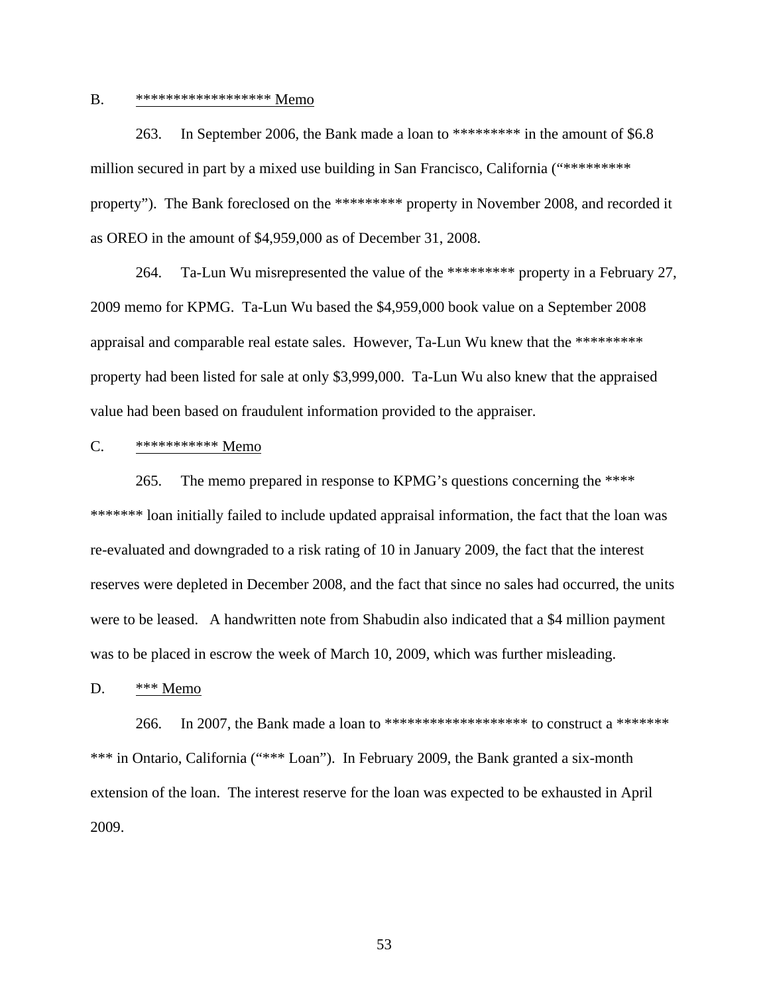## B. \*\*\*\*\*\*\*\*\*\*\*\*\*\*\*\*\*\* Memo

263. In September 2006, the Bank made a loan to \*\*\*\*\*\*\*\*\* in the amount of \$6.8 million secured in part by a mixed use building in San Francisco, California ("\*\*\*\*\*\*\*\*\* property"). The Bank foreclosed on the \*\*\*\*\*\*\*\*\* property in November 2008, and recorded it as OREO in the amount of \$4,959,000 as of December 31, 2008.

264. Ta-Lun Wu misrepresented the value of the \*\*\*\*\*\*\*\*\* property in a February 27, 2009 memo for KPMG. Ta-Lun Wu based the \$4,959,000 book value on a September 2008 appraisal and comparable real estate sales. However, Ta-Lun Wu knew that the \*\*\*\*\*\*\*\*\* property had been listed for sale at only \$3,999,000. Ta-Lun Wu also knew that the appraised value had been based on fraudulent information provided to the appraiser.

#### C. \*\*\*\*\*\*\*\*\*\*\* Memo

265. The memo prepared in response to KPMG's questions concerning the \*\*\*\* \*\*\*\*\*\*\*\* loan initially failed to include updated appraisal information, the fact that the loan was re-evaluated and downgraded to a risk rating of 10 in January 2009, the fact that the interest reserves were depleted in December 2008, and the fact that since no sales had occurred, the units were to be leased. A handwritten note from Shabudin also indicated that a \$4 million payment was to be placed in escrow the week of March 10, 2009, which was further misleading.

## D. \*\*\* Memo

266. In 2007, the Bank made a loan to \*\*\*\*\*\*\*\*\*\*\*\*\*\*\*\*\*\*\*\*\* to construct a \*\*\*\*\*\*\* \*\*\* in Ontario, California ("\*\*\* Loan"). In February 2009, the Bank granted a six-month extension of the loan. The interest reserve for the loan was expected to be exhausted in April 2009.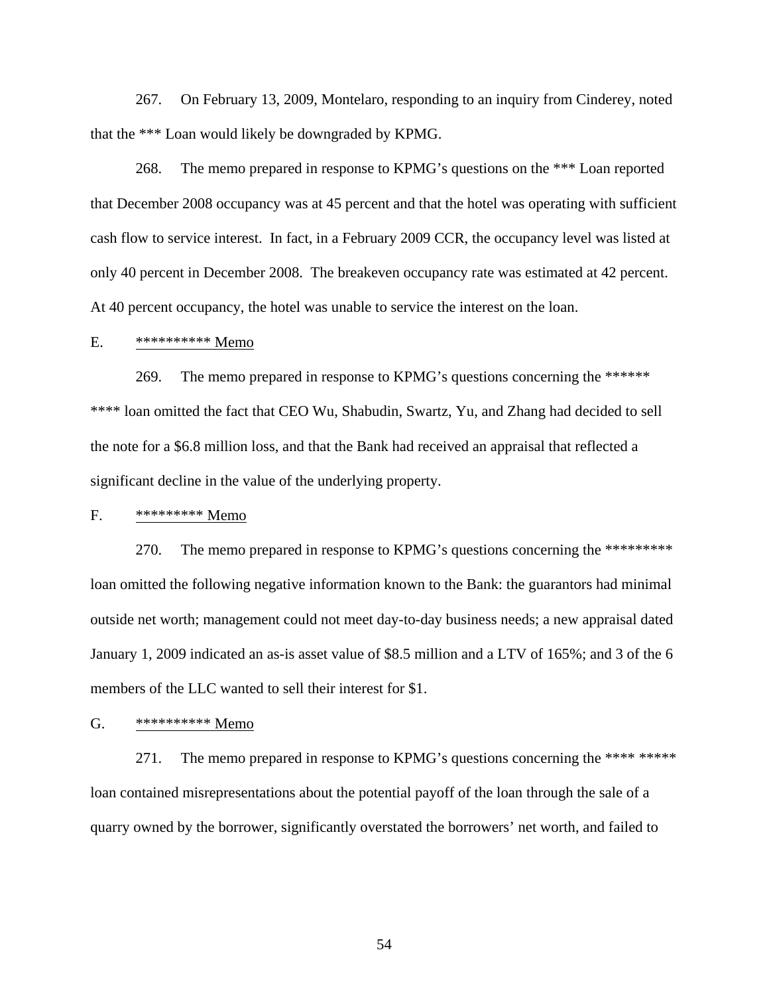267. On February 13, 2009, Montelaro, responding to an inquiry from Cinderey, noted that the \*\*\* Loan would likely be downgraded by KPMG.

268. The memo prepared in response to KPMG's questions on the \*\*\* Loan reported that December 2008 occupancy was at 45 percent and that the hotel was operating with sufficient cash flow to service interest. In fact, in a February 2009 CCR, the occupancy level was listed at only 40 percent in December 2008. The breakeven occupancy rate was estimated at 42 percent. At 40 percent occupancy, the hotel was unable to service the interest on the loan.

# E. \*\*\*\*\*\*\*\*\*\* Memo

269. The memo prepared in response to KPMG's questions concerning the \*\*\*\*\*\* \*\*\*\* loan omitted the fact that CEO Wu, Shabudin, Swartz, Yu, and Zhang had decided to sell the note for a \$6.8 million loss, and that the Bank had received an appraisal that reflected a significant decline in the value of the underlying property.

#### F. \*\*\*\*\*\*\*\*\* Memo

270. The memo prepared in response to KPMG's questions concerning the \*\*\*\*\*\*\*\*\*\* loan omitted the following negative information known to the Bank: the guarantors had minimal outside net worth; management could not meet day-to-day business needs; a new appraisal dated January 1, 2009 indicated an as-is asset value of \$8.5 million and a LTV of 165%; and 3 of the 6 members of the LLC wanted to sell their interest for \$1.

#### G. \*\*\*\*\*\*\*\*\*\* Memo

271. The memo prepared in response to KPMG's questions concerning the \*\*\*\* \*\*\*\*\* loan contained misrepresentations about the potential payoff of the loan through the sale of a quarry owned by the borrower, significantly overstated the borrowers' net worth, and failed to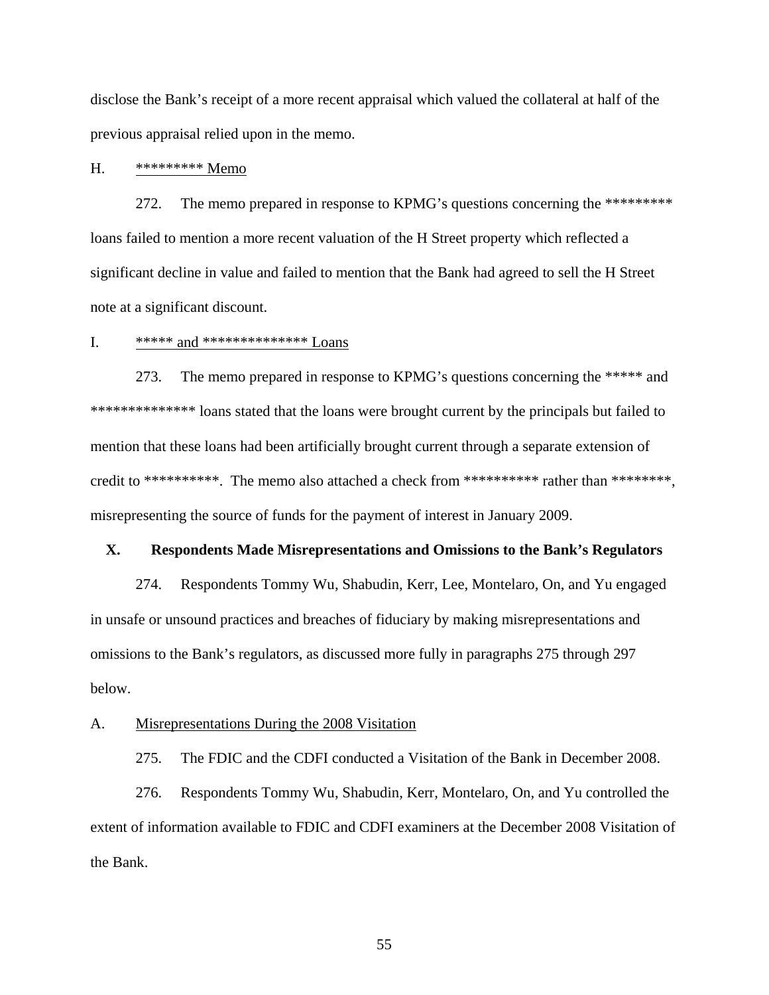disclose the Bank's receipt of a more recent appraisal which valued the collateral at half of the previous appraisal relied upon in the memo.

# H. \*\*\*\*\*\*\*\*\* Memo

272. The memo prepared in response to KPMG's questions concerning the \*\*\*\*\*\*\*\*\*\* loans failed to mention a more recent valuation of the H Street property which reflected a significant decline in value and failed to mention that the Bank had agreed to sell the H Street note at a significant discount.

# I.  $****** \text{ and}$  \*\*\*\*\*\*\*\*\*\*\*\*\*\*\*\* Loans

273. The memo prepared in response to KPMG's questions concerning the \*\*\*\*\* and \*\*\*\*\*\*\*\*\*\*\*\*\*\*\*\*\*\*\* loans stated that the loans were brought current by the principals but failed to mention that these loans had been artificially brought current through a separate extension of credit to \*\*\*\*\*\*\*\*\*\*. The memo also attached a check from \*\*\*\*\*\*\*\*\* rather than \*\*\*\*\*\*\*\*, misrepresenting the source of funds for the payment of interest in January 2009.

# **X. Respondents Made Misrepresentations and Omissions to the Bank's Regulators**

274. Respondents Tommy Wu, Shabudin, Kerr, Lee, Montelaro, On, and Yu engaged in unsafe or unsound practices and breaches of fiduciary by making misrepresentations and omissions to the Bank's regulators, as discussed more fully in paragraphs 275 through 297 below.

#### A. Misrepresentations During the 2008 Visitation

275. The FDIC and the CDFI conducted a Visitation of the Bank in December 2008.

276. Respondents Tommy Wu, Shabudin, Kerr, Montelaro, On, and Yu controlled the extent of information available to FDIC and CDFI examiners at the December 2008 Visitation of the Bank.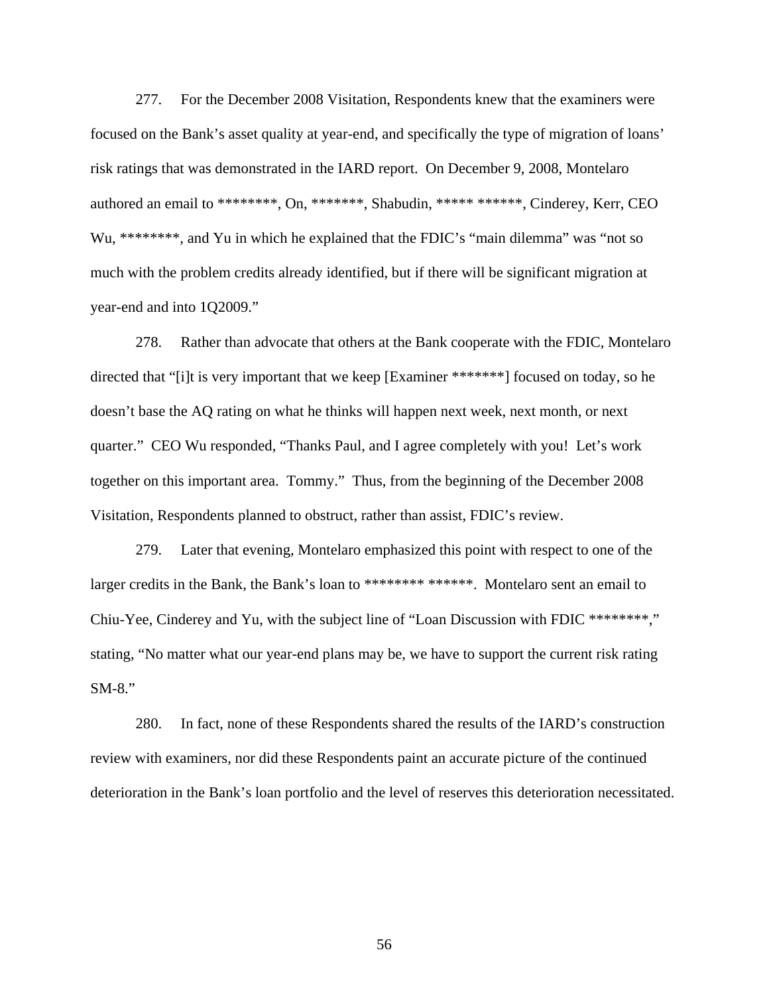277. For the December 2008 Visitation, Respondents knew that the examiners were focused on the Bank's asset quality at year-end, and specifically the type of migration of loans' risk ratings that was demonstrated in the IARD report. On December 9, 2008, Montelaro authored an email to \*\*\*\*\*\*\*\*, On, \*\*\*\*\*\*\*, Shabudin, \*\*\*\*\* \*\*\*\*\*\*, Cinderey, Kerr, CEO Wu, \*\*\*\*\*\*\*\*, and Yu in which he explained that the FDIC's "main dilemma" was "not so much with the problem credits already identified, but if there will be significant migration at year-end and into 1Q2009."

278. Rather than advocate that others at the Bank cooperate with the FDIC, Montelaro directed that "[i]t is very important that we keep [Examiner \*\*\*\*\*\*\*] focused on today, so he doesn't base the AQ rating on what he thinks will happen next week, next month, or next quarter." CEO Wu responded, "Thanks Paul, and I agree completely with you! Let's work together on this important area. Tommy." Thus, from the beginning of the December 2008 Visitation, Respondents planned to obstruct, rather than assist, FDIC's review.

279. Later that evening, Montelaro emphasized this point with respect to one of the larger credits in the Bank, the Bank's loan to \*\*\*\*\*\*\*\* \*\*\*\*\*\*. Montelaro sent an email to Chiu-Yee, Cinderey and Yu, with the subject line of "Loan Discussion with FDIC \*\*\*\*\*\*\*\*," stating, "No matter what our year-end plans may be, we have to support the current risk rating SM-8."

280. In fact, none of these Respondents shared the results of the IARD's construction review with examiners, nor did these Respondents paint an accurate picture of the continued deterioration in the Bank's loan portfolio and the level of reserves this deterioration necessitated.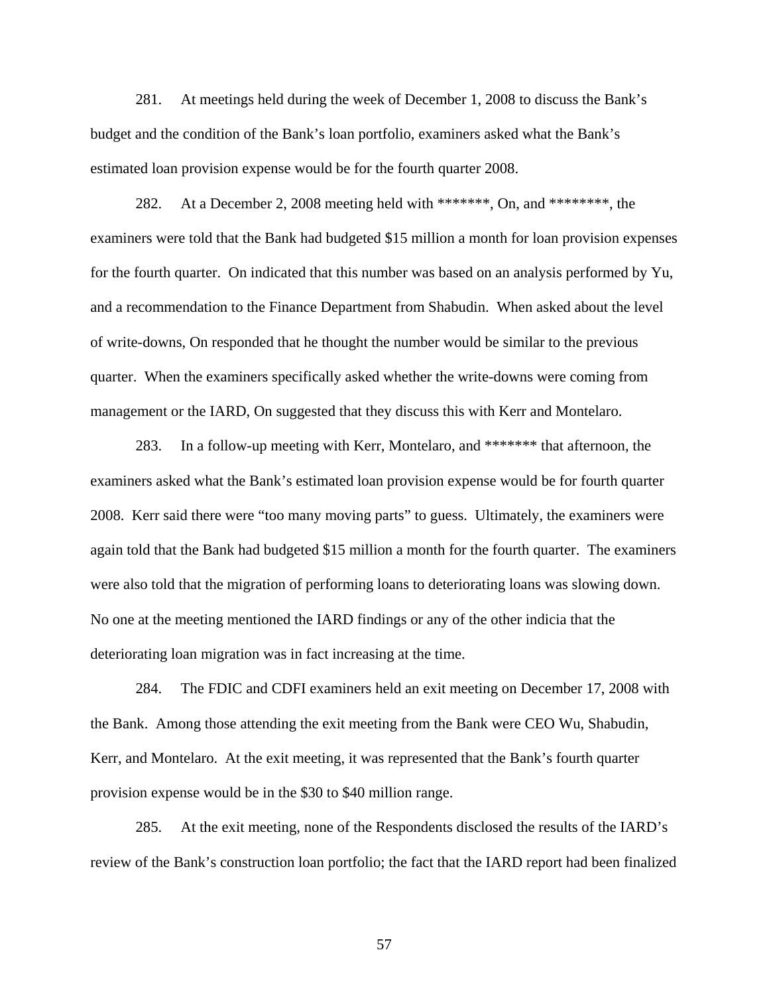281. At meetings held during the week of December 1, 2008 to discuss the Bank's budget and the condition of the Bank's loan portfolio, examiners asked what the Bank's estimated loan provision expense would be for the fourth quarter 2008.

282. At a December 2, 2008 meeting held with \*\*\*\*\*\*\*, On, and \*\*\*\*\*\*\*\*, the examiners were told that the Bank had budgeted \$15 million a month for loan provision expenses for the fourth quarter. On indicated that this number was based on an analysis performed by Yu, and a recommendation to the Finance Department from Shabudin. When asked about the level of write-downs, On responded that he thought the number would be similar to the previous quarter. When the examiners specifically asked whether the write-downs were coming from management or the IARD, On suggested that they discuss this with Kerr and Montelaro.

283. In a follow-up meeting with Kerr, Montelaro, and \*\*\*\*\*\*\* that afternoon, the examiners asked what the Bank's estimated loan provision expense would be for fourth quarter 2008. Kerr said there were "too many moving parts" to guess. Ultimately, the examiners were again told that the Bank had budgeted \$15 million a month for the fourth quarter. The examiners were also told that the migration of performing loans to deteriorating loans was slowing down. No one at the meeting mentioned the IARD findings or any of the other indicia that the deteriorating loan migration was in fact increasing at the time.

284. The FDIC and CDFI examiners held an exit meeting on December 17, 2008 with the Bank. Among those attending the exit meeting from the Bank were CEO Wu, Shabudin, Kerr, and Montelaro. At the exit meeting, it was represented that the Bank's fourth quarter provision expense would be in the \$30 to \$40 million range.

285. At the exit meeting, none of the Respondents disclosed the results of the IARD's review of the Bank's construction loan portfolio; the fact that the IARD report had been finalized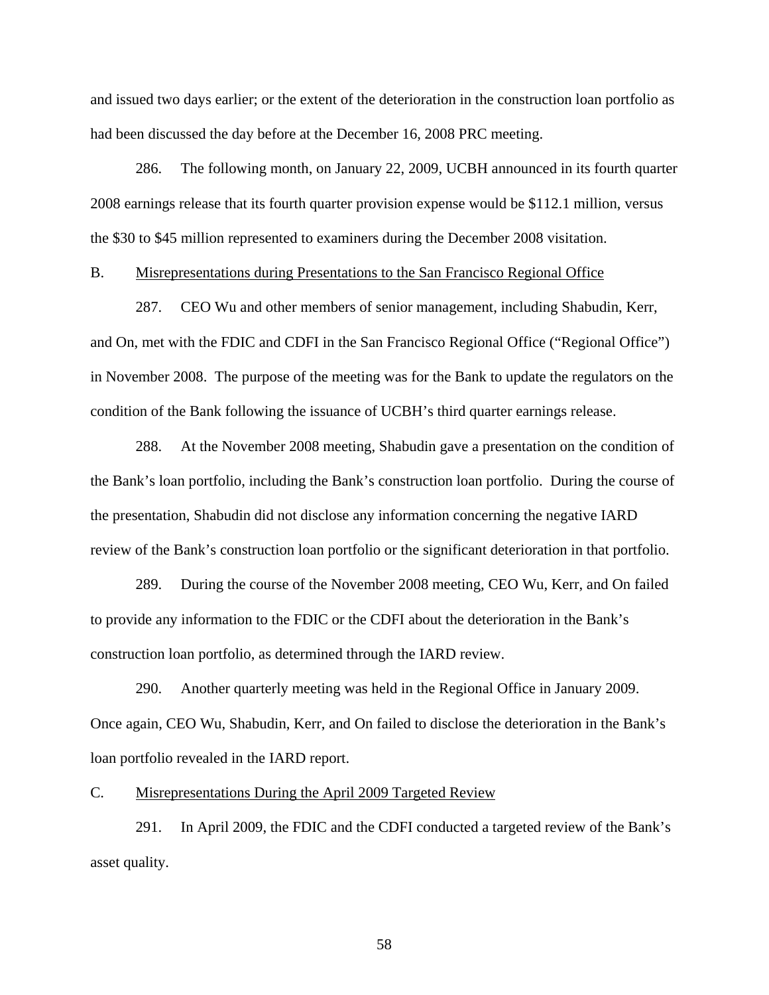and issued two days earlier; or the extent of the deterioration in the construction loan portfolio as had been discussed the day before at the December 16, 2008 PRC meeting.

286. The following month, on January 22, 2009, UCBH announced in its fourth quarter 2008 earnings release that its fourth quarter provision expense would be \$112.1 million, versus the \$30 to \$45 million represented to examiners during the December 2008 visitation.

## B. Misrepresentations during Presentations to the San Francisco Regional Office

287. CEO Wu and other members of senior management, including Shabudin, Kerr, and On, met with the FDIC and CDFI in the San Francisco Regional Office ("Regional Office") in November 2008. The purpose of the meeting was for the Bank to update the regulators on the condition of the Bank following the issuance of UCBH's third quarter earnings release.

288. At the November 2008 meeting, Shabudin gave a presentation on the condition of the Bank's loan portfolio, including the Bank's construction loan portfolio. During the course of the presentation, Shabudin did not disclose any information concerning the negative IARD review of the Bank's construction loan portfolio or the significant deterioration in that portfolio.

289. During the course of the November 2008 meeting, CEO Wu, Kerr, and On failed to provide any information to the FDIC or the CDFI about the deterioration in the Bank's construction loan portfolio, as determined through the IARD review.

290. Another quarterly meeting was held in the Regional Office in January 2009. Once again, CEO Wu, Shabudin, Kerr, and On failed to disclose the deterioration in the Bank's loan portfolio revealed in the IARD report.

## C. Misrepresentations During the April 2009 Targeted Review

291. In April 2009, the FDIC and the CDFI conducted a targeted review of the Bank's asset quality.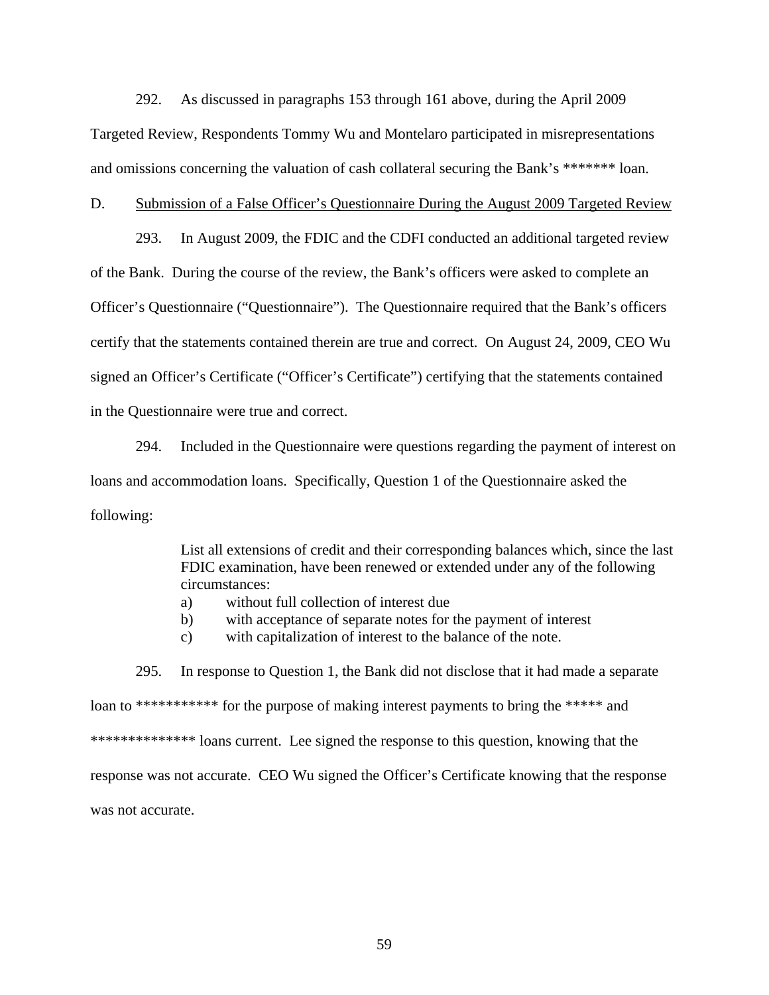292. As discussed in paragraphs 153 through 161 above, during the April 2009 Targeted Review, Respondents Tommy Wu and Montelaro participated in misrepresentations and omissions concerning the valuation of cash collateral securing the Bank's \*\*\*\*\*\*\* loan.

## D. Submission of a False Officer's Questionnaire During the August 2009 Targeted Review

293. In August 2009, the FDIC and the CDFI conducted an additional targeted review of the Bank. During the course of the review, the Bank's officers were asked to complete an Officer's Questionnaire ("Questionnaire"). The Questionnaire required that the Bank's officers certify that the statements contained therein are true and correct. On August 24, 2009, CEO Wu signed an Officer's Certificate ("Officer's Certificate") certifying that the statements contained in the Questionnaire were true and correct.

294. Included in the Questionnaire were questions regarding the payment of interest on loans and accommodation loans. Specifically, Question 1 of the Questionnaire asked the following:

> List all extensions of credit and their corresponding balances which, since the last FDIC examination, have been renewed or extended under any of the following circumstances:

- a) without full collection of interest due
- b) with acceptance of separate notes for the payment of interest
- c) with capitalization of interest to the balance of the note.

295. In response to Question 1, the Bank did not disclose that it had made a separate loan to \*\*\*\*\*\*\*\*\*\*\*\* for the purpose of making interest payments to bring the \*\*\*\*\* and \*\*\*\*\*\*\*\*\*\*\*\*\*\*\*\*\*\*\*\*\*\*\*\* loans current. Lee signed the response to this question, knowing that the response was not accurate. CEO Wu signed the Officer's Certificate knowing that the response was not accurate.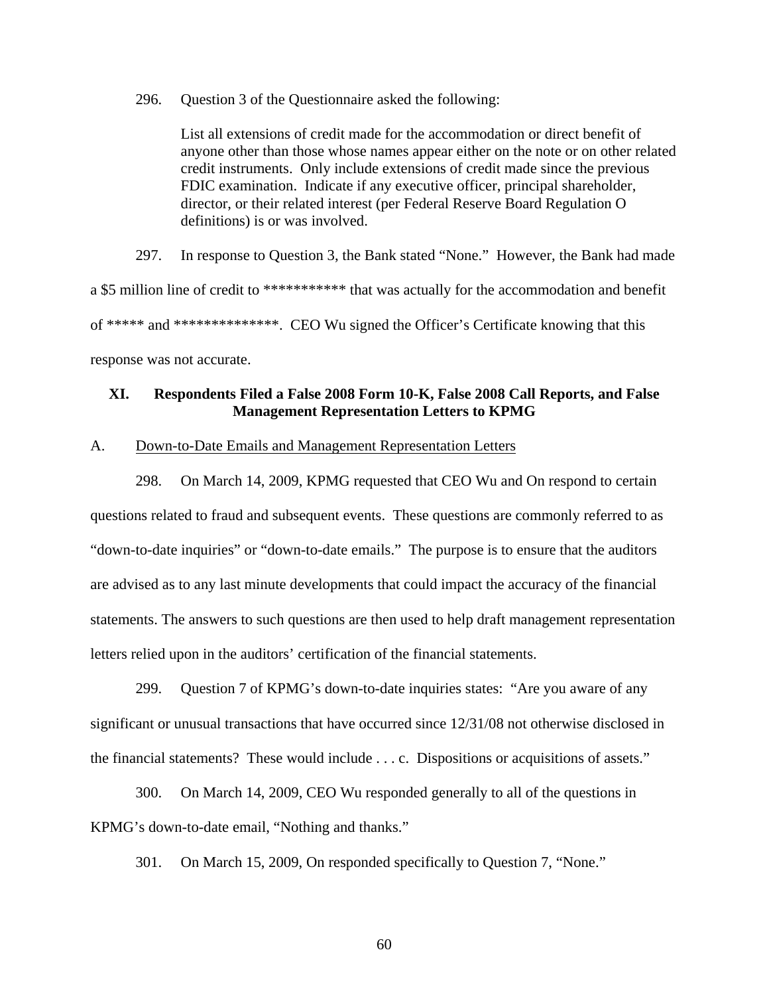296. Question 3 of the Questionnaire asked the following:

List all extensions of credit made for the accommodation or direct benefit of anyone other than those whose names appear either on the note or on other related credit instruments. Only include extensions of credit made since the previous FDIC examination. Indicate if any executive officer, principal shareholder, director, or their related interest (per Federal Reserve Board Regulation O definitions) is or was involved.

297. In response to Question 3, the Bank stated "None." However, the Bank had made

a \$5 million line of credit to \*\*\*\*\*\*\*\*\*\*\*\*\* that was actually for the accommodation and benefit

of \*\*\*\*\* and \*\*\*\*\*\*\*\*\*\*\*\*\*\*. CEO Wu signed the Officer's Certificate knowing that this

response was not accurate.

# **XI. Respondents Filed a False 2008 Form 10-K, False 2008 Call Reports, and False Management Representation Letters to KPMG**

### A. Down-to-Date Emails and Management Representation Letters

298. On March 14, 2009, KPMG requested that CEO Wu and On respond to certain questions related to fraud and subsequent events. These questions are commonly referred to as "down-to-date inquiries" or "down-to-date emails." The purpose is to ensure that the auditors are advised as to any last minute developments that could impact the accuracy of the financial statements. The answers to such questions are then used to help draft management representation letters relied upon in the auditors' certification of the financial statements.

299. Question 7 of KPMG's down-to-date inquiries states: "Are you aware of any significant or unusual transactions that have occurred since 12/31/08 not otherwise disclosed in the financial statements? These would include . . . c. Dispositions or acquisitions of assets."

300. On March 14, 2009, CEO Wu responded generally to all of the questions in KPMG's down-to-date email, "Nothing and thanks."

301. On March 15, 2009, On responded specifically to Question 7, "None."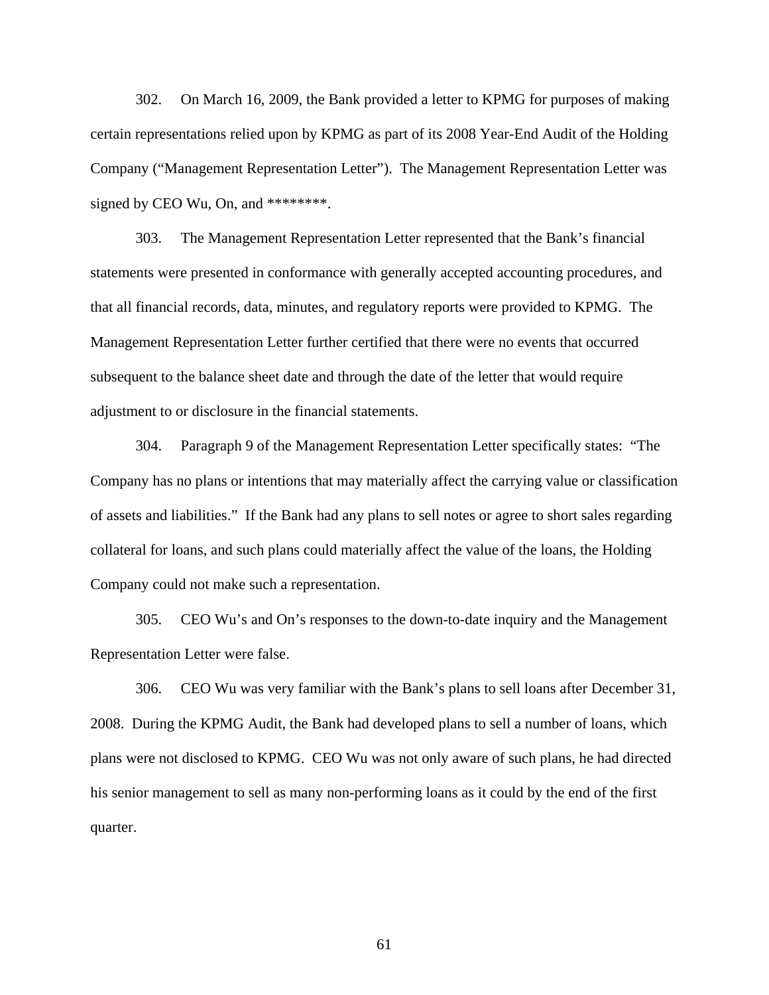302. On March 16, 2009, the Bank provided a letter to KPMG for purposes of making certain representations relied upon by KPMG as part of its 2008 Year-End Audit of the Holding Company ("Management Representation Letter"). The Management Representation Letter was signed by CEO Wu, On, and \*\*\*\*\*\*\*\*.

303. The Management Representation Letter represented that the Bank's financial statements were presented in conformance with generally accepted accounting procedures, and that all financial records, data, minutes, and regulatory reports were provided to KPMG. The Management Representation Letter further certified that there were no events that occurred subsequent to the balance sheet date and through the date of the letter that would require adjustment to or disclosure in the financial statements.

304. Paragraph 9 of the Management Representation Letter specifically states: "The Company has no plans or intentions that may materially affect the carrying value or classification of assets and liabilities." If the Bank had any plans to sell notes or agree to short sales regarding collateral for loans, and such plans could materially affect the value of the loans, the Holding Company could not make such a representation.

305. CEO Wu's and On's responses to the down-to-date inquiry and the Management Representation Letter were false.

306. CEO Wu was very familiar with the Bank's plans to sell loans after December 31, 2008. During the KPMG Audit, the Bank had developed plans to sell a number of loans, which plans were not disclosed to KPMG. CEO Wu was not only aware of such plans, he had directed his senior management to sell as many non-performing loans as it could by the end of the first quarter.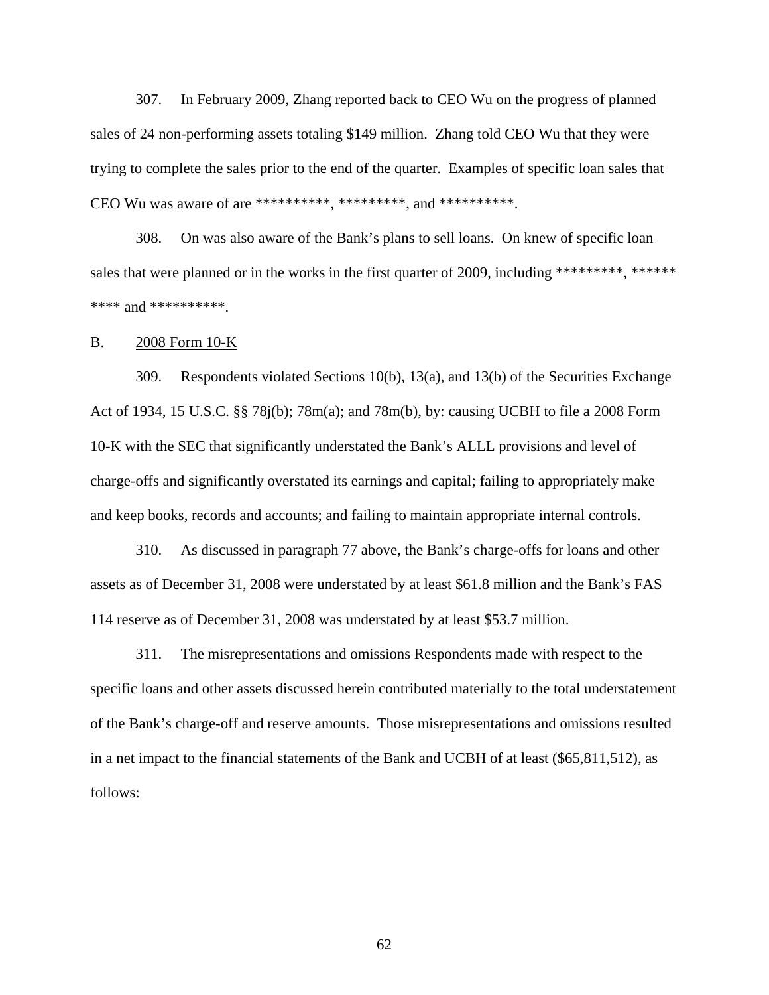307. In February 2009, Zhang reported back to CEO Wu on the progress of planned sales of 24 non-performing assets totaling \$149 million. Zhang told CEO Wu that they were trying to complete the sales prior to the end of the quarter. Examples of specific loan sales that CEO Wu was aware of are \*\*\*\*\*\*\*\*\*\*, \*\*\*\*\*\*\*\*\*, and \*\*\*\*\*\*\*\*\*\*.

308. On was also aware of the Bank's plans to sell loans. On knew of specific loan sales that were planned or in the works in the first quarter of 2009, including \*\*\*\*\*\*\*\*, \*\*\*\*\*\* \*\*\*\* and \*\*\*\*\*\*\*\*\*\*.

## B. 2008 Form 10-K

309. Respondents violated Sections 10(b), 13(a), and 13(b) of the Securities Exchange Act of 1934, 15 U.S.C. §§ 78j(b); 78m(a); and 78m(b), by: causing UCBH to file a 2008 Form 10-K with the SEC that significantly understated the Bank's ALLL provisions and level of charge-offs and significantly overstated its earnings and capital; failing to appropriately make and keep books, records and accounts; and failing to maintain appropriate internal controls.

310. As discussed in paragraph 77 above, the Bank's charge-offs for loans and other assets as of December 31, 2008 were understated by at least \$61.8 million and the Bank's FAS 114 reserve as of December 31, 2008 was understated by at least \$53.7 million.

311. The misrepresentations and omissions Respondents made with respect to the specific loans and other assets discussed herein contributed materially to the total understatement of the Bank's charge-off and reserve amounts. Those misrepresentations and omissions resulted in a net impact to the financial statements of the Bank and UCBH of at least (\$65,811,512), as follows: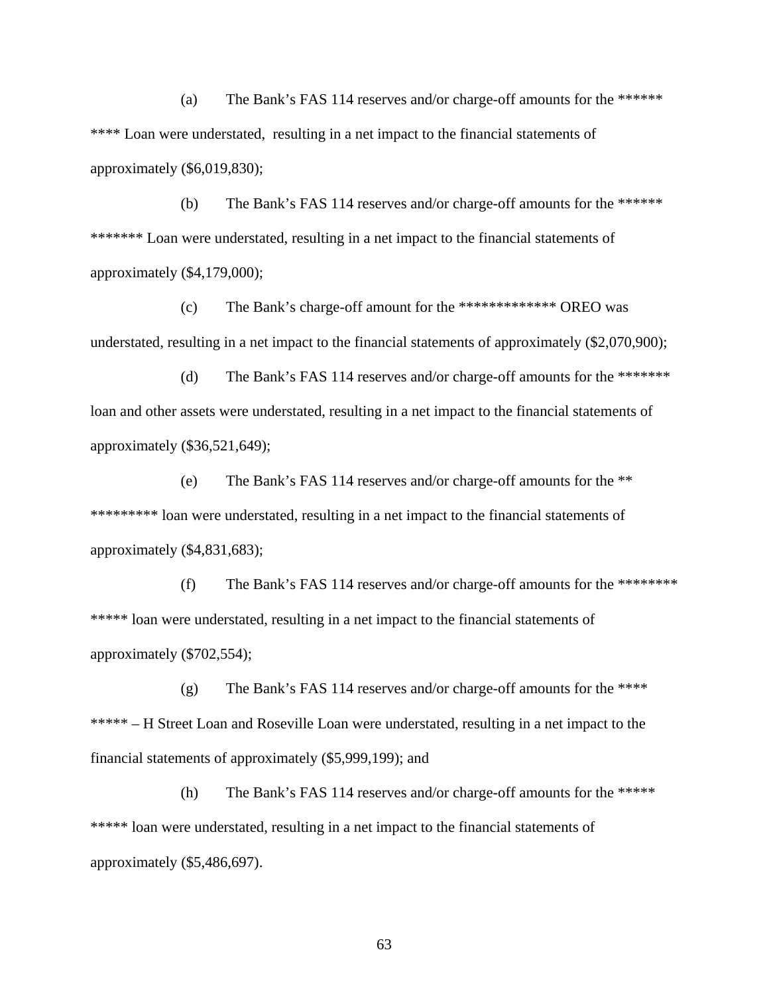(a) The Bank's FAS 114 reserves and/or charge-off amounts for the \*\*\*\*\*\* \*\*\*\* Loan were understated, resulting in a net impact to the financial statements of approximately (\$6,019,830);

(b) The Bank's FAS 114 reserves and/or charge-off amounts for the \*\*\*\*\*\* \*\*\*\*\*\*\* Loan were understated, resulting in a net impact to the financial statements of approximately (\$4,179,000);

(c) The Bank's charge-off amount for the \*\*\*\*\*\*\*\*\*\*\*\*\* OREO was understated, resulting in a net impact to the financial statements of approximately (\$2,070,900);

(d) The Bank's FAS 114 reserves and/or charge-off amounts for the \*\*\*\*\*\*\* loan and other assets were understated, resulting in a net impact to the financial statements of approximately (\$36,521,649);

(e) The Bank's FAS 114 reserves and/or charge-off amounts for the \*\* \*\*\*\*\*\*\*\*\* loan were understated, resulting in a net impact to the financial statements of approximately (\$4,831,683);

(f) The Bank's FAS 114 reserves and/or charge-off amounts for the \*\*\*\*\*\*\*\* \*\*\*\*\* loan were understated, resulting in a net impact to the financial statements of approximately (\$702,554);

(g) The Bank's FAS 114 reserves and/or charge-off amounts for the \*\*\*\* \*\*\*\*\* – H Street Loan and Roseville Loan were understated, resulting in a net impact to the financial statements of approximately (\$5,999,199); and

(h) The Bank's FAS 114 reserves and/or charge-off amounts for the \*\*\*\*\* \*\*\*\*\* loan were understated, resulting in a net impact to the financial statements of approximately (\$5,486,697).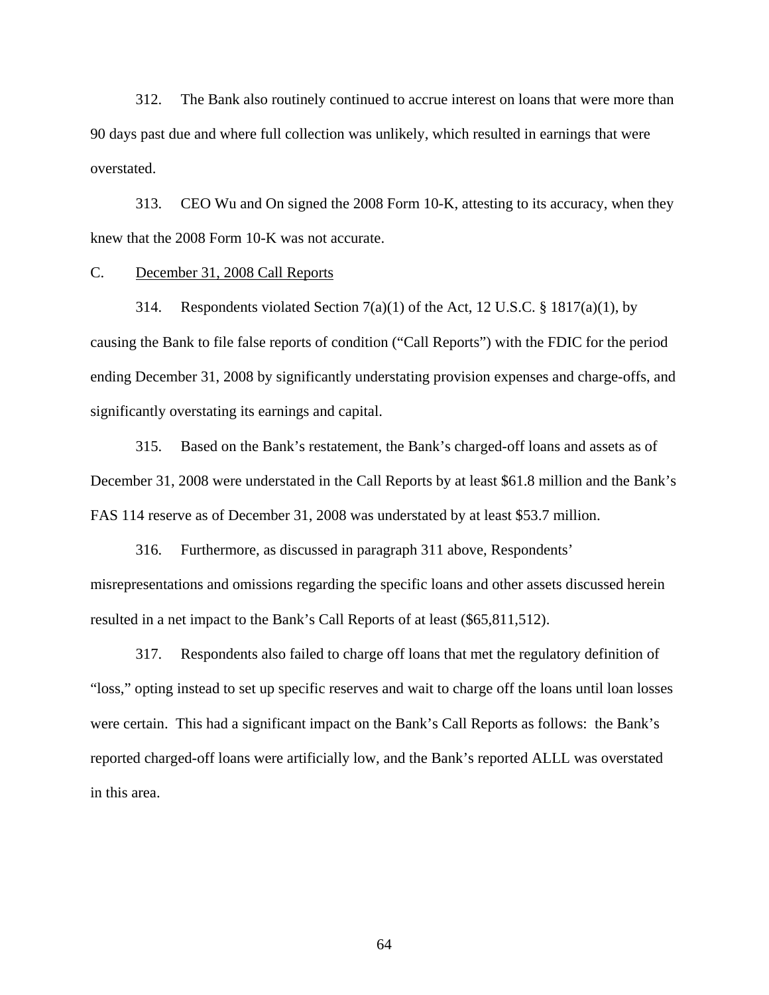312. The Bank also routinely continued to accrue interest on loans that were more than 90 days past due and where full collection was unlikely, which resulted in earnings that were overstated.

313. CEO Wu and On signed the 2008 Form 10-K, attesting to its accuracy, when they knew that the 2008 Form 10-K was not accurate.

# C. December 31, 2008 Call Reports

314. Respondents violated Section  $7(a)(1)$  of the Act, 12 U.S.C. § 1817(a)(1), by causing the Bank to file false reports of condition ("Call Reports") with the FDIC for the period ending December 31, 2008 by significantly understating provision expenses and charge-offs, and significantly overstating its earnings and capital.

315. Based on the Bank's restatement, the Bank's charged-off loans and assets as of December 31, 2008 were understated in the Call Reports by at least \$61.8 million and the Bank's FAS 114 reserve as of December 31, 2008 was understated by at least \$53.7 million.

316. Furthermore, as discussed in paragraph 311 above, Respondents' misrepresentations and omissions regarding the specific loans and other assets discussed herein resulted in a net impact to the Bank's Call Reports of at least (\$65,811,512).

317. Respondents also failed to charge off loans that met the regulatory definition of "loss," opting instead to set up specific reserves and wait to charge off the loans until loan losses were certain. This had a significant impact on the Bank's Call Reports as follows: the Bank's reported charged-off loans were artificially low, and the Bank's reported ALLL was overstated in this area.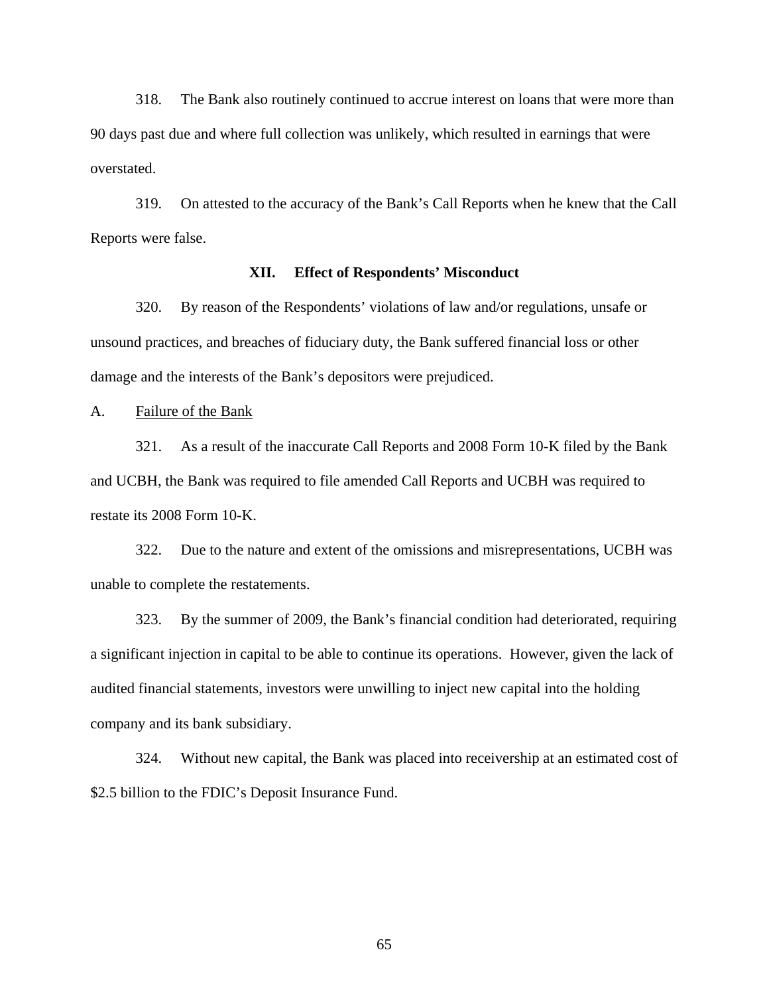318. The Bank also routinely continued to accrue interest on loans that were more than 90 days past due and where full collection was unlikely, which resulted in earnings that were overstated.

319. On attested to the accuracy of the Bank's Call Reports when he knew that the Call Reports were false.

## **XII. Effect of Respondents' Misconduct**

320. By reason of the Respondents' violations of law and/or regulations, unsafe or unsound practices, and breaches of fiduciary duty, the Bank suffered financial loss or other damage and the interests of the Bank's depositors were prejudiced.

A. Failure of the Bank

321. As a result of the inaccurate Call Reports and 2008 Form 10-K filed by the Bank and UCBH, the Bank was required to file amended Call Reports and UCBH was required to restate its 2008 Form 10-K.

322. Due to the nature and extent of the omissions and misrepresentations, UCBH was unable to complete the restatements.

323. By the summer of 2009, the Bank's financial condition had deteriorated, requiring a significant injection in capital to be able to continue its operations. However, given the lack of audited financial statements, investors were unwilling to inject new capital into the holding company and its bank subsidiary.

324. Without new capital, the Bank was placed into receivership at an estimated cost of \$2.5 billion to the FDIC's Deposit Insurance Fund.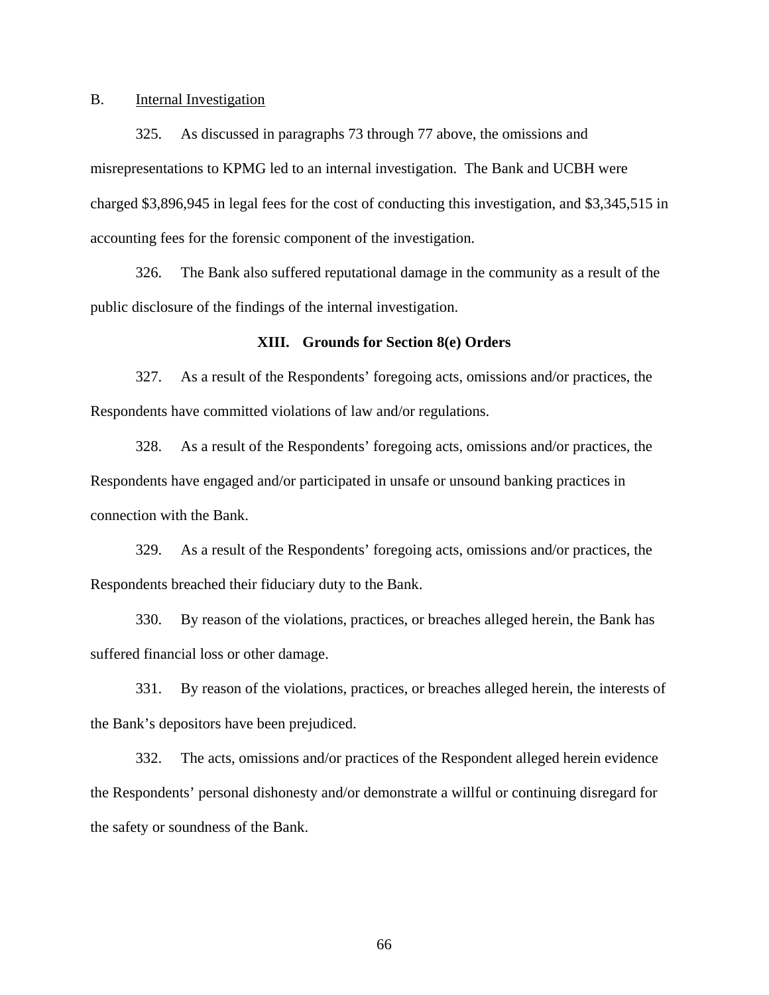#### B. Internal Investigation

325. As discussed in paragraphs 73 through 77 above, the omissions and misrepresentations to KPMG led to an internal investigation. The Bank and UCBH were charged \$3,896,945 in legal fees for the cost of conducting this investigation, and \$3,345,515 in accounting fees for the forensic component of the investigation.

326. The Bank also suffered reputational damage in the community as a result of the public disclosure of the findings of the internal investigation.

## **XIII. Grounds for Section 8(e) Orders**

327. As a result of the Respondents' foregoing acts, omissions and/or practices, the Respondents have committed violations of law and/or regulations.

328. As a result of the Respondents' foregoing acts, omissions and/or practices, the Respondents have engaged and/or participated in unsafe or unsound banking practices in connection with the Bank.

329. As a result of the Respondents' foregoing acts, omissions and/or practices, the Respondents breached their fiduciary duty to the Bank.

330. By reason of the violations, practices, or breaches alleged herein, the Bank has suffered financial loss or other damage.

331. By reason of the violations, practices, or breaches alleged herein, the interests of the Bank's depositors have been prejudiced.

332. The acts, omissions and/or practices of the Respondent alleged herein evidence the Respondents' personal dishonesty and/or demonstrate a willful or continuing disregard for the safety or soundness of the Bank.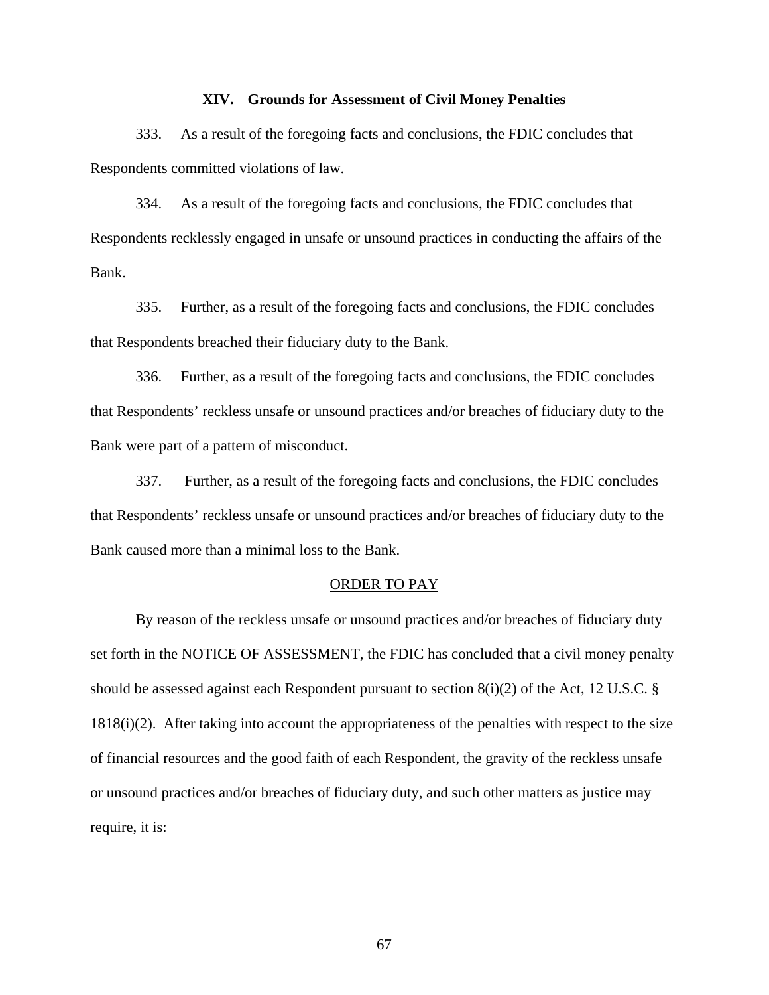#### **XIV. Grounds for Assessment of Civil Money Penalties**

333. As a result of the foregoing facts and conclusions, the FDIC concludes that Respondents committed violations of law.

334. As a result of the foregoing facts and conclusions, the FDIC concludes that Respondents recklessly engaged in unsafe or unsound practices in conducting the affairs of the Bank.

335. Further, as a result of the foregoing facts and conclusions, the FDIC concludes that Respondents breached their fiduciary duty to the Bank.

336. Further, as a result of the foregoing facts and conclusions, the FDIC concludes that Respondents' reckless unsafe or unsound practices and/or breaches of fiduciary duty to the Bank were part of a pattern of misconduct.

337. Further, as a result of the foregoing facts and conclusions, the FDIC concludes that Respondents' reckless unsafe or unsound practices and/or breaches of fiduciary duty to the Bank caused more than a minimal loss to the Bank.

## ORDER TO PAY

 By reason of the reckless unsafe or unsound practices and/or breaches of fiduciary duty set forth in the NOTICE OF ASSESSMENT, the FDIC has concluded that a civil money penalty should be assessed against each Respondent pursuant to section  $8(i)(2)$  of the Act, 12 U.S.C. § 1818(i)(2). After taking into account the appropriateness of the penalties with respect to the size of financial resources and the good faith of each Respondent, the gravity of the reckless unsafe or unsound practices and/or breaches of fiduciary duty, and such other matters as justice may require, it is: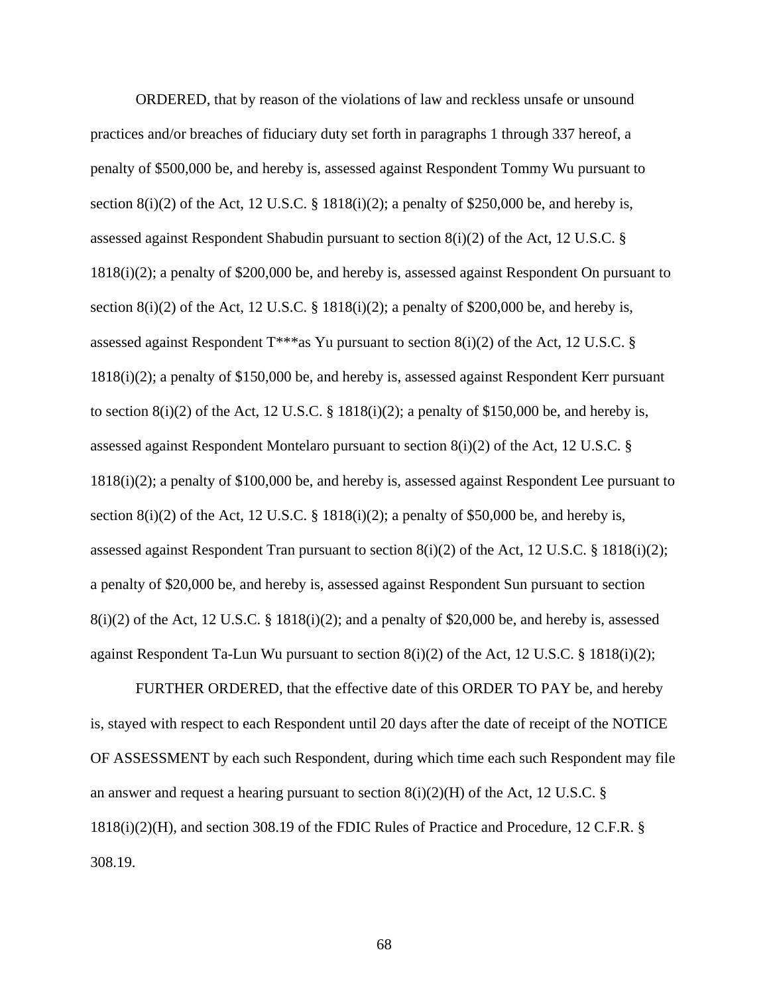ORDERED, that by reason of the violations of law and reckless unsafe or unsound practices and/or breaches of fiduciary duty set forth in paragraphs 1 through 337 hereof, a penalty of \$500,000 be, and hereby is, assessed against Respondent Tommy Wu pursuant to section 8(i)(2) of the Act, 12 U.S.C. § 1818(i)(2); a penalty of \$250,000 be, and hereby is, assessed against Respondent Shabudin pursuant to section 8(i)(2) of the Act, 12 U.S.C. § 1818(i)(2); a penalty of \$200,000 be, and hereby is, assessed against Respondent On pursuant to section  $8(i)(2)$  of the Act, 12 U.S.C. § 1818(i)(2); a penalty of \$200,000 be, and hereby is, assessed against Respondent  $T^{***}$ as Yu pursuant to section  $8(i)(2)$  of the Act, 12 U.S.C. § 1818(i)(2); a penalty of \$150,000 be, and hereby is, assessed against Respondent Kerr pursuant to section  $8(i)(2)$  of the Act, 12 U.S.C. § 1818(i)(2); a penalty of \$150,000 be, and hereby is, assessed against Respondent Montelaro pursuant to section  $8(i)(2)$  of the Act, 12 U.S.C. § 1818(i)(2); a penalty of \$100,000 be, and hereby is, assessed against Respondent Lee pursuant to section  $8(i)(2)$  of the Act, 12 U.S.C. § 1818 $(i)(2)$ ; a penalty of \$50,000 be, and hereby is, assessed against Respondent Tran pursuant to section  $8(i)(2)$  of the Act, 12 U.S.C. § 1818(i)(2); a penalty of \$20,000 be, and hereby is, assessed against Respondent Sun pursuant to section  $8(i)(2)$  of the Act, 12 U.S.C. § 1818(i)(2); and a penalty of \$20,000 be, and hereby is, assessed against Respondent Ta-Lun Wu pursuant to section  $8(i)(2)$  of the Act, 12 U.S.C. § 1818(i)(2);

 FURTHER ORDERED, that the effective date of this ORDER TO PAY be, and hereby is, stayed with respect to each Respondent until 20 days after the date of receipt of the NOTICE OF ASSESSMENT by each such Respondent, during which time each such Respondent may file an answer and request a hearing pursuant to section  $8(i)(2)(H)$  of the Act, 12 U.S.C. § 1818(i)(2)(H), and section 308.19 of the FDIC Rules of Practice and Procedure, 12 C.F.R. § 308.19.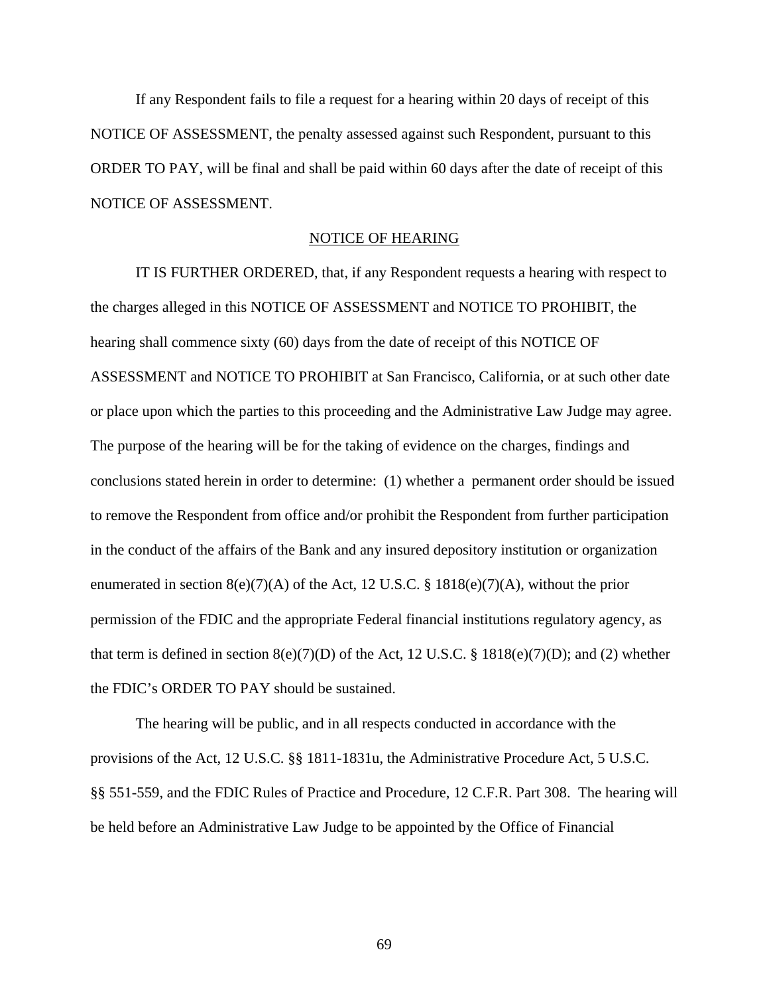If any Respondent fails to file a request for a hearing within 20 days of receipt of this NOTICE OF ASSESSMENT, the penalty assessed against such Respondent, pursuant to this ORDER TO PAY, will be final and shall be paid within 60 days after the date of receipt of this NOTICE OF ASSESSMENT.

# NOTICE OF HEARING

 IT IS FURTHER ORDERED, that, if any Respondent requests a hearing with respect to the charges alleged in this NOTICE OF ASSESSMENT and NOTICE TO PROHIBIT, the hearing shall commence sixty (60) days from the date of receipt of this NOTICE OF ASSESSMENT and NOTICE TO PROHIBIT at San Francisco, California, or at such other date or place upon which the parties to this proceeding and the Administrative Law Judge may agree. The purpose of the hearing will be for the taking of evidence on the charges, findings and conclusions stated herein in order to determine: (1) whether a permanent order should be issued to remove the Respondent from office and/or prohibit the Respondent from further participation in the conduct of the affairs of the Bank and any insured depository institution or organization enumerated in section  $8(e)(7)(A)$  of the Act, 12 U.S.C. § 1818(e)(7)(A), without the prior permission of the FDIC and the appropriate Federal financial institutions regulatory agency, as that term is defined in section  $8(e)(7)(D)$  of the Act, 12 U.S.C. § 1818(e)(7)(D); and (2) whether the FDIC's ORDER TO PAY should be sustained.

 The hearing will be public, and in all respects conducted in accordance with the provisions of the Act, 12 U.S.C. §§ 1811-1831u, the Administrative Procedure Act, 5 U.S.C. §§ 551-559, and the FDIC Rules of Practice and Procedure, 12 C.F.R. Part 308. The hearing will be held before an Administrative Law Judge to be appointed by the Office of Financial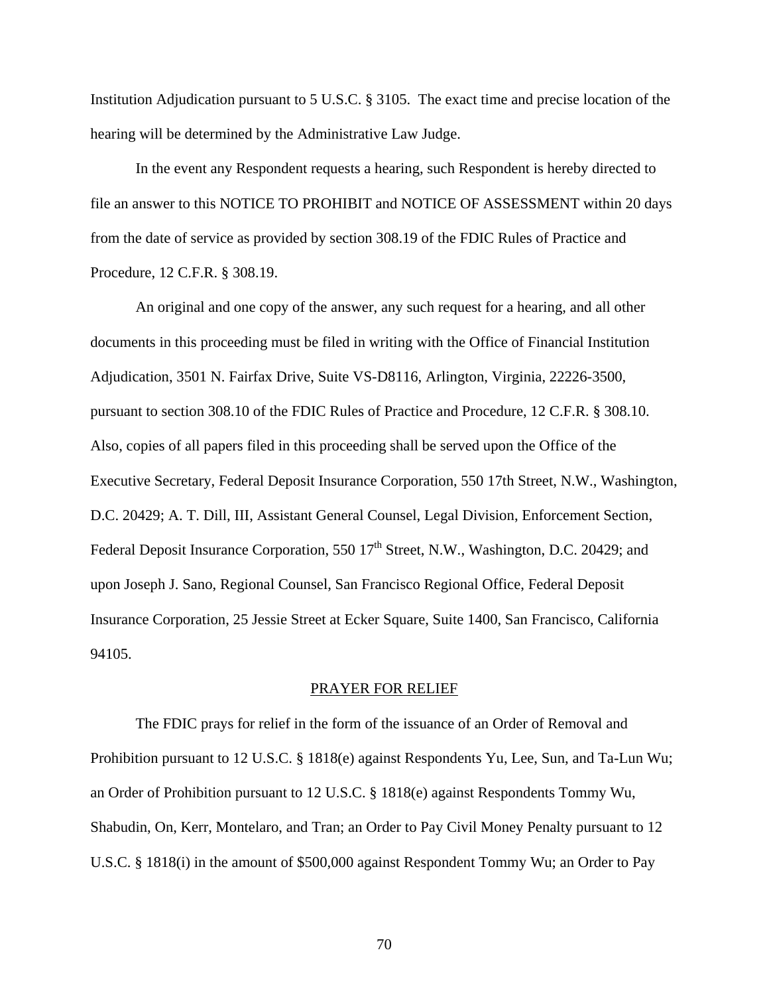Institution Adjudication pursuant to 5 U.S.C. § 3105. The exact time and precise location of the hearing will be determined by the Administrative Law Judge.

 In the event any Respondent requests a hearing, such Respondent is hereby directed to file an answer to this NOTICE TO PROHIBIT and NOTICE OF ASSESSMENT within 20 days from the date of service as provided by section 308.19 of the FDIC Rules of Practice and Procedure, 12 C.F.R. § 308.19.

 An original and one copy of the answer, any such request for a hearing, and all other documents in this proceeding must be filed in writing with the Office of Financial Institution Adjudication, 3501 N. Fairfax Drive, Suite VS-D8116, Arlington, Virginia, 22226-3500, pursuant to section 308.10 of the FDIC Rules of Practice and Procedure, 12 C.F.R. § 308.10. Also, copies of all papers filed in this proceeding shall be served upon the Office of the Executive Secretary, Federal Deposit Insurance Corporation, 550 17th Street, N.W., Washington, D.C. 20429; A. T. Dill, III, Assistant General Counsel, Legal Division, Enforcement Section, Federal Deposit Insurance Corporation, 550  $17<sup>th</sup>$  Street, N.W., Washington, D.C. 20429; and upon Joseph J. Sano, Regional Counsel, San Francisco Regional Office, Federal Deposit Insurance Corporation, 25 Jessie Street at Ecker Square, Suite 1400, San Francisco, California 94105.

#### PRAYER FOR RELIEF

 The FDIC prays for relief in the form of the issuance of an Order of Removal and Prohibition pursuant to 12 U.S.C. § 1818(e) against Respondents Yu, Lee, Sun, and Ta-Lun Wu; an Order of Prohibition pursuant to 12 U.S.C. § 1818(e) against Respondents Tommy Wu, Shabudin, On, Kerr, Montelaro, and Tran; an Order to Pay Civil Money Penalty pursuant to 12 U.S.C. § 1818(i) in the amount of \$500,000 against Respondent Tommy Wu; an Order to Pay